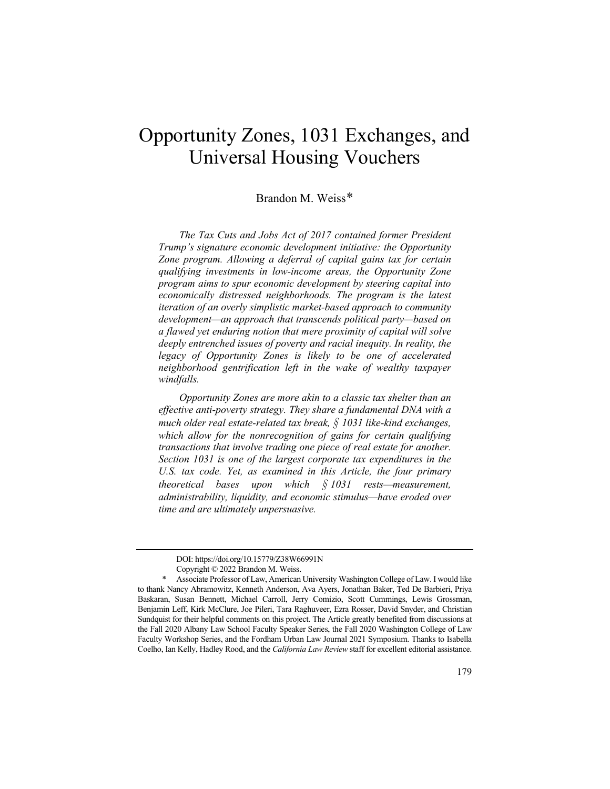# Opportunity Zones, 1031 Exchanges, and Universal Housing Vouchers

# Brandon M. Weiss[\\*](#page-0-0)

*The Tax Cuts and Jobs Act of 2017 contained former President Trump's signature economic development initiative: the Opportunity Zone program. Allowing a deferral of capital gains tax for certain qualifying investments in low-income areas, the Opportunity Zone program aims to spur economic development by steering capital into economically distressed neighborhoods. The program is the latest iteration of an overly simplistic market-based approach to community development—an approach that transcends political party—based on a flawed yet enduring notion that mere proximity of capital will solve deeply entrenched issues of poverty and racial inequity. In reality, the legacy of Opportunity Zones is likely to be one of accelerated neighborhood gentrification left in the wake of wealthy taxpayer windfalls.*

*Opportunity Zones are more akin to a classic tax shelter than an effective anti-poverty strategy. They share a fundamental DNA with a much older real estate-related tax break, § 1031 like-kind exchanges, which allow for the nonrecognition of gains for certain qualifying transactions that involve trading one piece of real estate for another. Section 1031 is one of the largest corporate tax expenditures in the U.S. tax code. Yet, as examined in this Article, the four primary theoretical bases upon which § 1031 rests—measurement, administrability, liquidity, and economic stimulus—have eroded over time and are ultimately unpersuasive.*

DOI: https://doi.org/10.15779/Z38W66991N

Copyright © 2022 Brandon M. Weiss.

<span id="page-0-0"></span><sup>\*</sup> Associate Professor of Law, American University Washington College of Law. I would like to thank Nancy Abramowitz, Kenneth Anderson, Ava Ayers, Jonathan Baker, Ted De Barbieri, Priya Baskaran, Susan Bennett, Michael Carroll, Jerry Comizio, Scott Cummings, Lewis Grossman, Benjamin Leff, Kirk McClure, Joe Pileri, Tara Raghuveer, Ezra Rosser, David Snyder, and Christian Sundquist for their helpful comments on this project. The Article greatly benefited from discussions at the Fall 2020 Albany Law School Faculty Speaker Series, the Fall 2020 Washington College of Law Faculty Workshop Series, and the Fordham Urban Law Journal 2021 Symposium. Thanks to Isabella Coelho, Ian Kelly, Hadley Rood, and the *California Law Review* staff for excellent editorial assistance.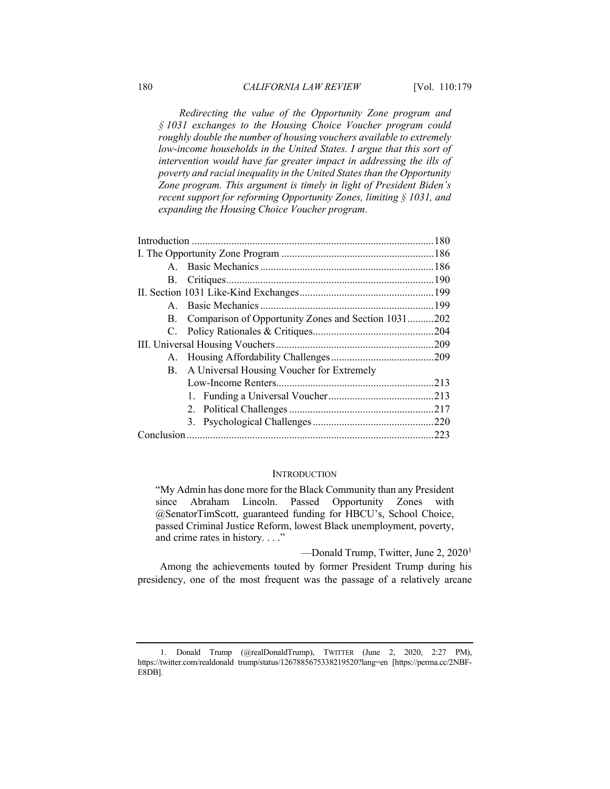*Redirecting the value of the Opportunity Zone program and § 1031 exchanges to the Housing Choice Voucher program could roughly double the number of housing vouchers available to extremely low-income households in the United States. I argue that this sort of intervention would have far greater impact in addressing the ills of poverty and racial inequality in the United States than the Opportunity Zone program. This argument is timely in light of President Biden's recent support for reforming Opportunity Zones, limiting § 1031, and expanding the Housing Choice Voucher program.*

|  | B. Comparison of Opportunity Zones and Section 1031202 |  |
|--|--------------------------------------------------------|--|
|  |                                                        |  |
|  |                                                        |  |
|  |                                                        |  |
|  | B. A Universal Housing Voucher for Extremely           |  |
|  |                                                        |  |
|  |                                                        |  |
|  |                                                        |  |
|  |                                                        |  |
|  |                                                        |  |

## **INTRODUCTION**

"My Admin has done more for the Black Community than any President since Abraham Lincoln. Passed Opportunity Zones with @SenatorTimScott, guaranteed funding for HBCU's, School Choice, passed Criminal Justice Reform, lowest Black unemployment, poverty, and crime rates in history. . . ."

—Donald Trump, Twitter, June 2, 2020[1](#page-1-0)

Among the achievements touted by former President Trump during his presidency, one of the most frequent was the passage of a relatively arcane

<span id="page-1-0"></span><sup>1.</sup> Donald Trump (@realDonaldTrump), TWITTER (June 2, 2020, 2:27 PM), [https://twitter.com/realdonald trump/status/1267885675338219520?lang=en](https://twitter.com/realdonald%20trump/status/1267885675338219520?lang=en) [https://perma.cc/2NBF-E8DB].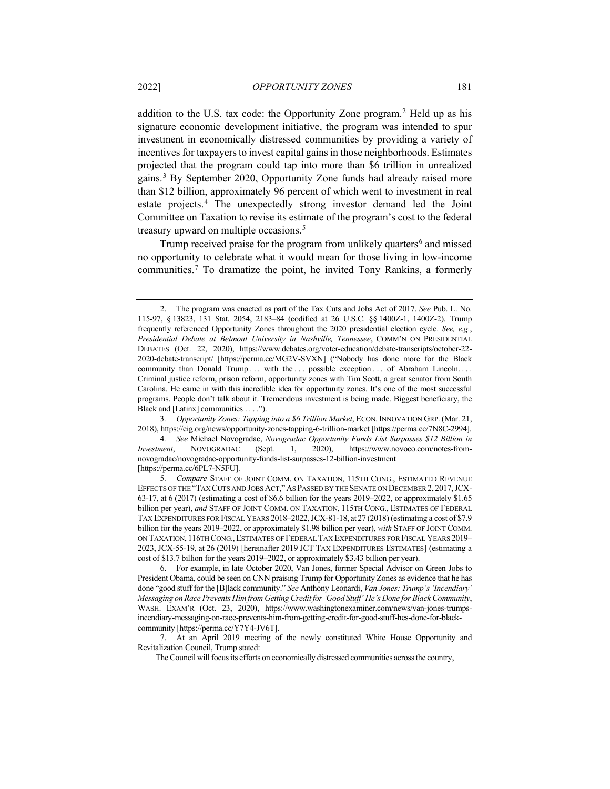addition to the U.S. tax code: the Opportunity Zone program.[2](#page-2-0) Held up as his signature economic development initiative, the program was intended to spur investment in economically distressed communities by providing a variety of incentives for taxpayers to invest capital gains in those neighborhoods. Estimates projected that the program could tap into more than \$6 trillion in unrealized gains.[3](#page-2-1) By September 2020, Opportunity Zone funds had already raised more than \$12 billion, approximately 96 percent of which went to investment in real estate projects. [4](#page-2-2) The unexpectedly strong investor demand led the Joint Committee on Taxation to revise its estimate of the program's cost to the federal treasury upward on multiple occasions. [5](#page-2-3)

<span id="page-2-7"></span><span id="page-2-6"></span>Trump received praise for the program from unlikely quarters<sup>[6](#page-2-4)</sup> and missed no opportunity to celebrate what it would mean for those living in low-income communities.[7](#page-2-5) To dramatize the point, he invited Tony Rankins, a formerly

<span id="page-2-1"></span>3*. Opportunity Zones: Tapping into a \$6 Trillion Market*, ECON. INNOVATION GRP. (Mar. 21, 2018), https://eig.org/news/opportunity-zones-tapping-6-trillion-market [https://perma.cc/7N8C-2994].

<span id="page-2-2"></span>4*. See* Michael Novogradac, *Novogradac Opportunity Funds List Surpasses \$12 Billion in Investment*, NOVOGRADAC (Sept. 1, 2020), https://www.novoco.com/notes-fromnovogradac/novogradac-opportunity-funds-list-surpasses-12-billion-investment [https://perma.cc/6PL7-N5FU].

<span id="page-2-0"></span><sup>2.</sup> The program was enacted as part of the Tax Cuts and Jobs Act of 2017. *See* Pub. L. No. 115-97, § 13823, 131 Stat. 2054, 2183–84 (codified at 26 U.S.C. §§ 1400Z-1, 1400Z-2). Trump frequently referenced Opportunity Zones throughout the 2020 presidential election cycle. *See, e.g.*, *Presidential Debate at Belmont University in Nashville, Tennessee*, COMM'N ON PRESIDENTIAL DEBATES (Oct. 22, 2020), https://www.debates.org/voter-education/debate-transcripts/october-22- 2020-debate-transcript/ [https://perma.cc/MG2V-SVXN] ("Nobody has done more for the Black community than Donald Trump ... with the ... possible exception ... of Abraham Lincoln.... Criminal justice reform, prison reform, opportunity zones with Tim Scott, a great senator from South Carolina. He came in with this incredible idea for opportunity zones. It's one of the most successful programs. People don't talk about it. Tremendous investment is being made. Biggest beneficiary, the Black and [Latinx] communities . . . .").

<span id="page-2-3"></span><sup>5</sup>*. Compare* STAFF OF JOINT COMM. ON TAXATION, 115TH CONG., ESTIMATED REVENUE EFFECTS OF THE "TAX CUTS AND JOBS ACT,"AS PASSED BY THE SENATE ON DECEMBER 2,2017,JCX-63-17, at 6 (2017) (estimating a cost of \$6.6 billion for the years 2019–2022, or approximately \$1.65 billion per year), *and* STAFF OF JOINT COMM. ON TAXATION, 115TH CONG., ESTIMATES OF FEDERAL TAX EXPENDITURES FOR FISCAL YEARS 2018–2022,JCX-81-18, at 27 (2018) (estimating a cost of \$7.9 billion for the years 2019–2022, or approximately \$1.98 billion per year), *with* STAFF OF JOINT COMM. ON TAXATION, 116TH CONG., ESTIMATES OF FEDERAL TAX EXPENDITURES FOR FISCAL YEARS 2019– 2023, JCX-55-19, at 26 (2019) [hereinafter 2019 JCT TAX EXPENDITURES ESTIMATES] (estimating a cost of \$13.7 billion for the years 2019–2022, or approximately \$3.43 billion per year).

<span id="page-2-4"></span><sup>6.</sup> For example, in late October 2020, Van Jones, former Special Advisor on Green Jobs to President Obama, could be seen on CNN praising Trump for Opportunity Zones as evidence that he has done "good stuff for the [B]lack community." *See* Anthony Leonardi, *Van Jones: Trump's 'Incendiary' Messaging on Race Prevents Him from Getting Credit for 'Good Stuff' He's Done for Black Community*, WASH. EXAM'R (Oct. 23, 2020), https://www.washingtonexaminer.com/news/van-jones-trumpsincendiary-messaging-on-race-prevents-him-from-getting-credit-for-good-stuff-hes-done-for-blackcommunity [https://perma.cc/Y7Y4-JV6T].

<span id="page-2-5"></span><sup>7.</sup> At an April 2019 meeting of the newly constituted White House Opportunity and Revitalization Council, Trump stated:

The Council will focus its efforts on economically distressed communities across the country,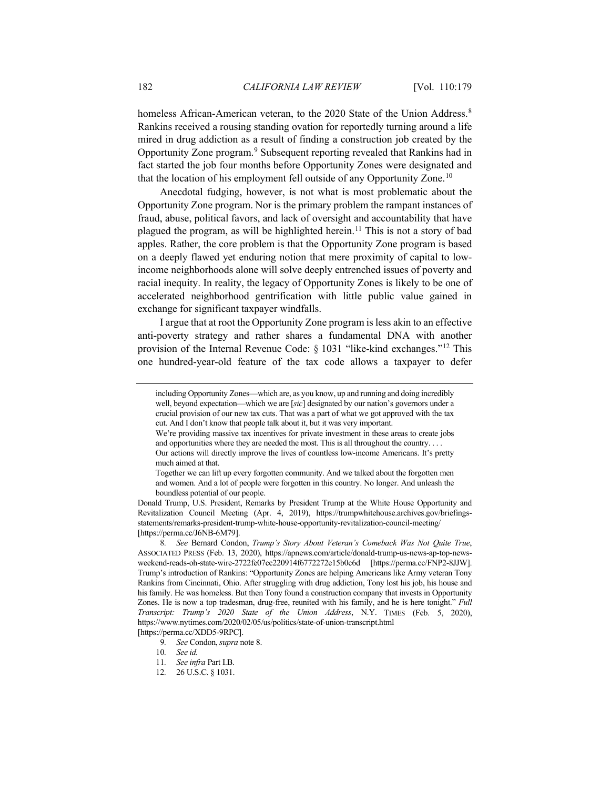<span id="page-3-0"></span>homeless African-American veteran, to the 2020 State of the Union Address.<sup>[8](#page-3-1)</sup> Rankins received a rousing standing ovation for reportedly turning around a life mired in drug addiction as a result of finding a construction job created by the Opportunity Zone program.[9](#page-3-2) Subsequent reporting revealed that Rankins had in fact started the job four months before Opportunity Zones were designated and that the location of his employment fell outside of any Opportunity Zone.<sup>[10](#page-3-3)</sup>

Anecdotal fudging, however, is not what is most problematic about the Opportunity Zone program. Nor is the primary problem the rampant instances of fraud, abuse, political favors, and lack of oversight and accountability that have plagued the program, as will be highlighted herein[.11](#page-3-4) This is not a story of bad apples. Rather, the core problem is that the Opportunity Zone program is based on a deeply flawed yet enduring notion that mere proximity of capital to lowincome neighborhoods alone will solve deeply entrenched issues of poverty and racial inequity. In reality, the legacy of Opportunity Zones is likely to be one of accelerated neighborhood gentrification with little public value gained in exchange for significant taxpayer windfalls.

I argue that at root the Opportunity Zone program is less akin to an effective anti-poverty strategy and rather shares a fundamental DNA with another provision of the Internal Revenue Code: § 1031 "like-kind exchanges."<sup>[12](#page-3-5)</sup> This one hundred-year-old feature of the tax code allows a taxpayer to defer

including Opportunity Zones—which are, as you know, up and running and doing incredibly well, beyond expectation—which we are [*sic*] designated by our nation's governors under a crucial provision of our new tax cuts. That was a part of what we got approved with the tax cut. And I don't know that people talk about it, but it was very important.

We're providing massive tax incentives for private investment in these areas to create jobs and opportunities where they are needed the most. This is all throughout the country. . . .

Our actions will directly improve the lives of countless low-income Americans. It's pretty much aimed at that.

Together we can lift up every forgotten community. And we talked about the forgotten men and women. And a lot of people were forgotten in this country. No longer. And unleash the boundless potential of our people.

Donald Trump, U.S. President, Remarks by President Trump at the White House Opportunity and Revitalization Council Meeting (Apr. 4, 2019), https://trumpwhitehouse.archives.gov/briefingsstatements/remarks-president-trump-white-house-opportunity-revitalization-council-meeting/ [https://perma.cc/J6NB-6M79].

<span id="page-3-1"></span><sup>8</sup>*. See* Bernard Condon, *Trump's Story About Veteran's Comeback Was Not Quite True*, ASSOCIATED PRESS (Feb. 13, 2020), https://apnews.com/article/donald-trump-us-news-ap-top-newsweekend-reads-oh-state-wire-2722fe07cc220914f6772272e15b0c6d [https://perma.cc/FNP2-8JJW]. Trump's introduction of Rankins: "Opportunity Zones are helping Americans like Army veteran Tony Rankins from Cincinnati, Ohio. After struggling with drug addiction, Tony lost his job, his house and his family. He was homeless. But then Tony found a construction company that invests in Opportunity Zones. He is now a top tradesman, drug-free, reunited with his family, and he is here tonight." *Full Transcript: Trump's 2020 State of the Union Address*, N.Y. TIMES (Feb. 5, 2020), https://www.nytimes.com/2020/02/05/us/politics/state-of-union-transcript.html [https://perma.cc/XDD5-9RPC].

<span id="page-3-3"></span><span id="page-3-2"></span><sup>9</sup>*. See* Condon, *supra* not[e 8.](#page-3-0)

<sup>10</sup>*. See id.* 

<sup>11</sup>*. See infra* Part I.B.

<span id="page-3-5"></span><span id="page-3-4"></span><sup>12</sup>*.* 26 U.S.C. § 1031.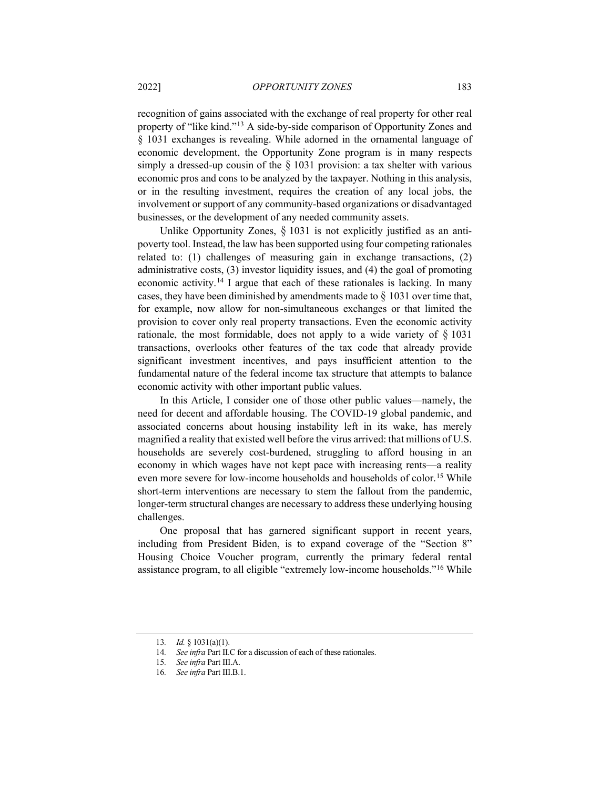recognition of gains associated with the exchange of real property for other real property of "like kind."[13](#page-4-0) A side-by-side comparison of Opportunity Zones and § 1031 exchanges is revealing. While adorned in the ornamental language of economic development, the Opportunity Zone program is in many respects simply a dressed-up cousin of the  $\S$  1031 provision: a tax shelter with various economic pros and cons to be analyzed by the taxpayer. Nothing in this analysis, or in the resulting investment, requires the creation of any local jobs, the involvement or support of any community-based organizations or disadvantaged businesses, or the development of any needed community assets.

Unlike Opportunity Zones,  $\S$  1031 is not explicitly justified as an antipoverty tool. Instead, the law has been supported using four competing rationales related to: (1) challenges of measuring gain in exchange transactions, (2) administrative costs, (3) investor liquidity issues, and (4) the goal of promoting economic activity.[14](#page-4-1) I argue that each of these rationales is lacking. In many cases, they have been diminished by amendments made to  $\S$  1031 over time that, for example, now allow for non-simultaneous exchanges or that limited the provision to cover only real property transactions. Even the economic activity rationale, the most formidable, does not apply to a wide variety of  $\S$  1031 transactions, overlooks other features of the tax code that already provide significant investment incentives, and pays insufficient attention to the fundamental nature of the federal income tax structure that attempts to balance economic activity with other important public values.

In this Article, I consider one of those other public values—namely, the need for decent and affordable housing. The COVID-19 global pandemic, and associated concerns about housing instability left in its wake, has merely magnified a reality that existed well before the virus arrived: that millions of U.S. households are severely cost-burdened, struggling to afford housing in an economy in which wages have not kept pace with increasing rents—a reality even more severe for low-income households and households of color.<sup>[15](#page-4-2)</sup> While short-term interventions are necessary to stem the fallout from the pandemic, longer-term structural changes are necessary to address these underlying housing challenges.

One proposal that has garnered significant support in recent years, including from President Biden, is to expand coverage of the "Section 8" Housing Choice Voucher program, currently the primary federal rental assistance program, to all eligible "extremely low-income households.["16](#page-4-3) While

<span id="page-4-0"></span><sup>13</sup>*. Id.* § 1031(a)(1).

<sup>14</sup>*. See infra* Part II.C for a discussion of each of these rationales.

<sup>15</sup>*. See infra* Part III.A.

<span id="page-4-3"></span><span id="page-4-2"></span><span id="page-4-1"></span><sup>16</sup>*. See infra* Part III.B.1.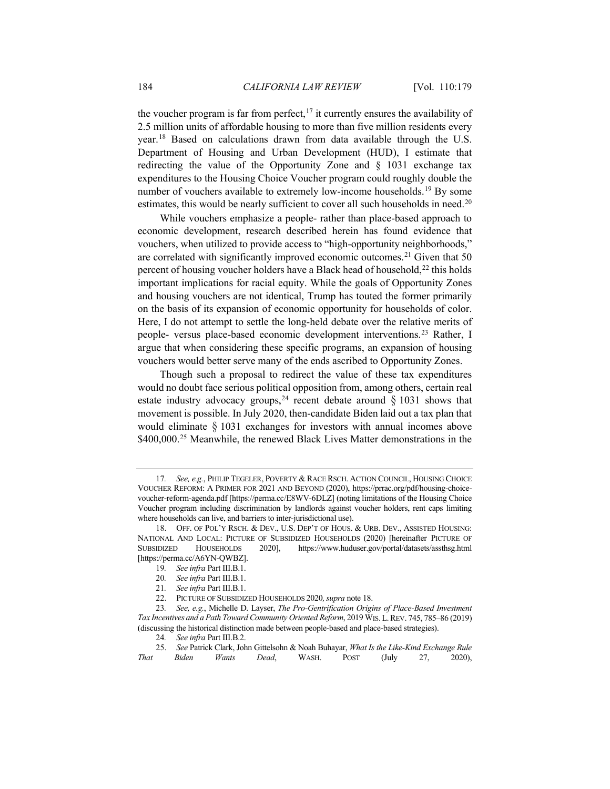<span id="page-5-11"></span><span id="page-5-0"></span>the voucher program is far from perfect,<sup>[17](#page-5-1)</sup> it currently ensures the availability of 2.5 million units of affordable housing to more than five million residents every year.[18](#page-5-2) Based on calculations drawn from data available through the U.S. Department of Housing and Urban Development (HUD), I estimate that redirecting the value of the Opportunity Zone and § 1031 exchange tax expenditures to the Housing Choice Voucher program could roughly double the number of vouchers available to extremely low-income households.<sup>19</sup> By some estimates, this would be nearly sufficient to cover all such households in need.<sup>[20](#page-5-4)</sup>

While vouchers emphasize a people- rather than place-based approach to economic development, research described herein has found evidence that vouchers, when utilized to provide access to "high-opportunity neighborhoods," are correlated with significantly improved economic outcomes.<sup>[21](#page-5-5)</sup> Given that 50 percent of housing voucher holders have a Black head of household,<sup>[22](#page-5-6)</sup> this holds important implications for racial equity. While the goals of Opportunity Zones and housing vouchers are not identical, Trump has touted the former primarily on the basis of its expansion of economic opportunity for households of color. Here, I do not attempt to settle the long-held debate over the relative merits of people- versus place-based economic development interventions.[23](#page-5-7) Rather, I argue that when considering these specific programs, an expansion of housing vouchers would better serve many of the ends ascribed to Opportunity Zones.

<span id="page-5-10"></span>Though such a proposal to redirect the value of these tax expenditures would no doubt face serious political opposition from, among others, certain real estate industry advocacy groups,<sup>[24](#page-5-8)</sup> recent debate around  $\S$  1031 shows that movement is possible. In July 2020, then-candidate Biden laid out a tax plan that would eliminate § 1031 exchanges for investors with annual incomes above \$400,000.<sup>[25](#page-5-9)</sup> Meanwhile, the renewed Black Lives Matter demonstrations in the

<span id="page-5-12"></span><span id="page-5-1"></span><sup>17</sup>*. See, e.g.*, PHILIP TEGELER, POVERTY & RACE RSCH. ACTION COUNCIL, HOUSING CHOICE VOUCHER REFORM: A PRIMER FOR 2021 AND BEYOND (2020), https://prrac.org/pdf/housing-choicevoucher-reform-agenda.pdf [https://perma.cc/E8WV-6DLZ] (noting limitations of the Housing Choice Voucher program including discrimination by landlords against voucher holders, rent caps limiting where households can live, and barriers to inter-jurisdictional use).

<span id="page-5-3"></span><span id="page-5-2"></span><sup>18.</sup> OFF. OF POL'Y RSCH. & DEV., U.S. DEP'T OF HOUS. & URB. DEV., ASSISTED HOUSING: NATIONAL AND LOCAL: PICTURE OF SUBSIDIZED HOUSEHOLDS (2020) [hereinafter PICTURE OF SUBSIDIZED HOUSEHOLDS 2020], https://www.huduser.gov/portal/datasets/assthsg.html 2020], https://www.huduser.gov/portal/datasets/assthsg.html [https://perma.cc/A6YN-QWBZ].

<sup>19</sup>*. See infra* Part III.B.1.

<sup>20</sup>*. See infra* Part III.B.1.

<sup>21</sup>*. See infra* Part III.B.1.

<sup>22.</sup> PICTURE OF SUBSIDIZED HOUSEHOLDS 2020, *supra* not[e 18.](#page-5-0)

<span id="page-5-7"></span><span id="page-5-6"></span><span id="page-5-5"></span><span id="page-5-4"></span><sup>23</sup>*. See, e.g.*, Michelle D. Layser, *The Pro-Gentrification Origins of Place-Based Investment Tax Incentives and a Path Toward Community Oriented Reform*, 2019 WIS.L.REV. 745, 785–86 (2019) (discussing the historical distinction made between people-based and place-based strategies).

<sup>24</sup>*. See infra* Part III.B.2.

<span id="page-5-9"></span><span id="page-5-8"></span><sup>25.</sup> *See* Patrick Clark, John Gittelsohn & Noah Buhayar, *What Is the Like-Kind Exchange Rule That Biden Wants Dead*, WASH. POST (July 27, 2020),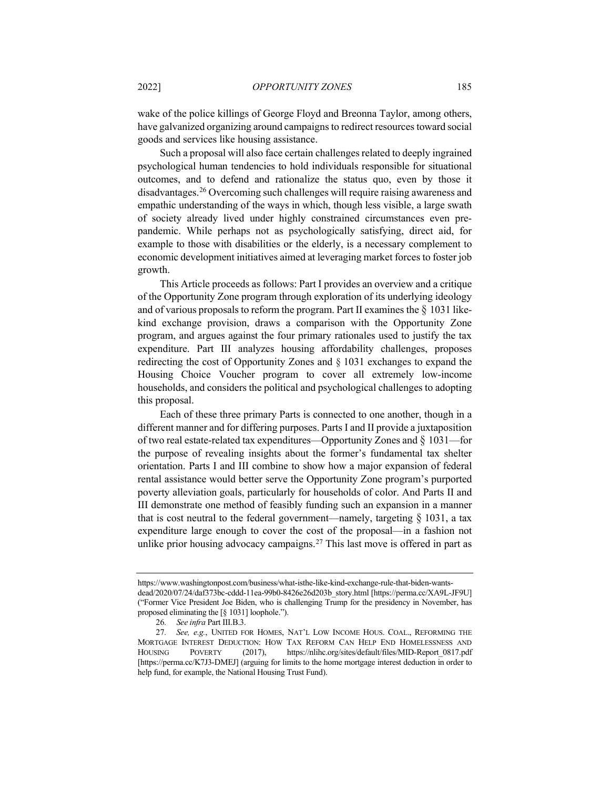wake of the police killings of George Floyd and Breonna Taylor, among others, have galvanized organizing around campaigns to redirect resources toward social goods and services like housing assistance.

Such a proposal will also face certain challenges related to deeply ingrained psychological human tendencies to hold individuals responsible for situational outcomes, and to defend and rationalize the status quo, even by those it disadvantages.[26](#page-6-0) Overcoming such challenges will require raising awareness and empathic understanding of the ways in which, though less visible, a large swath of society already lived under highly constrained circumstances even prepandemic. While perhaps not as psychologically satisfying, direct aid, for example to those with disabilities or the elderly, is a necessary complement to economic development initiatives aimed at leveraging market forces to foster job growth.

This Article proceeds as follows: Part I provides an overview and a critique of the Opportunity Zone program through exploration of its underlying ideology and of various proposals to reform the program. Part II examines the  $\S$  1031 likekind exchange provision, draws a comparison with the Opportunity Zone program, and argues against the four primary rationales used to justify the tax expenditure. Part III analyzes housing affordability challenges, proposes redirecting the cost of Opportunity Zones and § 1031 exchanges to expand the Housing Choice Voucher program to cover all extremely low-income households, and considers the political and psychological challenges to adopting this proposal.

Each of these three primary Parts is connected to one another, though in a different manner and for differing purposes. Parts I and II provide a juxtaposition of two real estate-related tax expenditures—Opportunity Zones and § 1031—for the purpose of revealing insights about the former's fundamental tax shelter orientation. Parts I and III combine to show how a major expansion of federal rental assistance would better serve the Opportunity Zone program's purported poverty alleviation goals, particularly for households of color. And Parts II and III demonstrate one method of feasibly funding such an expansion in a manner that is cost neutral to the federal government—namely, targeting  $\S$  1031, a tax expenditure large enough to cover the cost of the proposal—in a fashion not unlike prior housing advocacy campaigns.<sup>[27](#page-6-1)</sup> This last move is offered in part as

https://www.washingtonpost.com/business/what-isthe-like-kind-exchange-rule-that-biden-wantsdead/2020/07/24/daf373bc-cddd-11ea-99b0-8426e26d203b\_story.html [https://perma.cc/XA9L-JF9U] ("Former Vice President Joe Biden, who is challenging Trump for the presidency in November, has proposed eliminating the [§ 1031] loophole.").

<sup>26</sup>*. See infra* Part III.B.3.

<span id="page-6-1"></span><span id="page-6-0"></span><sup>27</sup>*. See, e.g.*, UNITED FOR HOMES, NAT'L LOW INCOME HOUS. COAL., REFORMING THE MORTGAGE INTEREST DEDUCTION: HOW TAX REFORM CAN HELP END HOMELESSNESS AND HOUSING POVERTY (2017), https://nlihc.org/sites/default/files/MID-Report\_0817.pdf [https://perma.cc/K7J3-DMEJ] (arguing for limits to the home mortgage interest deduction in order to help fund, for example, the National Housing Trust Fund).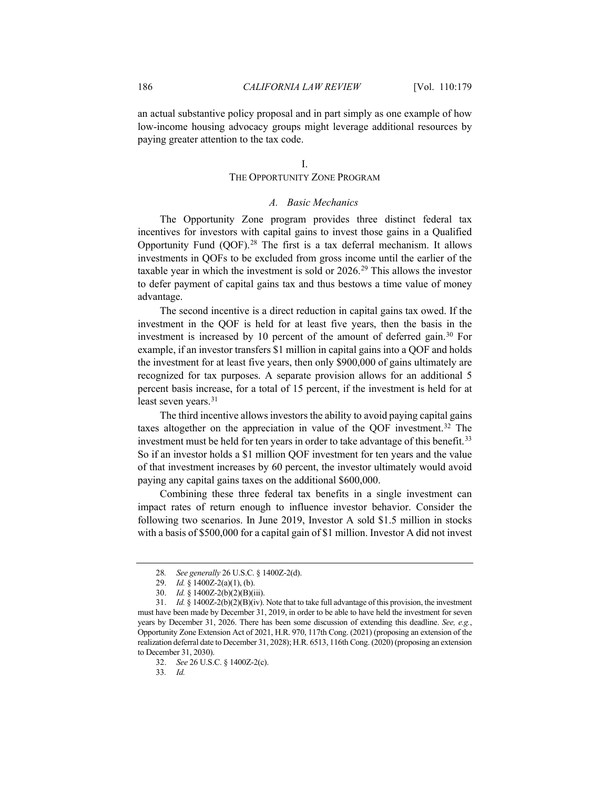an actual substantive policy proposal and in part simply as one example of how low-income housing advocacy groups might leverage additional resources by paying greater attention to the tax code.

## I.

## THE OPPORTUNITY ZONE PROGRAM

# <span id="page-7-7"></span>*A. Basic Mechanics*

The Opportunity Zone program provides three distinct federal tax incentives for investors with capital gains to invest those gains in a Qualified Opportunity Fund (QOF).[28](#page-7-0) The first is a tax deferral mechanism. It allows investments in QOFs to be excluded from gross income until the earlier of the taxable year in which the investment is sold or 2026.[29](#page-7-1) This allows the investor to defer payment of capital gains tax and thus bestows a time value of money advantage.

The second incentive is a direct reduction in capital gains tax owed. If the investment in the QOF is held for at least five years, then the basis in the investment is increased by 10 percent of the amount of deferred gain.<sup>[30](#page-7-2)</sup> For example, if an investor transfers \$1 million in capital gains into a QOF and holds the investment for at least five years, then only \$900,000 of gains ultimately are recognized for tax purposes. A separate provision allows for an additional 5 percent basis increase, for a total of 15 percent, if the investment is held for at least seven years.<sup>[31](#page-7-3)</sup>

<span id="page-7-6"></span>The third incentive allows investors the ability to avoid paying capital gains taxes altogether on the appreciation in value of the QOF investment.[32](#page-7-4) The investment must be held for ten years in order to take advantage of this benefit.<sup>[33](#page-7-5)</sup> So if an investor holds a \$1 million QOF investment for ten years and the value of that investment increases by 60 percent, the investor ultimately would avoid paying any capital gains taxes on the additional \$600,000.

Combining these three federal tax benefits in a single investment can impact rates of return enough to influence investor behavior. Consider the following two scenarios. In June 2019, Investor A sold \$1.5 million in stocks with a basis of \$500,000 for a capital gain of \$1 million. Investor A did not invest

<sup>28</sup>*. See generally* 26 U.S.C. § 1400Z-2(d).

<sup>29.</sup> *Id.* § 1400Z-2(a)(1), (b).

<sup>30.</sup> *Id.* § 1400Z-2(b)(2)(B)(iii).

<span id="page-7-4"></span><span id="page-7-3"></span><span id="page-7-2"></span><span id="page-7-1"></span><span id="page-7-0"></span><sup>31.</sup> *Id.* § 1400Z-2(b)(2)(B)(iv). Note that to take full advantage of this provision, the investment must have been made by December 31, 2019, in order to be able to have held the investment for seven years by December 31, 2026. There has been some discussion of extending this deadline. *See, e.g.*, Opportunity Zone Extension Act of 2021, H.R. 970, 117th Cong. (2021) (proposing an extension of the realization deferral date to December 31, 2028); H.R. 6513, 116th Cong. (2020) (proposing an extension to December 31, 2030).

<span id="page-7-5"></span><sup>32.</sup> *See* 26 U.S.C. § 1400Z-2(c).

<sup>33</sup>*. Id.*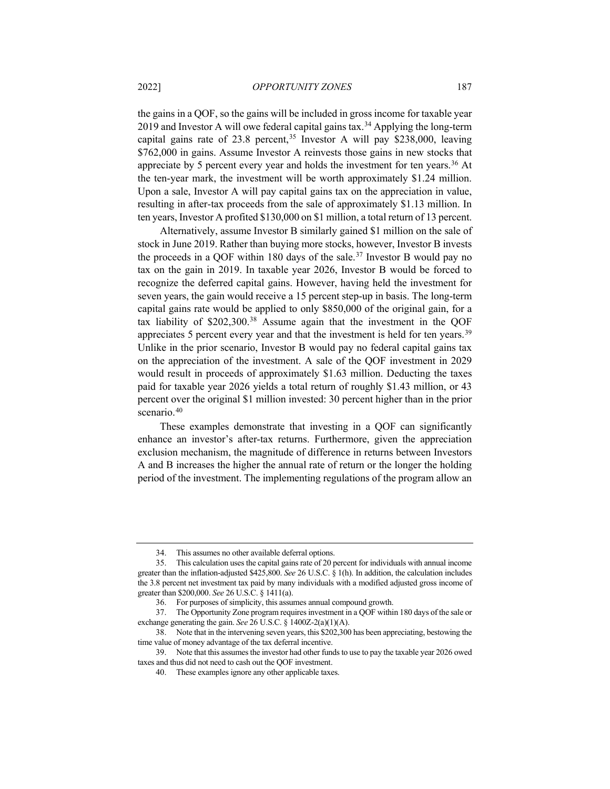<span id="page-8-7"></span>the gains in a QOF, so the gains will be included in gross income for taxable year 2019 and Investor A will owe federal capital gains tax.<sup>[34](#page-8-0)</sup> Applying the long-term capital gains rate of 23.8 percent,  $35$  Investor A will pay \$238,000, leaving \$762,000 in gains. Assume Investor A reinvests those gains in new stocks that appreciate by 5 percent every year and holds the investment for ten years.<sup>[36](#page-8-2)</sup> At the ten-year mark, the investment will be worth approximately \$1.24 million. Upon a sale, Investor A will pay capital gains tax on the appreciation in value, resulting in after-tax proceeds from the sale of approximately \$1.13 million. In ten years, Investor A profited \$130,000 on \$1 million, a total return of 13 percent.

Alternatively, assume Investor B similarly gained \$1 million on the sale of stock in June 2019. Rather than buying more stocks, however, Investor B invests the proceeds in a QOF within 180 days of the sale.<sup>[37](#page-8-3)</sup> Investor B would pay no tax on the gain in 2019. In taxable year 2026, Investor B would be forced to recognize the deferred capital gains. However, having held the investment for seven years, the gain would receive a 15 percent step-up in basis. The long-term capital gains rate would be applied to only \$850,000 of the original gain, for a tax liability of \$202,300.[38](#page-8-4) Assume again that the investment in the QOF appreciates 5 percent every year and that the investment is held for ten years.<sup>[39](#page-8-5)</sup> Unlike in the prior scenario, Investor B would pay no federal capital gains tax on the appreciation of the investment. A sale of the QOF investment in 2029 would result in proceeds of approximately \$1.63 million. Deducting the taxes paid for taxable year 2026 yields a total return of roughly \$1.43 million, or 43 percent over the original \$1 million invested: 30 percent higher than in the prior scenario.<sup>[40](#page-8-6)</sup>

These examples demonstrate that investing in a QOF can significantly enhance an investor's after-tax returns. Furthermore, given the appreciation exclusion mechanism, the magnitude of difference in returns between Investors A and B increases the higher the annual rate of return or the longer the holding period of the investment. The implementing regulations of the program allow an

<sup>34.</sup> This assumes no other available deferral options.

<span id="page-8-1"></span><span id="page-8-0"></span><sup>35.</sup> This calculation uses the capital gains rate of 20 percent for individuals with annual income greater than the inflation-adjusted \$425,800. *See* 26 U.S.C. § 1(h). In addition, the calculation includes the 3.8 percent net investment tax paid by many individuals with a modified adjusted gross income of greater than \$200,000. *See* 26 U.S.C. § 1411(a).

<sup>36.</sup> For purposes of simplicity, this assumes annual compound growth.

<span id="page-8-3"></span><span id="page-8-2"></span><sup>37.</sup> The Opportunity Zone program requires investment in a QOF within 180 days of the sale or exchange generating the gain. *See* 26 U.S.C. § 1400Z-2(a)(1)(A).

<span id="page-8-4"></span><sup>38.</sup> Note that in the intervening seven years, this \$202,300 has been appreciating, bestowing the time value of money advantage of the tax deferral incentive.

<span id="page-8-6"></span><span id="page-8-5"></span><sup>39.</sup> Note that this assumes the investor had other funds to use to pay the taxable year 2026 owed taxes and thus did not need to cash out the QOF investment.

<sup>40.</sup> These examples ignore any other applicable taxes.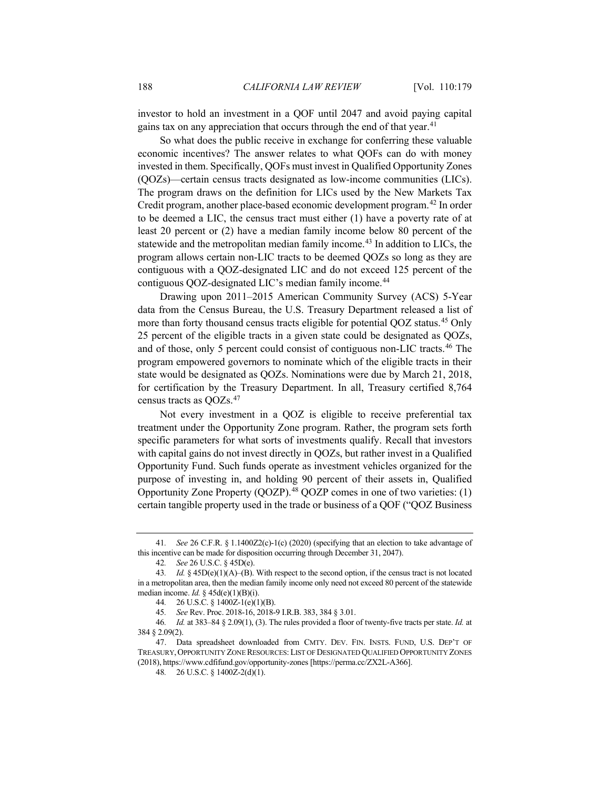investor to hold an investment in a QOF until 2047 and avoid paying capital gains tax on any appreciation that occurs through the end of that year.<sup>[41](#page-9-0)</sup>

So what does the public receive in exchange for conferring these valuable economic incentives? The answer relates to what QOFs can do with money invested in them. Specifically, QOFs must invest in Qualified Opportunity Zones (QOZs)—certain census tracts designated as low-income communities (LICs). The program draws on the definition for LICs used by the New Markets Tax Credit program, another place-based economic development program.[42](#page-9-1) In order to be deemed a LIC, the census tract must either (1) have a poverty rate of at least 20 percent or (2) have a median family income below 80 percent of the statewide and the metropolitan median family income.[43](#page-9-2) In addition to LICs, the program allows certain non-LIC tracts to be deemed QOZs so long as they are contiguous with a QOZ-designated LIC and do not exceed 125 percent of the contiguous QOZ-designated LIC's median family income. [44](#page-9-3)

Drawing upon 2011–2015 American Community Survey (ACS) 5-Year data from the Census Bureau, the U.S. Treasury Department released a list of more than forty thousand census tracts eligible for potential QOZ status.[45](#page-9-4) Only 25 percent of the eligible tracts in a given state could be designated as QOZs, and of those, only 5 percent could consist of contiguous non-LIC tracts.[46](#page-9-5) The program empowered governors to nominate which of the eligible tracts in their state would be designated as QOZs. Nominations were due by March 21, 2018, for certification by the Treasury Department. In all, Treasury certified 8,764 census tracts as QOZs. [47](#page-9-6)

Not every investment in a QOZ is eligible to receive preferential tax treatment under the Opportunity Zone program. Rather, the program sets forth specific parameters for what sorts of investments qualify. Recall that investors with capital gains do not invest directly in QOZs, but rather invest in a Qualified Opportunity Fund. Such funds operate as investment vehicles organized for the purpose of investing in, and holding 90 percent of their assets in, Qualified Opportunity Zone Property (QOZP).[48](#page-9-7) QOZP comes in one of two varieties: (1) certain tangible property used in the trade or business of a QOF ("QOZ Business

<span id="page-9-0"></span><sup>41</sup>*. See* 26 C.F.R. § 1.1400Z2(c)-1(c) (2020) (specifying that an election to take advantage of this incentive can be made for disposition occurring through December 31, 2047).

<sup>42</sup>*. See* 26 U.S.C. § 45D(e).

<span id="page-9-2"></span><span id="page-9-1"></span><sup>43</sup>*. Id.* § 45D(e)(1)(A)–(B). With respect to the second option, if the census tract is not located in a metropolitan area, then the median family income only need not exceed 80 percent of the statewide median income. *Id.* § 45d(e)(1)(B)(i).

<sup>44</sup>*.* 26 U.S.C. § 1400Z-1(e)(1)(B).

<sup>45</sup>*. See* Rev. Proc. 2018-16, 2018-9 I.R.B. 383, 384 § 3.01.

<span id="page-9-5"></span><span id="page-9-4"></span><span id="page-9-3"></span><sup>46</sup>*. Id.* at 383–84 § 2.09(1), (3). The rules provided a floor of twenty-five tracts per state. *Id.* at 384 § 2.09(2).

<span id="page-9-7"></span><span id="page-9-6"></span><sup>47.</sup> Data spreadsheet downloaded from CMTY. DEV. FIN. INSTS. FUND, U.S. DEP'T OF TREASURY,OPPORTUNITY ZONE RESOURCES:LIST OF DESIGNATED QUALIFIED OPPORTUNITY ZONES (2018), https://www.cdfifund.gov/opportunity-zones [https://perma.cc/ZX2L-A366].

<sup>48</sup>*.* 26 U.S.C. § 1400Z-2(d)(1).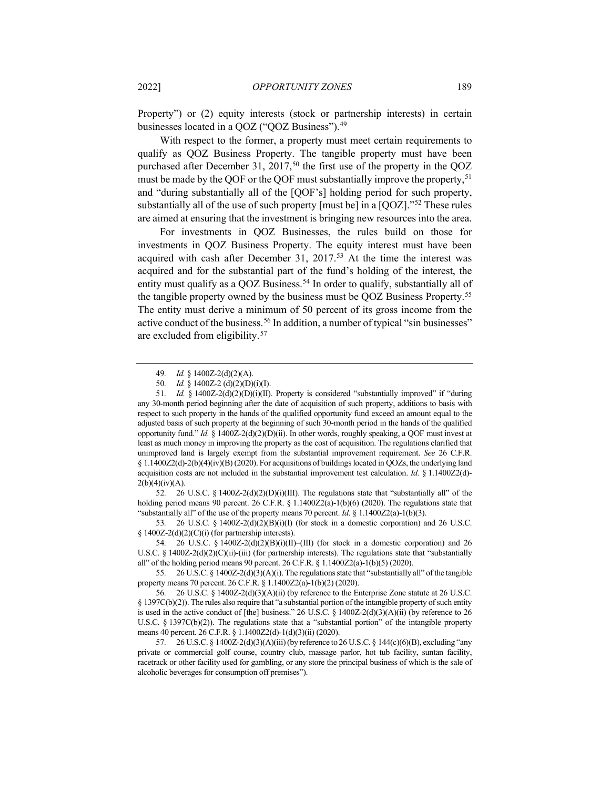Property") or (2) equity interests (stock or partnership interests) in certain businesses located in a QOZ ("QOZ Business")[.49](#page-10-0)

<span id="page-10-9"></span>With respect to the former, a property must meet certain requirements to qualify as QOZ Business Property. The tangible property must have been purchased after December 31, 2017,<sup>[50](#page-10-1)</sup> the first use of the property in the  $QOZ$ must be made by the QOF or the QOF must substantially improve the property,<sup>[51](#page-10-2)</sup> and "during substantially all of the [QOF's] holding period for such property, substantially all of the use of such property [must be] in a [QOZ].["52](#page-10-3) These rules are aimed at ensuring that the investment is bringing new resources into the area.

For investments in QOZ Businesses, the rules build on those for investments in QOZ Business Property. The equity interest must have been acquired with cash after December 31, 2017.<sup>[53](#page-10-4)</sup> At the time the interest was acquired and for the substantial part of the fund's holding of the interest, the entity must qualify as a QOZ Business.<sup>[54](#page-10-5)</sup> In order to qualify, substantially all of the tangible property owned by the business must be QOZ Business Property.[55](#page-10-6) The entity must derive a minimum of 50 percent of its gross income from the active conduct of the business.<sup>[56](#page-10-7)</sup> In addition, a number of typical "sin businesses" are excluded from eligibility.[57](#page-10-8)

<span id="page-10-3"></span>52*.* 26 U.S.C. § 1400Z-2(d)(2)(D)(i)(III). The regulations state that "substantially all" of the holding period means 90 percent. 26 C.F.R. § 1.1400Z2(a)-1(b)(6) (2020). The regulations state that "substantially all" of the use of the property means 70 percent. *Id.* § 1.1400Z2(a)-1(b)(3).

<span id="page-10-4"></span>53*.* 26 U.S.C. § 1400Z-2(d)(2)(B)(i)(I) (for stock in a domestic corporation) and 26 U.S.C.  $§ 1400Z-2(d)(2)(C)(i)$  (for partnership interests).

<span id="page-10-5"></span>54*.* 26 U.S.C. § 1400Z-2(d)(2)(B)(i)(II)–(III) (for stock in a domestic corporation) and 26 U.S.C. § 1400Z-2(d)(2)(C)(ii)-(iii) (for partnership interests). The regulations state that "substantially all" of the holding period means 90 percent. 26 C.F.R. § 1.1400Z2(a)-1(b)(5) (2020).

<span id="page-10-6"></span>55*.* 26 U.S.C. § 1400Z-2(d)(3)(A)(i). The regulations state that "substantially all" of the tangible property means 70 percent. 26 C.F.R. § 1.1400Z2(a)-1(b)(2) (2020).

<sup>49</sup>*. Id.* § 1400Z-2(d)(2)(A).

<sup>50</sup>*. Id.* § 1400Z-2 (d)(2)(D)(i)(I).

<span id="page-10-2"></span><span id="page-10-1"></span><span id="page-10-0"></span><sup>51</sup>*. Id.* § 1400Z-2(d)(2)(D)(i)(II). Property is considered "substantially improved" if "during any 30-month period beginning after the date of acquisition of such property, additions to basis with respect to such property in the hands of the qualified opportunity fund exceed an amount equal to the adjusted basis of such property at the beginning of such 30-month period in the hands of the qualified opportunity fund." *Id.* § 1400Z-2(d)(2)(D)(ii). In other words, roughly speaking, a QOF must invest at least as much money in improving the property as the cost of acquisition. The regulations clarified that unimproved land is largely exempt from the substantial improvement requirement. *See* 26 C.F.R. § 1.1400Z2(d)-2(b)(4)(iv)(B) (2020). For acquisitions of buildings located in QOZs, the underlying land acquisition costs are not included in the substantial improvement test calculation. *Id.* § 1.1400Z2(d)-  $2(b)(4)(iv)(A).$ 

<span id="page-10-7"></span><sup>56</sup>*.* 26 U.S.C. § 1400Z-2(d)(3)(A)(ii) (by reference to the Enterprise Zone statute at 26 U.S.C. § 1397C(b)(2)). The rules also require that "a substantial portion of the intangible property of such entity is used in the active conduct of [the] business." 26 U.S.C. §  $1400Z-2(d)(3)(A)(ii)$  (by reference to 26 U.S.C. § 1397C(b)(2)). The regulations state that a "substantial portion" of the intangible property means 40 percent. 26 C.F.R. § 1.1400Z2(d)-1(d)(3)(ii) (2020).

<span id="page-10-8"></span><sup>57</sup>*.* 26 U.S.C. § 1400Z-2(d)(3)(A)(iii) (by reference to 26 U.S.C. § 144(c)(6)(B), excluding "any private or commercial golf course, country club, massage parlor, hot tub facility, suntan facility, racetrack or other facility used for gambling, or any store the principal business of which is the sale of alcoholic beverages for consumption off premises").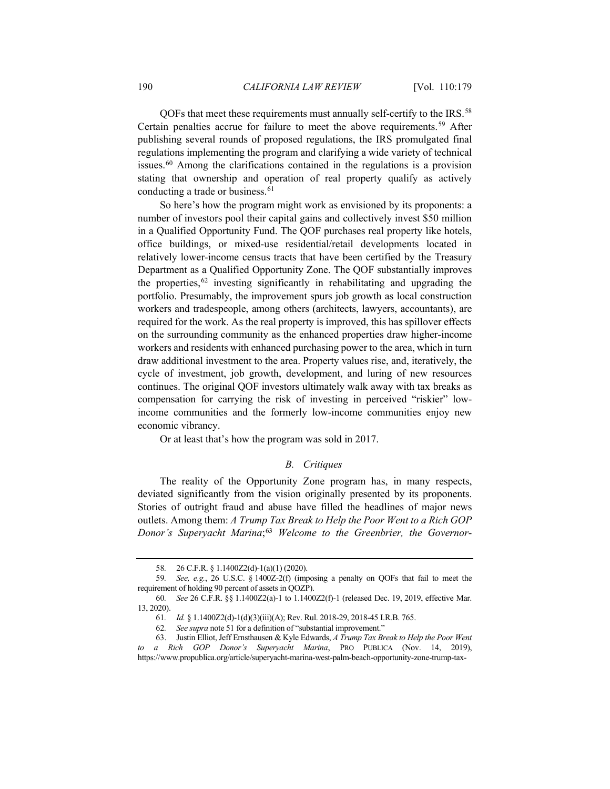QOFs that meet these requirements must annually self-certify to the IRS.<sup>[58](#page-11-0)</sup> Certain penalties accrue for failure to meet the above requirements.[59](#page-11-1) After publishing several rounds of proposed regulations, the IRS promulgated final regulations implementing the program and clarifying a wide variety of technical issues.[60](#page-11-2) Among the clarifications contained in the regulations is a provision stating that ownership and operation of real property qualify as actively conducting a trade or business.<sup>[61](#page-11-3)</sup>

So here's how the program might work as envisioned by its proponents: a number of investors pool their capital gains and collectively invest \$50 million in a Qualified Opportunity Fund. The QOF purchases real property like hotels, office buildings, or mixed-use residential/retail developments located in relatively lower-income census tracts that have been certified by the Treasury Department as a Qualified Opportunity Zone. The QOF substantially improves the properties,  $62$  investing significantly in rehabilitating and upgrading the portfolio. Presumably, the improvement spurs job growth as local construction workers and tradespeople, among others (architects, lawyers, accountants), are required for the work. As the real property is improved, this has spillover effects on the surrounding community as the enhanced properties draw higher-income workers and residents with enhanced purchasing power to the area, which in turn draw additional investment to the area. Property values rise, and, iteratively, the cycle of investment, job growth, development, and luring of new resources continues. The original QOF investors ultimately walk away with tax breaks as compensation for carrying the risk of investing in perceived "riskier" lowincome communities and the formerly low-income communities enjoy new economic vibrancy.

Or at least that's how the program was sold in 2017.

## *B. Critiques*

The reality of the Opportunity Zone program has, in many respects, deviated significantly from the vision originally presented by its proponents. Stories of outright fraud and abuse have filled the headlines of major news outlets. Among them: *A Trump Tax Break to Help the Poor Went to a Rich GOP Donor's Superyacht Marina*; [63](#page-11-5) *Welcome to the Greenbrier, the Governor-*

<sup>58</sup>*.* 26 C.F.R. § 1.1400Z2(d)-1(a)(1) (2020).

<span id="page-11-1"></span><span id="page-11-0"></span><sup>59</sup>*. See, e.g.*, 26 U.S.C. § 1400Z-2(f) (imposing a penalty on QOFs that fail to meet the requirement of holding 90 percent of assets in QOZP).

<span id="page-11-2"></span><sup>60</sup>*. See* 26 C.F.R. §§ 1.1400Z2(a)-1 to 1.1400Z2(f)-1 (released Dec. 19, 2019, effective Mar. 13, 2020).

<sup>61</sup>*. Id.* § 1.1400Z2(d)-1(d)(3)(iii)(A); Rev. Rul. 2018-29, 2018-45 I.R.B. 765.

<sup>62</sup>*. See supra* not[e 51](#page-10-9) for a definition of "substantial improvement."

<span id="page-11-5"></span><span id="page-11-4"></span><span id="page-11-3"></span><sup>63.</sup> Justin Elliot, Jeff Ernsthausen & Kyle Edwards, *A Trump Tax Break to Help the Poor Went to a Rich GOP Donor's Superyacht Marina*, PRO PUBLICA (Nov. 14, 2019), https://www.propublica.org/article/superyacht-marina-west-palm-beach-opportunity-zone-trump-tax-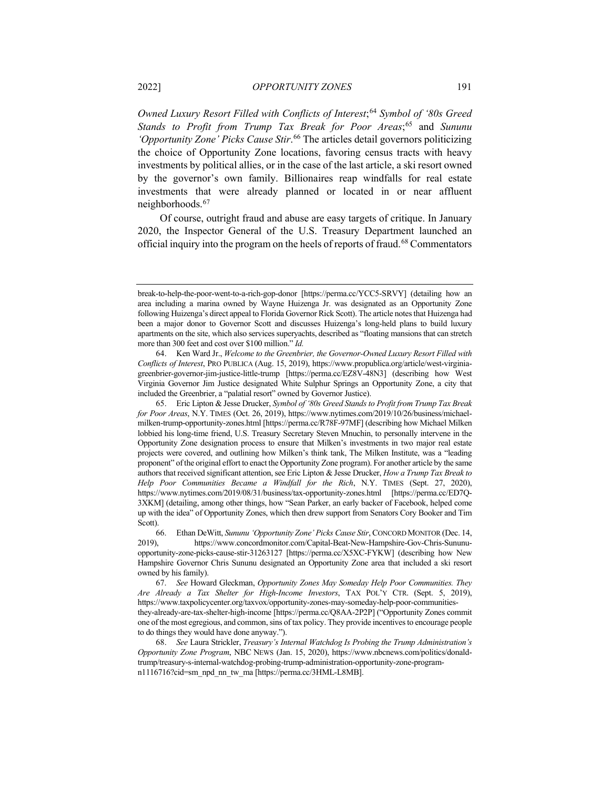*Owned Luxury Resort Filled with Conflicts of Interest*;[64](#page-12-0) *Symbol of '80s Greed Stands to Profit from Trump Tax Break for Poor Areas*; [65](#page-12-1) and *Sununu 'Opportunity Zone' Picks Cause Stir*. [66](#page-12-2) The articles detail governors politicizing the choice of Opportunity Zone locations, favoring census tracts with heavy investments by political allies, or in the case of the last article, a ski resort owned by the governor's own family. Billionaires reap windfalls for real estate investments that were already planned or located in or near affluent neighborhoods.[67](#page-12-3)

Of course, outright fraud and abuse are easy targets of critique. In January 2020, the Inspector General of the U.S. Treasury Department launched an official inquiry into the program on the heels of reports of fraud.[68](#page-12-4) Commentators

break-to-help-the-poor-went-to-a-rich-gop-donor [https://perma.cc/YCC5-SRVY] (detailing how an area including a marina owned by Wayne Huizenga Jr. was designated as an Opportunity Zone following Huizenga's direct appeal to Florida Governor Rick Scott). The article notes that Huizenga had been a major donor to Governor Scott and discusses Huizenga's long-held plans to build luxury apartments on the site, which also services superyachts, described as "floating mansions that can stretch more than 300 feet and cost over \$100 million." *Id.* 

<span id="page-12-0"></span><sup>64.</sup> Ken Ward Jr., *Welcome to the Greenbrier, the Governor-Owned Luxury Resort Filled with Conflicts of Interest*, PRO PUBLICA (Aug. 15, 2019), https://www.propublica.org/article/west-virginiagreenbrier-governor-jim-justice-little-trump [https://perma.cc/EZ8V-48N3] (describing how West Virginia Governor Jim Justice designated White Sulphur Springs an Opportunity Zone, a city that included the Greenbrier, a "palatial resort" owned by Governor Justice).

<span id="page-12-1"></span><sup>65.</sup> Eric Lipton & Jesse Drucker, *Symbol of '80s Greed Stands to Profit from Trump Tax Break for Poor Areas*, N.Y. TIMES (Oct. 26, 2019), https://www.nytimes.com/2019/10/26/business/michaelmilken-trump-opportunity-zones.html [https://perma.cc/R78F-97MF] (describing how Michael Milken lobbied his long-time friend, U.S. Treasury Secretary Steven Mnuchin, to personally intervene in the Opportunity Zone designation process to ensure that Milken's investments in two major real estate projects were covered, and outlining how Milken's think tank, The Milken Institute, was a "leading proponent" of the original effort to enact the Opportunity Zone program). For another article by the same authors that received significant attention, see Eric Lipton & Jesse Drucker, *How a Trump Tax Break to Help Poor Communities Became a Windfall for the Rich*, N.Y. TIMES (Sept. 27, 2020), https://www.nytimes.com/2019/08/31/business/tax-opportunity-zones.html [https://perma.cc/ED7Q-3XKM] (detailing, among other things, how "Sean Parker, an early backer of Facebook, helped come up with the idea" of Opportunity Zones, which then drew support from Senators Cory Booker and Tim Scott).

<span id="page-12-2"></span><sup>66.</sup> Ethan DeWitt, *Sununu 'Opportunity Zone' Picks Cause Stir*, CONCORD MONITOR (Dec. 14, https://www.concordmonitor.com/Capital-Beat-New-Hampshire-Gov-Chris-Sununuopportunity-zone-picks-cause-stir-31263127 [https://perma.cc/X5XC-FYKW] (describing how New Hampshire Governor Chris Sununu designated an Opportunity Zone area that included a ski resort owned by his family).

<span id="page-12-3"></span><sup>67.</sup> *See* Howard Gleckman, *Opportunity Zones May Someday Help Poor Communities. They Are Already a Tax Shelter for High-Income Investors*, TAX POL'Y CTR. (Sept. 5, 2019), https://www.taxpolicycenter.org/taxvox/opportunity-zones-may-someday-help-poor-communitiesthey-already-are-tax-shelter-high-income [https://perma.cc/Q8AA-2P2P] ("Opportunity Zones commit one of the most egregious, and common, sins of tax policy. They provide incentives to encourage people to do things they would have done anyway.").

<span id="page-12-4"></span><sup>68.</sup> *See* Laura Strickler, *Treasury's Internal Watchdog Is Probing the Trump Administration's Opportunity Zone Program*, NBC NEWS (Jan. 15, 2020), https://www.nbcnews.com/politics/donaldtrump/treasury-s-internal-watchdog-probing-trump-administration-opportunity-zone-programn1116716?cid=sm\_npd\_nn\_tw\_ma [https://perma.cc/3HML-L8MB].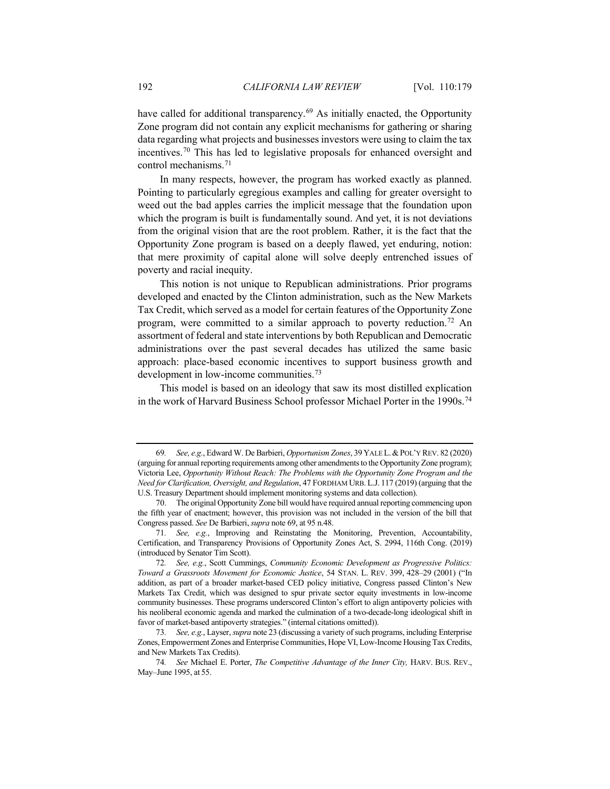<span id="page-13-0"></span>have called for additional transparency.<sup>[69](#page-13-1)</sup> As initially enacted, the Opportunity Zone program did not contain any explicit mechanisms for gathering or sharing data regarding what projects and businesses investors were using to claim the tax incentives.[70](#page-13-2) This has led to legislative proposals for enhanced oversight and control mechanisms.<sup>[71](#page-13-3)</sup>

In many respects, however, the program has worked exactly as planned. Pointing to particularly egregious examples and calling for greater oversight to weed out the bad apples carries the implicit message that the foundation upon which the program is built is fundamentally sound. And yet, it is not deviations from the original vision that are the root problem. Rather, it is the fact that the Opportunity Zone program is based on a deeply flawed, yet enduring, notion: that mere proximity of capital alone will solve deeply entrenched issues of poverty and racial inequity.

This notion is not unique to Republican administrations. Prior programs developed and enacted by the Clinton administration, such as the New Markets Tax Credit, which served as a model for certain features of the Opportunity Zone program, were committed to a similar approach to poverty reduction.[72](#page-13-4) An assortment of federal and state interventions by both Republican and Democratic administrations over the past several decades has utilized the same basic approach: place-based economic incentives to support business growth and development in low-income communities.<sup>[73](#page-13-5)</sup>

This model is based on an ideology that saw its most distilled explication in the work of Harvard Business School professor Michael Porter in the 1990s.<sup>[74](#page-13-6)</sup>

<span id="page-13-1"></span><sup>69</sup>*. See, e.g.*, Edward W. De Barbieri, *Opportunism Zones*, 39 YALE L.&POL'Y REV. 82 (2020) (arguing for annual reporting requirements among other amendments to the Opportunity Zone program); Victoria Lee, *Opportunity Without Reach: The Problems with the Opportunity Zone Program and the Need for Clarification, Oversight, and Regulation*, 47 FORDHAM URB. L.J. 117 (2019) (arguing that the U.S. Treasury Department should implement monitoring systems and data collection).

<span id="page-13-2"></span><sup>70.</sup> The original Opportunity Zone bill would have required annual reporting commencing upon the fifth year of enactment; however, this provision was not included in the version of the bill that Congress passed. *See* De Barbieri, *supra* not[e 69,](#page-13-0) at 95 n.48.

<span id="page-13-3"></span><sup>71</sup>*. See, e.g.*, Improving and Reinstating the Monitoring, Prevention, Accountability, Certification, and Transparency Provisions of Opportunity Zones Act, S. 2994, 116th Cong. (2019) (introduced by Senator Tim Scott).

<span id="page-13-4"></span><sup>72</sup>*. See, e.g.*, Scott Cummings, *Community Economic Development as Progressive Politics: Toward a Grassroots Movement for Economic Justice*, 54 STAN. L. REV. 399, 428–29 (2001) ("In addition, as part of a broader market-based CED policy initiative, Congress passed Clinton's New Markets Tax Credit, which was designed to spur private sector equity investments in low-income community businesses. These programs underscored Clinton's effort to align antipoverty policies with his neoliberal economic agenda and marked the culmination of a two-decade-long ideological shift in favor of market-based antipoverty strategies." (internal citations omitted)).

<span id="page-13-5"></span><sup>73</sup>*. See, e.g.*, Layser, *supra* not[e 23](#page-5-10) (discussing a variety of such programs, including Enterprise Zones, Empowerment Zones and Enterprise Communities, Hope VI, Low-Income Housing Tax Credits, and New Markets Tax Credits).

<span id="page-13-6"></span><sup>74</sup>*. See* Michael E. Porter, *The Competitive Advantage of the Inner City,* HARV. BUS. REV., May–June 1995, at 55.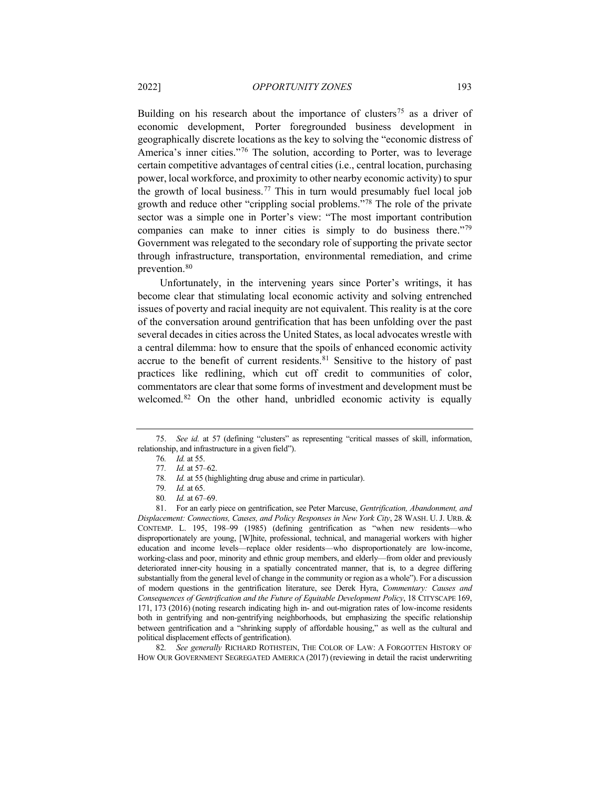Building on his research about the importance of clusters<sup>[75](#page-14-0)</sup> as a driver of economic development, Porter foregrounded business development in geographically discrete locations as the key to solving the "economic distress of America's inner cities."[76](#page-14-1) The solution, according to Porter, was to leverage certain competitive advantages of central cities (i.e., central location, purchasing power, local workforce, and proximity to other nearby economic activity) to spur the growth of local business.<sup>[77](#page-14-2)</sup> This in turn would presumably fuel local job growth and reduce other "crippling social problems."[78](#page-14-3) The role of the private sector was a simple one in Porter's view: "The most important contribution companies can make to inner cities is simply to do business there."[79](#page-14-4) Government was relegated to the secondary role of supporting the private sector through infrastructure, transportation, environmental remediation, and crime prevention.<sup>[80](#page-14-5)</sup>

Unfortunately, in the intervening years since Porter's writings, it has become clear that stimulating local economic activity and solving entrenched issues of poverty and racial inequity are not equivalent. This reality is at the core of the conversation around gentrification that has been unfolding over the past several decades in cities across the United States, as local advocates wrestle with a central dilemma: how to ensure that the spoils of enhanced economic activity accrue to the benefit of current residents.<sup>[81](#page-14-6)</sup> Sensitive to the history of past practices like redlining, which cut off credit to communities of color, commentators are clear that some forms of investment and development must be welcomed.[82](#page-14-7) On the other hand, unbridled economic activity is equally

<span id="page-14-7"></span>82*. See generally* RICHARD ROTHSTEIN, THE COLOR OF LAW: A FORGOTTEN HISTORY OF HOW OUR GOVERNMENT SEGREGATED AMERICA (2017) (reviewing in detail the racist underwriting

<span id="page-14-2"></span><span id="page-14-1"></span><span id="page-14-0"></span><sup>75.</sup> *See id.* at 57 (defining "clusters" as representing "critical masses of skill, information, relationship, and infrastructure in a given field").

<sup>76</sup>*. Id.* at 55.

<sup>77</sup>*. Id.* at 57–62.

<sup>78</sup>*. Id.* at 55 (highlighting drug abuse and crime in particular).

<sup>79</sup>*. Id.* at 65.

<sup>80</sup>*. Id.* at 67–69.

<span id="page-14-6"></span><span id="page-14-5"></span><span id="page-14-4"></span><span id="page-14-3"></span><sup>81.</sup> For an early piece on gentrification, see Peter Marcuse, *Gentrification, Abandonment, and Displacement: Connections, Causes, and Policy Responses in New York City*, 28 WASH. U. J. URB. & CONTEMP. L. 195, 198–99 (1985) (defining gentrification as "when new residents—who disproportionately are young, [W]hite, professional, technical, and managerial workers with higher education and income levels—replace older residents—who disproportionately are low-income, working-class and poor, minority and ethnic group members, and elderly—from older and previously deteriorated inner-city housing in a spatially concentrated manner, that is, to a degree differing substantially from the general level of change in the community or region as a whole"). For a discussion of modern questions in the gentrification literature, see Derek Hyra, *Commentary: Causes and Consequences of Gentrification and the Future of Equitable Development Policy*, 18 CITYSCAPE 169, 171, 173 (2016) (noting research indicating high in- and out-migration rates of low-income residents both in gentrifying and non-gentrifying neighborhoods, but emphasizing the specific relationship between gentrification and a "shrinking supply of affordable housing," as well as the cultural and political displacement effects of gentrification).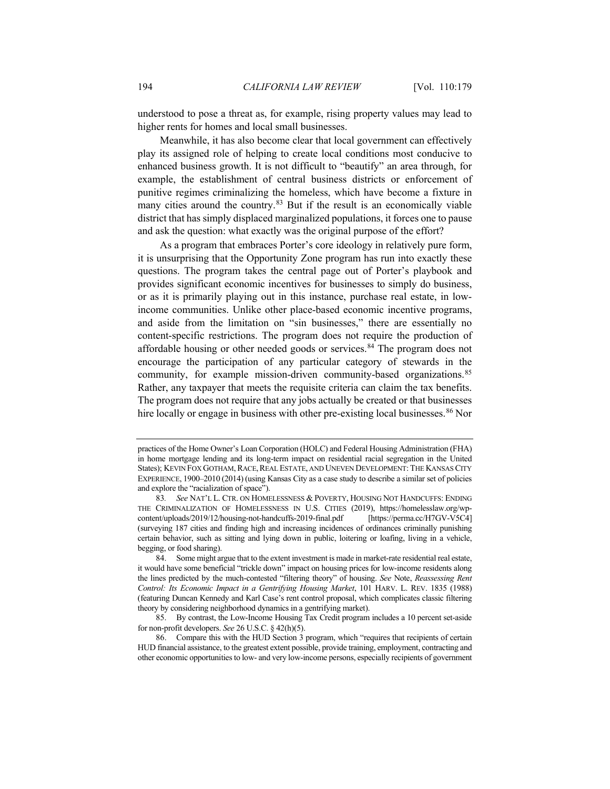understood to pose a threat as, for example, rising property values may lead to higher rents for homes and local small businesses.

Meanwhile, it has also become clear that local government can effectively play its assigned role of helping to create local conditions most conducive to enhanced business growth. It is not difficult to "beautify" an area through, for example, the establishment of central business districts or enforcement of punitive regimes criminalizing the homeless, which have become a fixture in many cities around the country.[83](#page-15-0) But if the result is an economically viable district that has simply displaced marginalized populations, it forces one to pause and ask the question: what exactly was the original purpose of the effort?

As a program that embraces Porter's core ideology in relatively pure form, it is unsurprising that the Opportunity Zone program has run into exactly these questions. The program takes the central page out of Porter's playbook and provides significant economic incentives for businesses to simply do business, or as it is primarily playing out in this instance, purchase real estate, in lowincome communities. Unlike other place-based economic incentive programs, and aside from the limitation on "sin businesses," there are essentially no content-specific restrictions. The program does not require the production of affordable housing or other needed goods or services.<sup>[84](#page-15-1)</sup> The program does not encourage the participation of any particular category of stewards in the community, for example mission-driven community-based organizations.<sup>[85](#page-15-2)</sup> Rather, any taxpayer that meets the requisite criteria can claim the tax benefits. The program does not require that any jobs actually be created or that businesses hire locally or engage in business with other pre-existing local businesses. [86](#page-15-3) Nor

practices of the Home Owner's Loan Corporation (HOLC) and Federal Housing Administration (FHA) in home mortgage lending and its long-term impact on residential racial segregation in the United States); KEVIN FOX GOTHAM, RACE, REAL ESTATE, AND UNEVEN DEVELOPMENT: THE KANSAS CITY EXPERIENCE, 1900–2010 (2014) (using Kansas City as a case study to describe a similar set of policies and explore the "racialization of space").

<span id="page-15-0"></span><sup>83</sup>*. See* NAT'L L. CTR. ON HOMELESSNESS & POVERTY, HOUSING NOT HANDCUFFS: ENDING THE CRIMINALIZATION OF HOMELESSNESS IN U.S. CITIES (2019), https://homelesslaw.org/wpcontent/uploads/2019/12/housing-not-handcuffs-2019-final.pdf [https://perma.cc/H7GV-V5C4] (surveying 187 cities and finding high and increasing incidences of ordinances criminally punishing certain behavior, such as sitting and lying down in public, loitering or loafing, living in a vehicle, begging, or food sharing).

<span id="page-15-1"></span><sup>84.</sup> Some might argue that to the extent investment is made in market-rate residential real estate, it would have some beneficial "trickle down" impact on housing prices for low-income residents along the lines predicted by the much-contested "filtering theory" of housing. *See* Note, *Reassessing Rent Control: Its Economic Impact in a Gentrifying Housing Market*, 101 HARV. L. REV. 1835 (1988) (featuring Duncan Kennedy and Karl Case's rent control proposal, which complicates classic filtering theory by considering neighborhood dynamics in a gentrifying market).

<span id="page-15-2"></span><sup>85.</sup> By contrast, the Low-Income Housing Tax Credit program includes a 10 percent set-aside for non-profit developers. *See* 26 U.S.C. § 42(h)(5).

<span id="page-15-3"></span><sup>86.</sup> Compare this with the HUD Section 3 program, which "requires that recipients of certain HUD financial assistance, to the greatest extent possible, provide training, employment, contracting and other economic opportunities to low- and very low-income persons, especially recipients of government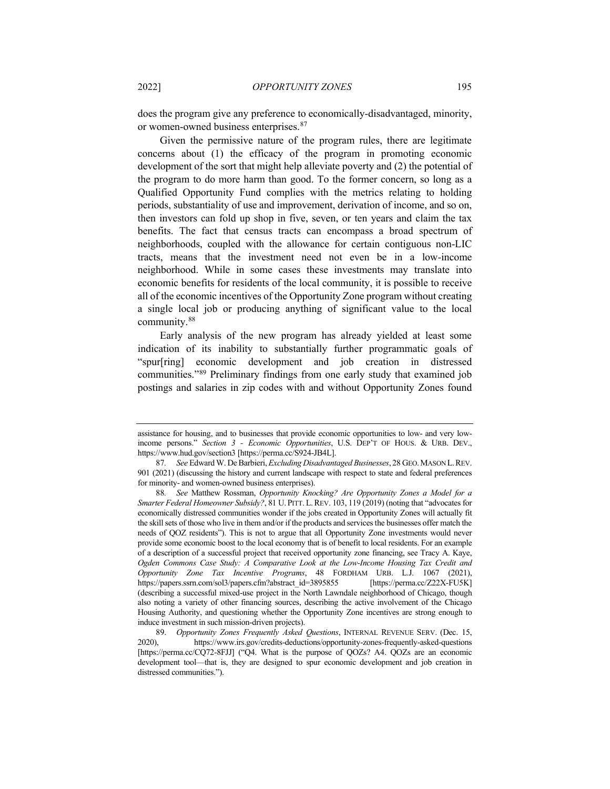does the program give any preference to economically-disadvantaged, minority, or women-owned business enterprises.[87](#page-16-0)

Given the permissive nature of the program rules, there are legitimate concerns about (1) the efficacy of the program in promoting economic development of the sort that might help alleviate poverty and (2) the potential of the program to do more harm than good. To the former concern, so long as a Qualified Opportunity Fund complies with the metrics relating to holding periods, substantiality of use and improvement, derivation of income, and so on, then investors can fold up shop in five, seven, or ten years and claim the tax benefits. The fact that census tracts can encompass a broad spectrum of neighborhoods, coupled with the allowance for certain contiguous non-LIC tracts, means that the investment need not even be in a low-income neighborhood. While in some cases these investments may translate into economic benefits for residents of the local community, it is possible to receive all of the economic incentives of the Opportunity Zone program without creating a single local job or producing anything of significant value to the local community.[88](#page-16-1)

<span id="page-16-3"></span>Early analysis of the new program has already yielded at least some indication of its inability to substantially further programmatic goals of "spur[ring] economic development and job creation in distressed communities."[89](#page-16-2) Preliminary findings from one early study that examined job postings and salaries in zip codes with and without Opportunity Zones found

assistance for housing, and to businesses that provide economic opportunities to low- and very lowincome persons." *Section 3 - Economic Opportunities*, U.S. DEP'T OF HOUS. & URB. DEV., https://www.hud.gov/section3 [https://perma.cc/S924-JB4L].

<span id="page-16-0"></span><sup>87</sup>*. See* Edward W. De Barbieri, *Excluding Disadvantaged Businesses*, 28 GEO.MASON L.REV. 901 (2021) (discussing the history and current landscape with respect to state and federal preferences for minority- and women-owned business enterprises).

<span id="page-16-1"></span><sup>88</sup>*. See* Matthew Rossman, *Opportunity Knocking? Are Opportunity Zones a Model for a Smarter Federal Homeowner Subsidy?*, 81 U. PITT. L.REV. 103, 119 (2019) (noting that "advocates for economically distressed communities wonder if the jobs created in Opportunity Zones will actually fit the skill sets of those who live in them and/or if the products and services the businesses offer match the needs of QOZ residents"). This is not to argue that all Opportunity Zone investments would never provide some economic boost to the local economy that is of benefit to local residents. For an example of a description of a successful project that received opportunity zone financing, see Tracy A. Kaye, *Ogden Commons Case Study: A Comparative Look at the Low-Income Housing Tax Credit and Opportunity Zone Tax Incentive Programs*, 48 FORDHAM URB. L.J. 1067 (2021), https://papers.ssrn.com/sol3/papers.cfm?abstract\_id=3895855 [https://perma.cc/Z22X-FU5K] (describing a successful mixed-use project in the North Lawndale neighborhood of Chicago, though also noting a variety of other financing sources, describing the active involvement of the Chicago Housing Authority, and questioning whether the Opportunity Zone incentives are strong enough to induce investment in such mission-driven projects).

<span id="page-16-2"></span><sup>89.</sup> *Opportunity Zones Frequently Asked Questions*, INTERNAL REVENUE SERV. (Dec. 15, 2020), https://www.irs.gov/credits-deductions/opportunity-zones-frequently-asked-questions [https://perma.cc/CQ72-8FJJ] ("Q4. What is the purpose of QOZs? A4. QOZs are an economic development tool—that is, they are designed to spur economic development and job creation in distressed communities.").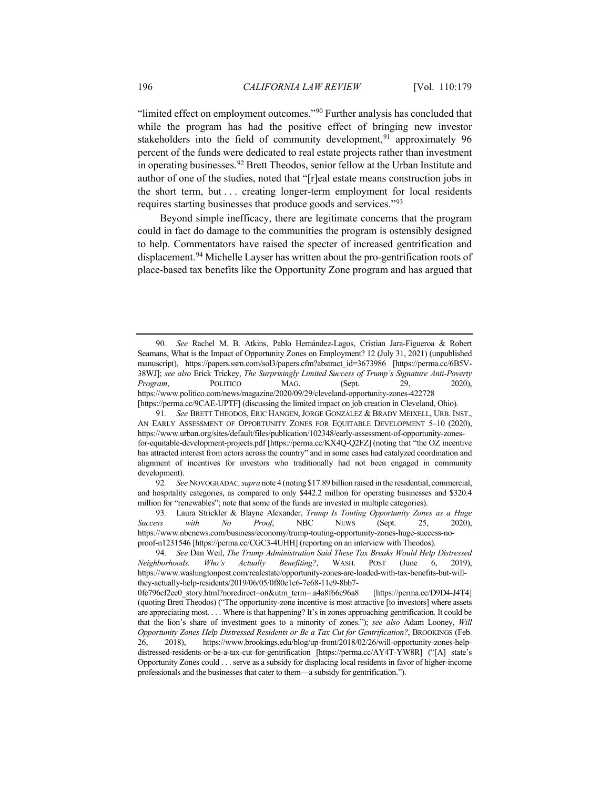"limited effect on employment outcomes."[90](#page-17-0) Further analysis has concluded that while the program has had the positive effect of bringing new investor stakeholders into the field of community development,<sup>[91](#page-17-1)</sup> approximately 96 percent of the funds were dedicated to real estate projects rather than investment in operating businesses.[92](#page-17-2) Brett Theodos, senior fellow at the Urban Institute and author of one of the studies, noted that "[r]eal estate means construction jobs in the short term, but . . . creating longer-term employment for local residents requires starting businesses that produce goods and services."[93](#page-17-3)

<span id="page-17-5"></span>Beyond simple inefficacy, there are legitimate concerns that the program could in fact do damage to the communities the program is ostensibly designed to help. Commentators have raised the specter of increased gentrification and displacement.<sup>[94](#page-17-4)</sup> Michelle Layser has written about the pro-gentrification roots of place-based tax benefits like the Opportunity Zone program and has argued that

<span id="page-17-0"></span><sup>90</sup>*. See* Rachel M. B. Atkins, Pablo Hernández-Lagos, Cristian Jara-Figueroa & Robert Seamans, What is the Impact of Opportunity Zones on Employment? 12 (July 31, 2021) (unpublished manuscript), https://papers.ssrn.com/sol3/papers.cfm?abstract\_id=3673986 [https://perma.cc/6B5V-38WJ]; *see also* Erick Trickey, *The Surprisingly Limited Success of Trump's Signature Anti-Poverty Program*, POLITICO MAG. (Sept. 29, 2020), https://www.politico.com/news/magazine/2020/09/29/cleveland-opportunity-zones-422728 [https://perma.cc/9CAE-UPTF] (discussing the limited impact on job creation in Cleveland, Ohio).

<span id="page-17-1"></span><sup>91</sup>*. See* BRETT THEODOS, ERIC HANGEN, JORGE GONZÁLEZ & BRADY MEIXELL, URB. INST., AN EARLY ASSESSMENT OF OPPORTUNITY ZONES FOR EQUITABLE DEVELOPMENT 5–10 (2020), https://www.urban.org/sites/default/files/publication/102348/early-assessment-of-opportunity-zonesfor-equitable-development-projects.pdf [https://perma.cc/KX4Q-Q2FZ] (noting that "the OZ incentive has attracted interest from actors across the country" and in some cases had catalyzed coordination and alignment of incentives for investors who traditionally had not been engaged in community development).

<span id="page-17-2"></span><sup>92</sup>*. See* NOVOGRADAC*,supra* not[e 4](#page-2-6) (noting \$17.89 billion raised in the residential, commercial, and hospitality categories, as compared to only \$442.2 million for operating businesses and \$320.4 million for "renewables"; note that some of the funds are invested in multiple categories).

<span id="page-17-3"></span><sup>93</sup>*.* Laura Strickler & Blayne Alexander, *Trump Is Touting Opportunity Zones as a Huge Success with No Proof*, NBC NEWS (Sept. 25, 2020), https://www.nbcnews.com/business/economy/trump-touting-opportunity-zones-huge-success-noproof-n1231546 [https://perma.cc/CGC3-4UHH] (reporting on an interview with Theodos).

<span id="page-17-4"></span><sup>94</sup>*. See* Dan Weil, *The Trump Administration Said These Tax Breaks Would Help Distressed Neighborhoods. Who's Actually Benefiting?*, WASH. POST (June 6, 2019), https://www.washingtonpost.com/realestate/opportunity-zones-are-loaded-with-tax-benefits-but-willthey-actually-help-residents/2019/06/05/0f80e1c6-7e68-11e9-8bb7-

<sup>0</sup>fc796cf2ec0\_story.html?noredirect=on&utm\_term=.a4a8f66c96a8 [https://perma.cc/D9D4-J4T4] (quoting Brett Theodos) ("The opportunity-zone incentive is most attractive [to investors] where assets are appreciating most. . . . Where is that happening? It's in zones approaching gentrification. It could be that the lion's share of investment goes to a minority of zones."); *see also* Adam Looney, *Will Opportunity Zones Help Distressed Residents or Be a Tax Cut for Gentrification?*, BROOKINGS (Feb. 26, 2018), https://www.brookings.edu/blog/up-front/2018/02/26/will-opportunity-zones-helpdistressed-residents-or-be-a-tax-cut-for-gentrification [https://perma.cc/AY4T-YW8R] ("[A] state's Opportunity Zones could . . . serve as a subsidy for displacing local residents in favor of higher-income professionals and the businesses that cater to them—a subsidy for gentrification.").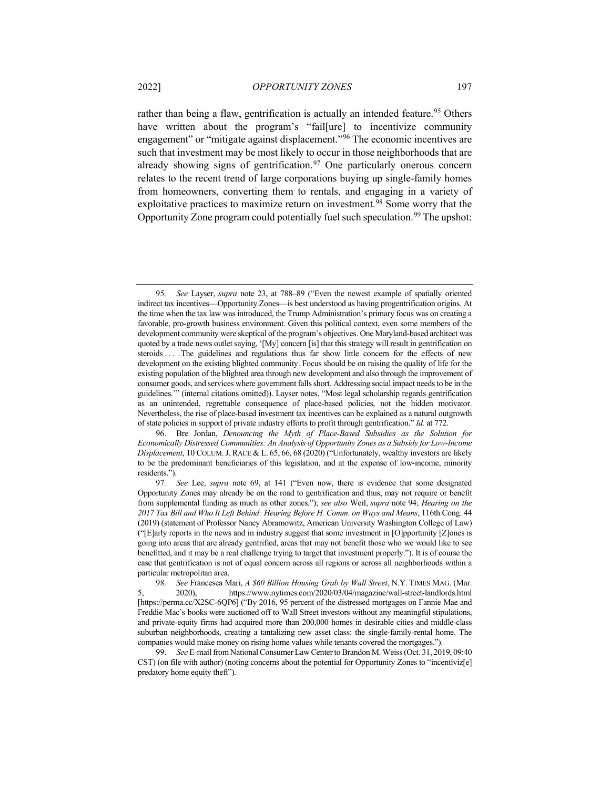rather than being a flaw, gentrification is actually an intended feature.<sup>[95](#page-18-0)</sup> Others have written about the program's "fail[ure] to incentivize community engagement" or "mitigate against displacement."[96](#page-18-1) The economic incentives are such that investment may be most likely to occur in those neighborhoods that are already showing signs of gentrification.<sup>[97](#page-18-2)</sup> One particularly onerous concern relates to the recent trend of large corporations buying up single-family homes from homeowners, converting them to rentals, and engaging in a variety of exploitative practices to maximize return on investment.[98](#page-18-3) Some worry that the Opportunity Zone program could potentially fuel such speculation.<sup>[99](#page-18-4)</sup> The upshot:

<span id="page-18-1"></span>96. Bre Jordan, *Denouncing the Myth of Place-Based Subsidies as the Solution for Economically Distressed Communities: An Analysis of Opportunity Zones as a Subsidy for Low-Income Displacement*, 10 COLUM.J. RACE & L. 65, 66, 68 (2020) ("Unfortunately, wealthy investors are likely to be the predominant beneficiaries of this legislation, and at the expense of low-income, minority residents.").

<span id="page-18-0"></span><sup>95</sup>*. See* Layser, *supra* note [23,](#page-5-10) at 788–89 ("Even the newest example of spatially oriented indirect tax incentives—Opportunity Zones—is best understood as having progentrification origins. At the time when the tax law was introduced, the Trump Administration's primary focus was on creating a favorable, pro-growth business environment. Given this political context, even some members of the development community were skeptical of the program's objectives. One Maryland-based architect was quoted by a trade news outlet saying, '[My] concern [is] that this strategy will result in gentrification on steroids . . . .The guidelines and regulations thus far show little concern for the effects of new development on the existing blighted community. Focus should be on raising the quality of life for the existing population of the blighted area through new development and also through the improvement of consumer goods, and services where government falls short. Addressing social impact needs to be in the guidelines.'" (internal citations omitted)). Layser notes, "Most legal scholarship regards gentrification as an unintended, regrettable consequence of place-based policies, not the hidden motivator. Nevertheless, the rise of place-based investment tax incentives can be explained as a natural outgrowth of state policies in support of private industry efforts to profit through gentrification." *Id.* at 772.

<span id="page-18-2"></span><sup>97</sup>*. See* Lee, *supra* note [69,](#page-13-0) at 141 ("Even now, there is evidence that some designated Opportunity Zones may already be on the road to gentrification and thus, may not require or benefit from supplemental funding as much as other zones."); *see also* Weil, *supra* note [94;](#page-17-5) *Hearing on the 2017 Tax Bill and Who It Left Behind: Hearing Before H. Comm. on Ways and Means*, 116th Cong. 44 (2019) (statement of Professor Nancy Abramowitz, American University Washington College of Law) ("[E]arly reports in the news and in industry suggest that some investment in [O]pportunity [Z]ones is going into areas that are already gentrified, areas that may not benefit those who we would like to see benefitted, and it may be a real challenge trying to target that investment properly."). It is of course the case that gentrification is not of equal concern across all regions or across all neighborhoods within a particular metropolitan area.

<span id="page-18-3"></span><sup>98</sup>*. See* Francesca Mari, *A \$60 Billion Housing Grab by Wall Street*, N.Y. TIMES MAG. (Mar. 5, 2020), https://www.nytimes.com/2020/03/04/magazine/wall-street-landlords.html [https://perma.cc/X2SC-6QP6] ("By 2016, 95 percent of the distressed mortgages on Fannie Mae and Freddie Mac's books were auctioned off to Wall Street investors without any meaningful stipulations, and private-equity firms had acquired more than 200,000 homes in desirable cities and middle-class suburban neighborhoods, creating a tantalizing new asset class: the single-family-rental home. The companies would make money on rising home values while tenants covered the mortgages.").

<span id="page-18-4"></span><sup>99.</sup> *See* E-mail from National Consumer Law Center to Brandon M. Weiss (Oct. 31, 2019, 09:40 CST) (on file with author) (noting concerns about the potential for Opportunity Zones to "incentiviz[e] predatory home equity theft").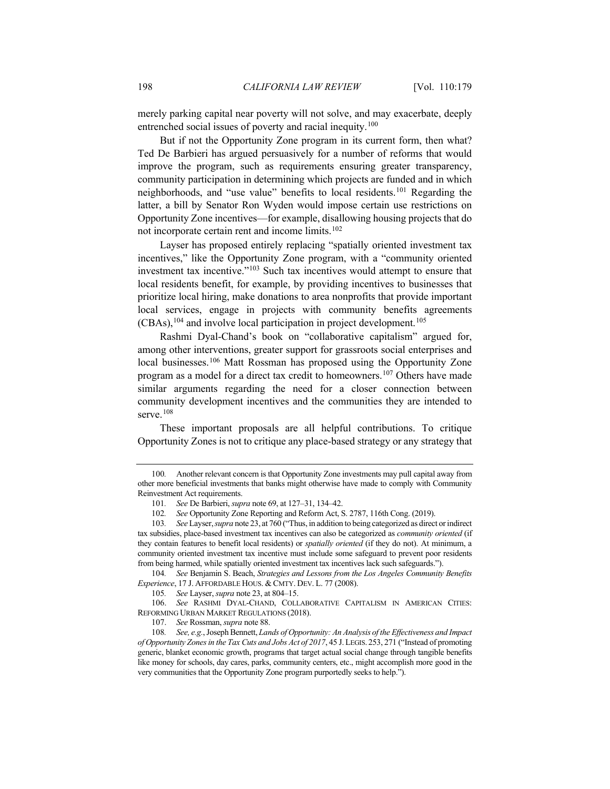merely parking capital near poverty will not solve, and may exacerbate, deeply entrenched social issues of poverty and racial inequity.<sup>[100](#page-19-0)</sup>

But if not the Opportunity Zone program in its current form, then what? Ted De Barbieri has argued persuasively for a number of reforms that would improve the program, such as requirements ensuring greater transparency, community participation in determining which projects are funded and in which neighborhoods, and "use value" benefits to local residents.[101](#page-19-1) Regarding the latter, a bill by Senator Ron Wyden would impose certain use restrictions on Opportunity Zone incentives—for example, disallowing housing projects that do not incorporate certain rent and income limits.[102](#page-19-2)

Layser has proposed entirely replacing "spatially oriented investment tax incentives," like the Opportunity Zone program, with a "community oriented investment tax incentive.["103](#page-19-3) Such tax incentives would attempt to ensure that local residents benefit, for example, by providing incentives to businesses that prioritize local hiring, make donations to area nonprofits that provide important local services, engage in projects with community benefits agreements  $(CBAs)$ ,  $^{104}$  $^{104}$  $^{104}$  and involve local participation in project development.<sup>[105](#page-19-5)</sup>

Rashmi Dyal-Chand's book on "collaborative capitalism" argued for, among other interventions, greater support for grassroots social enterprises and local businesses.<sup>[106](#page-19-6)</sup> Matt Rossman has proposed using the Opportunity Zone program as a model for a direct tax credit to homeowners.[107](#page-19-7) Others have made similar arguments regarding the need for a closer connection between community development incentives and the communities they are intended to serve.<sup>[108](#page-19-8)</sup>

These important proposals are all helpful contributions. To critique Opportunity Zones is not to critique any place-based strategy or any strategy that

<span id="page-19-4"></span>104*. See* Benjamin S. Beach, *Strategies and Lessons from the Los Angeles Community Benefits Experience*, 17 J. AFFORDABLE HOUS. & CMTY. DEV. L. 77 (2008).

<span id="page-19-0"></span><sup>100</sup>*.* Another relevant concern is that Opportunity Zone investments may pull capital away from other more beneficial investments that banks might otherwise have made to comply with Community Reinvestment Act requirements.

<sup>101</sup>*. See* De Barbieri, *supra* not[e 69,](#page-13-0) at 127–31, 134–42.

<sup>102</sup>*. See* Opportunity Zone Reporting and Reform Act, S. 2787, 116th Cong. (2019).

<span id="page-19-3"></span><span id="page-19-2"></span><span id="page-19-1"></span><sup>103</sup>*. See* Layser, *supra* not[e 23,](#page-5-10) at 760 ("Thus, in addition to being categorized as direct or indirect tax subsidies, place-based investment tax incentives can also be categorized as *community oriented* (if they contain features to benefit local residents) or *spatially oriented* (if they do not). At minimum, a community oriented investment tax incentive must include some safeguard to prevent poor residents from being harmed, while spatially oriented investment tax incentives lack such safeguards.").

<sup>105</sup>*. See* Layser, *supra* not[e 23,](#page-5-10) at 804–15.

<span id="page-19-6"></span><span id="page-19-5"></span><sup>106.</sup> *See* RASHMI DYAL-CHAND, COLLABORATIVE CAPITALISM IN AMERICAN CITIES: REFORMING URBAN MARKET REGULATIONS (2018).

<sup>107.</sup> *See* Rossman, *supra* not[e 88.](#page-16-3)

<span id="page-19-8"></span><span id="page-19-7"></span><sup>108</sup>*. See, e.g.*, Joseph Bennett, *Lands of Opportunity: An Analysis of the Effectiveness and Impact of Opportunity Zones in the Tax Cuts and Jobs Act of 2017*, 45 J.LEGIS. 253, 271 ("Instead of promoting generic, blanket economic growth, programs that target actual social change through tangible benefits like money for schools, day cares, parks, community centers, etc., might accomplish more good in the very communities that the Opportunity Zone program purportedly seeks to help.").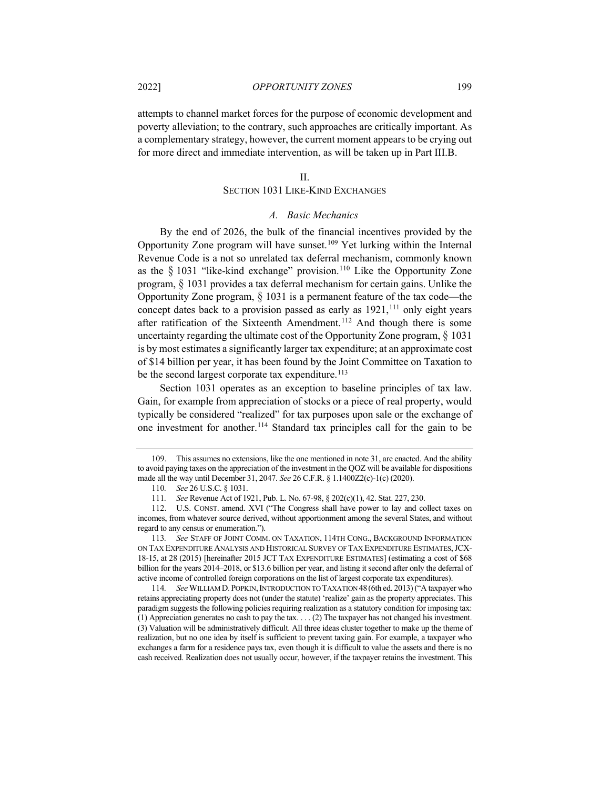2022] *OPPORTUNITY ZONES* 199

attempts to channel market forces for the purpose of economic development and poverty alleviation; to the contrary, such approaches are critically important. As a complementary strategy, however, the current moment appears to be crying out for more direct and immediate intervention, as will be taken up in Part III.B.

#### II.

# SECTION 1031 LIKE-KIND EXCHANGES

## <span id="page-20-7"></span>*A. Basic Mechanics*

By the end of 2026, the bulk of the financial incentives provided by the Opportunity Zone program will have sunset.[109](#page-20-0) Yet lurking within the Internal Revenue Code is a not so unrelated tax deferral mechanism, commonly known as the  $\S$  1031 "like-kind exchange" provision.<sup>[110](#page-20-1)</sup> Like the Opportunity Zone program, § 1031 provides a tax deferral mechanism for certain gains. Unlike the Opportunity Zone program, § 1031 is a permanent feature of the tax code—the concept dates back to a provision passed as early as  $1921$ ,<sup>[111](#page-20-2)</sup> only eight years after ratification of the Sixteenth Amendment.<sup>[112](#page-20-3)</sup> And though there is some uncertainty regarding the ultimate cost of the Opportunity Zone program,  $\S$  1031 is by most estimates a significantly larger tax expenditure; at an approximate cost of \$14 billion per year, it has been found by the Joint Committee on Taxation to be the second largest corporate tax expenditure.<sup>[113](#page-20-4)</sup>

Section 1031 operates as an exception to baseline principles of tax law. Gain, for example from appreciation of stocks or a piece of real property, would typically be considered "realized" for tax purposes upon sale or the exchange of one investment for another.[114](#page-20-5) Standard tax principles call for the gain to be

<span id="page-20-5"></span>114*. See* WILLIAM D.POPKIN,INTRODUCTION TO TAXATION 48(6th ed. 2013) ("A taxpayer who retains appreciating property does not (under the statute) 'realize' gain as the property appreciates. This paradigm suggests the following policies requiring realization as a statutory condition for imposing tax: (1) Appreciation generates no cash to pay the tax. . . . (2) The taxpayer has not changed his investment. (3) Valuation will be administratively difficult. All three ideas cluster together to make up the theme of realization, but no one idea by itself is sufficient to prevent taxing gain. For example, a taxpayer who exchanges a farm for a residence pays tax, even though it is difficult to value the assets and there is no cash received. Realization does not usually occur, however, if the taxpayer retains the investment. This

<span id="page-20-6"></span><span id="page-20-0"></span><sup>109.</sup> This assumes no extensions, like the one mentioned in not[e 31,](#page-7-6) are enacted. And the ability to avoid paying taxes on the appreciation of the investment in the QOZ will be available for dispositions made all the way until December 31, 2047. *See* 26 C.F.R. § 1.1400Z2(c)-1(c) (2020).

<sup>110</sup>*. See* 26 U.S.C. § 1031.

<sup>111</sup>*. See* Revenue Act of 1921, Pub. L. No. 67-98, § 202(c)(1), 42. Stat. 227, 230.

<span id="page-20-3"></span><span id="page-20-2"></span><span id="page-20-1"></span><sup>112.</sup> U.S. CONST. amend. XVI ("The Congress shall have power to lay and collect taxes on incomes, from whatever source derived, without apportionment among the several States, and without regard to any census or enumeration.").

<span id="page-20-4"></span><sup>113</sup>*. See* STAFF OF JOINT COMM. ON TAXATION, 114TH CONG., BACKGROUND INFORMATION ON TAX EXPENDITURE ANALYSIS AND HISTORICAL SURVEY OF TAX EXPENDITURE ESTIMATES,JCX-18-15, at 28 (2015) [hereinafter 2015 JCT TAX EXPENDITURE ESTIMATES] (estimating a cost of \$68 billion for the years 2014–2018, or \$13.6 billion per year, and listing it second after only the deferral of active income of controlled foreign corporations on the list of largest corporate tax expenditures).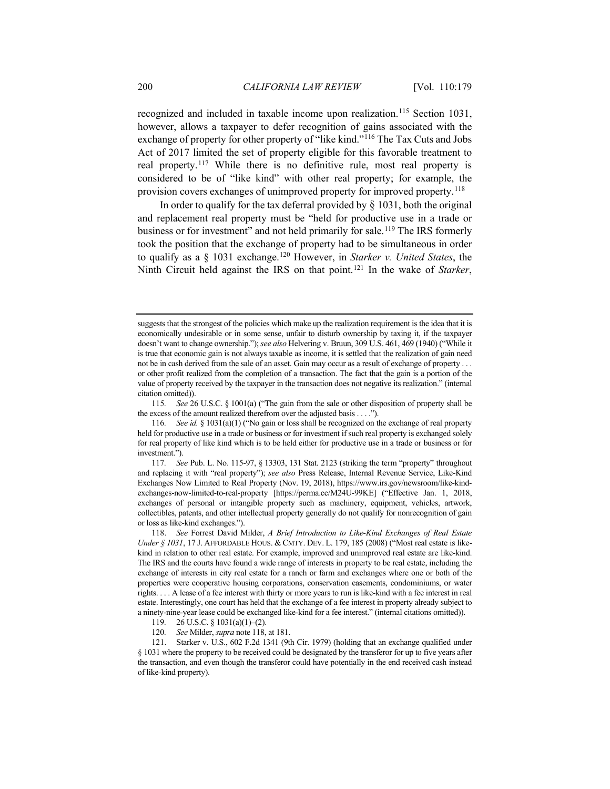recognized and included in taxable income upon realization.[115](#page-21-1) Section 1031, however, allows a taxpayer to defer recognition of gains associated with the exchange of property for other property of "like kind."[116](#page-21-2) The Tax Cuts and Jobs Act of 2017 limited the set of property eligible for this favorable treatment to real property.[117](#page-21-3) While there is no definitive rule, most real property is considered to be of "like kind" with other real property; for example, the provision covers exchanges of unimproved property for improved property.<sup>[118](#page-21-4)</sup>

<span id="page-21-8"></span><span id="page-21-0"></span>In order to qualify for the tax deferral provided by  $\S$  1031, both the original and replacement real property must be "held for productive use in a trade or business or for investment" and not held primarily for sale.<sup>[119](#page-21-5)</sup> The IRS formerly took the position that the exchange of property had to be simultaneous in order to qualify as a § 1031 exchange.[120](#page-21-6) However, in *Starker v. United States*, the Ninth Circuit held against the IRS on that point.[121](#page-21-7) In the wake of *Starker*,

<span id="page-21-1"></span>115*. See* 26 U.S.C. § 1001(a) ("The gain from the sale or other disposition of property shall be the excess of the amount realized therefrom over the adjusted basis . . . .").

suggests that the strongest of the policies which make up the realization requirement is the idea that it is economically undesirable or in some sense, unfair to disturb ownership by taxing it, if the taxpayer doesn't want to change ownership."); *see also* Helvering v. Bruun, 309 U.S. 461, 469 (1940) ("While it is true that economic gain is not always taxable as income, it is settled that the realization of gain need not be in cash derived from the sale of an asset. Gain may occur as a result of exchange of property . . . or other profit realized from the completion of a transaction. The fact that the gain is a portion of the value of property received by the taxpayer in the transaction does not negative its realization." (internal citation omitted)).

<span id="page-21-2"></span><sup>116</sup>*. See id.* § 1031(a)(1) ("No gain or loss shall be recognized on the exchange of real property held for productive use in a trade or business or for investment if such real property is exchanged solely for real property of like kind which is to be held either for productive use in a trade or business or for investment.").

<span id="page-21-3"></span><sup>117</sup>*. See* Pub. L. No. 115-97, § 13303, 131 Stat. 2123 (striking the term "property" throughout and replacing it with "real property"); *see also* Press Release, Internal Revenue Service, Like-Kind Exchanges Now Limited to Real Property (Nov. 19, 2018), https://www.irs.gov/newsroom/like-kindexchanges-now-limited-to-real-property [https://perma.cc/M24U-99KE] ("Effective Jan. 1, 2018, exchanges of personal or intangible property such as machinery, equipment, vehicles, artwork, collectibles, patents, and other intellectual property generally do not qualify for nonrecognition of gain or loss as like-kind exchanges.").

<span id="page-21-4"></span><sup>118.</sup> *See* Forrest David Milder, *A Brief Introduction to Like-Kind Exchanges of Real Estate Under § 1031*, 17 J. AFFORDABLE HOUS. & CMTY. DEV. L. 179, 185 (2008) ("Most real estate is likekind in relation to other real estate. For example, improved and unimproved real estate are like-kind. The IRS and the courts have found a wide range of interests in property to be real estate, including the exchange of interests in city real estate for a ranch or farm and exchanges where one or both of the properties were cooperative housing corporations, conservation easements, condominiums, or water rights. . . . A lease of a fee interest with thirty or more years to run is like-kind with a fee interest in real estate. Interestingly, one court has held that the exchange of a fee interest in property already subject to a ninety-nine-year lease could be exchanged like-kind for a fee interest." (internal citations omitted)).

<sup>119</sup>*.* 26 U.S.C. § 1031(a)(1)–(2).

<sup>120</sup>*. See* Milder, *supra* not[e 118,](#page-21-0) at 181.

<span id="page-21-7"></span><span id="page-21-6"></span><span id="page-21-5"></span><sup>121.</sup> Starker v. U.S., 602 F.2d 1341 (9th Cir. 1979) (holding that an exchange qualified under § 1031 where the property to be received could be designated by the transferor for up to five years after the transaction, and even though the transferor could have potentially in the end received cash instead of like-kind property).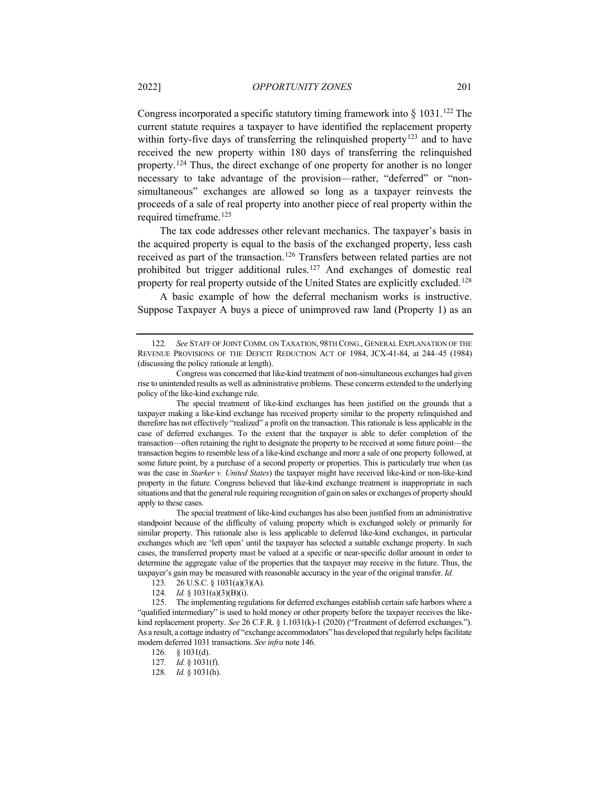Congress incorporated a specific statutory timing framework into  $\S$  1031.<sup>[122](#page-22-0)</sup> The current statute requires a taxpayer to have identified the replacement property within forty-five days of transferring the relinquished property<sup>[123](#page-22-1)</sup> and to have received the new property within 180 days of transferring the relinquished property.[124](#page-22-2) Thus, the direct exchange of one property for another is no longer necessary to take advantage of the provision—rather, "deferred" or "nonsimultaneous" exchanges are allowed so long as a taxpayer reinvests the proceeds of a sale of real property into another piece of real property within the required timeframe.[125](#page-22-3)

The tax code addresses other relevant mechanics. The taxpayer's basis in the acquired property is equal to the basis of the exchanged property, less cash received as part of the transaction.[126](#page-22-4) Transfers between related parties are not prohibited but trigger additional rules.[127](#page-22-5) And exchanges of domestic real property for real property outside of the United States are explicitly excluded.[128](#page-22-6)

A basic example of how the deferral mechanism works is instructive. Suppose Taxpayer A buys a piece of unimproved raw land (Property 1) as an

The special treatment of like-kind exchanges has been justified on the grounds that a taxpayer making a like-kind exchange has received property similar to the property relinquished and therefore has not effectively "realized" a profit on the transaction. This rationale is less applicable in the case of deferred exchanges. To the extent that the taxpayer is able to defer completion of the transaction—often retaining the right to designate the property to be received at some future point—the transaction begins to resemble less of a like-kind exchange and more a sale of one property followed, at some future point, by a purchase of a second property or properties. This is particularly true when (as was the case in *Starker v. United States*) the taxpayer might have received like-kind or non-like-kind property in the future. Congress believed that like-kind exchange treatment is inappropriate in such situations and that the general rule requiring recognition of gain on sales or exchanges of property should apply to these cases.

The special treatment of like-kind exchanges has also been justified from an administrative standpoint because of the difficulty of valuing property which is exchanged solely or primarily for similar property. This rationale also is less applicable to deferred like-kind exchanges, in particular exchanges which are 'left open' until the taxpayer has selected a suitable exchange property. In such cases, the transferred property must be valued at a specific or near-specific dollar amount in order to determine the aggregate value of the properties that the taxpayer may receive in the future. Thus, the taxpayer's gain may be measured with reasonable accuracy in the year of the original transfer. *Id.* 

- 123*.* 26 U.S.C. § 1031(a)(3)(A).
- 124*. Id.* § 1031(a)(3)(B)(i).

<span id="page-22-5"></span><span id="page-22-4"></span><span id="page-22-3"></span><span id="page-22-2"></span><span id="page-22-1"></span>125. The implementing regulations for deferred exchanges establish certain safe harbors where a "qualified intermediary" is used to hold money or other property before the taxpayer receives the likekind replacement property. *See* 26 C.F.R. § 1.1031(k)-1 (2020) ("Treatment of deferred exchanges."). As a result, a cottage industry of "exchange accommodators" has developed that regularly helps facilitate modern deferred 1031 transactions. *See infra* not[e 146.](#page-28-0)

- 127*. Id.* § 1031(f).
- <span id="page-22-6"></span>128*. Id.* § 1031(h).

<span id="page-22-0"></span><sup>122</sup>*. See* STAFF OF JOINT COMM. ON TAXATION, 98TH CONG., GENERAL EXPLANATION OF THE REVENUE PROVISIONS OF THE DEFICIT REDUCTION ACT OF 1984, JCX-41-84, at 244–45 (1984) (discussing the policy rationale at length).

Congress was concerned that like-kind treatment of non-simultaneous exchanges had given rise to unintended results as well as administrative problems. These concerns extended to the underlying policy of the like-kind exchange rule.

<sup>126</sup>*.* § 1031(d).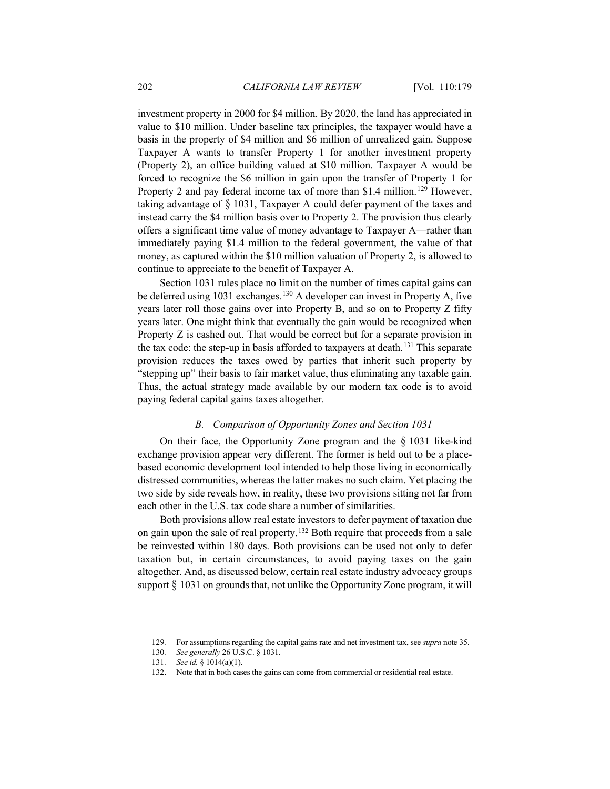investment property in 2000 for \$4 million. By 2020, the land has appreciated in value to \$10 million. Under baseline tax principles, the taxpayer would have a basis in the property of \$4 million and \$6 million of unrealized gain. Suppose Taxpayer A wants to transfer Property 1 for another investment property (Property 2), an office building valued at \$10 million. Taxpayer A would be forced to recognize the \$6 million in gain upon the transfer of Property 1 for Property 2 and pay federal income tax of more than \$1.4 million.<sup>[129](#page-23-0)</sup> However, taking advantage of  $\S$  1031, Taxpayer A could defer payment of the taxes and instead carry the \$4 million basis over to Property 2. The provision thus clearly offers a significant time value of money advantage to Taxpayer A—rather than immediately paying \$1.4 million to the federal government, the value of that money, as captured within the \$10 million valuation of Property 2, is allowed to continue to appreciate to the benefit of Taxpayer A.

Section 1031 rules place no limit on the number of times capital gains can be deferred using 1031 exchanges.<sup>[130](#page-23-1)</sup> A developer can invest in Property A, five years later roll those gains over into Property B, and so on to Property Z fifty years later. One might think that eventually the gain would be recognized when Property Z is cashed out. That would be correct but for a separate provision in the tax code: the step-up in basis afforded to taxpayers at death.[131](#page-23-2) This separate provision reduces the taxes owed by parties that inherit such property by "stepping up" their basis to fair market value, thus eliminating any taxable gain. Thus, the actual strategy made available by our modern tax code is to avoid paying federal capital gains taxes altogether.

# <span id="page-23-4"></span>*B. Comparison of Opportunity Zones and Section 1031*

On their face, the Opportunity Zone program and the  $\S$  1031 like-kind exchange provision appear very different. The former is held out to be a placebased economic development tool intended to help those living in economically distressed communities, whereas the latter makes no such claim. Yet placing the two side by side reveals how, in reality, these two provisions sitting not far from each other in the U.S. tax code share a number of similarities.

Both provisions allow real estate investors to defer payment of taxation due on gain upon the sale of real property.[132](#page-23-3) Both require that proceeds from a sale be reinvested within 180 days. Both provisions can be used not only to defer taxation but, in certain circumstances, to avoid paying taxes on the gain altogether. And, as discussed below, certain real estate industry advocacy groups support  $\S$  1031 on grounds that, not unlike the Opportunity Zone program, it will

<span id="page-23-1"></span><span id="page-23-0"></span><sup>129</sup>*.* For assumptions regarding the capital gains rate and net investment tax, see *supra* not[e 35.](#page-8-7)

<span id="page-23-2"></span><sup>130</sup>*. See generally* 26 U.S.C. § 1031.

<sup>131</sup>*. See id.* § 1014(a)(1).

<span id="page-23-3"></span><sup>132.</sup> Note that in both cases the gains can come from commercial or residential real estate.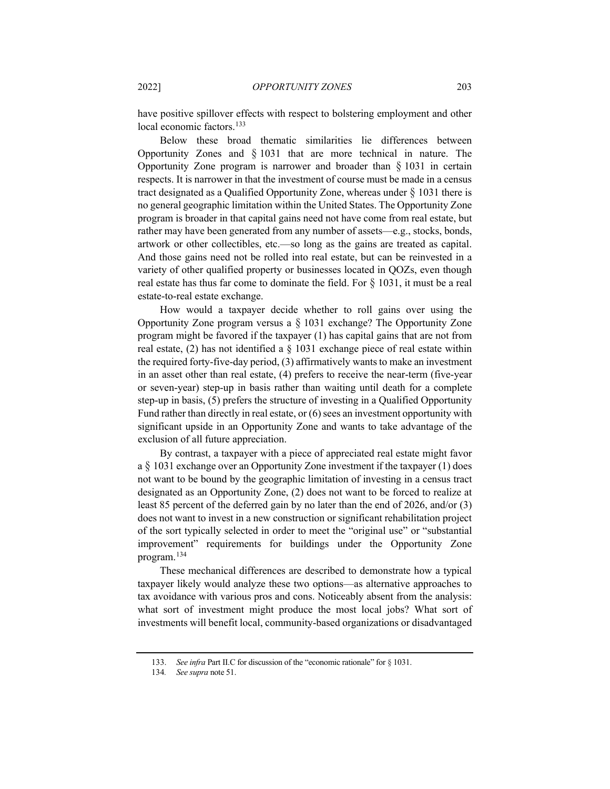have positive spillover effects with respect to bolstering employment and other local economic factors.<sup>133</sup>

Below these broad thematic similarities lie differences between Opportunity Zones and § 1031 that are more technical in nature. The Opportunity Zone program is narrower and broader than  $\S$  1031 in certain respects. It is narrower in that the investment of course must be made in a census tract designated as a Qualified Opportunity Zone, whereas under § 1031 there is no general geographic limitation within the United States. The Opportunity Zone program is broader in that capital gains need not have come from real estate, but rather may have been generated from any number of assets—e.g., stocks, bonds, artwork or other collectibles, etc.—so long as the gains are treated as capital. And those gains need not be rolled into real estate, but can be reinvested in a variety of other qualified property or businesses located in QOZs, even though real estate has thus far come to dominate the field. For  $\S$  1031, it must be a real estate-to-real estate exchange.

How would a taxpayer decide whether to roll gains over using the Opportunity Zone program versus a § 1031 exchange? The Opportunity Zone program might be favored if the taxpayer (1) has capital gains that are not from real estate, (2) has not identified a § 1031 exchange piece of real estate within the required forty-five-day period, (3) affirmatively wants to make an investment in an asset other than real estate, (4) prefers to receive the near-term (five-year or seven-year) step-up in basis rather than waiting until death for a complete step-up in basis, (5) prefers the structure of investing in a Qualified Opportunity Fund rather than directly in real estate, or (6) sees an investment opportunity with significant upside in an Opportunity Zone and wants to take advantage of the exclusion of all future appreciation.

By contrast, a taxpayer with a piece of appreciated real estate might favor a § 1031 exchange over an Opportunity Zone investment if the taxpayer (1) does not want to be bound by the geographic limitation of investing in a census tract designated as an Opportunity Zone, (2) does not want to be forced to realize at least 85 percent of the deferred gain by no later than the end of 2026, and/or (3) does not want to invest in a new construction or significant rehabilitation project of the sort typically selected in order to meet the "original use" or "substantial improvement" requirements for buildings under the Opportunity Zone program.[134](#page-24-1)

These mechanical differences are described to demonstrate how a typical taxpayer likely would analyze these two options—as alternative approaches to tax avoidance with various pros and cons. Noticeably absent from the analysis: what sort of investment might produce the most local jobs? What sort of investments will benefit local, community-based organizations or disadvantaged

<span id="page-24-1"></span><span id="page-24-0"></span><sup>133.</sup> *See infra* Part II.C for discussion of the "economic rationale" for § 1031.

<sup>134</sup>*. See supra* not[e 51.](#page-10-9)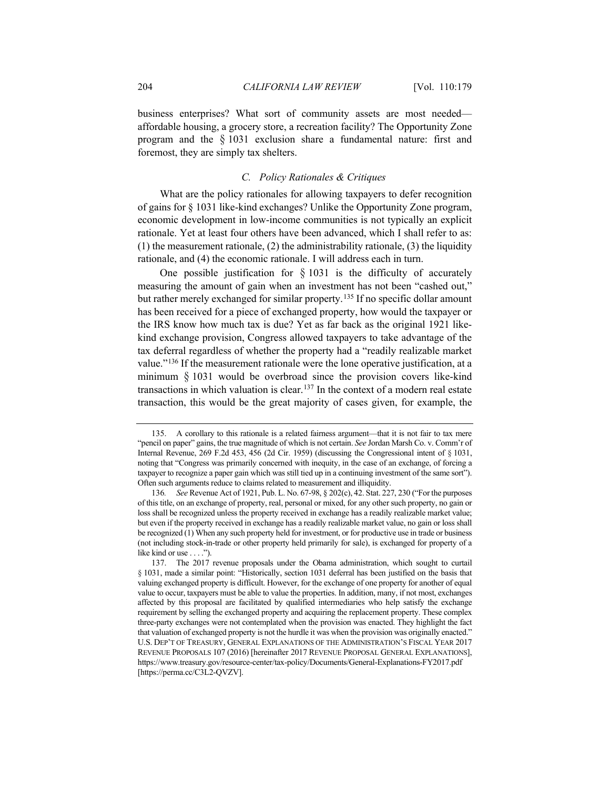business enterprises? What sort of community assets are most needed affordable housing, a grocery store, a recreation facility? The Opportunity Zone program and the § 1031 exclusion share a fundamental nature: first and foremost, they are simply tax shelters.

# *C. Policy Rationales & Critiques*

What are the policy rationales for allowing taxpayers to defer recognition of gains for § 1031 like-kind exchanges? Unlike the Opportunity Zone program, economic development in low-income communities is not typically an explicit rationale. Yet at least four others have been advanced, which I shall refer to as: (1) the measurement rationale, (2) the administrability rationale, (3) the liquidity rationale, and (4) the economic rationale. I will address each in turn.

One possible justification for  $\S$  1031 is the difficulty of accurately measuring the amount of gain when an investment has not been "cashed out," but rather merely exchanged for similar property.<sup>[135](#page-25-0)</sup> If no specific dollar amount has been received for a piece of exchanged property, how would the taxpayer or the IRS know how much tax is due? Yet as far back as the original 1921 likekind exchange provision, Congress allowed taxpayers to take advantage of the tax deferral regardless of whether the property had a "readily realizable market value."[136](#page-25-1) If the measurement rationale were the lone operative justification, at a minimum § 1031 would be overbroad since the provision covers like-kind transactions in which valuation is clear.<sup>[137](#page-25-2)</sup> In the context of a modern real estate transaction, this would be the great majority of cases given, for example, the

<span id="page-25-3"></span><span id="page-25-0"></span><sup>135.</sup> A corollary to this rationale is a related fairness argument—that it is not fair to tax mere "pencil on paper" gains, the true magnitude of which is not certain. *See* Jordan Marsh Co. v. Comm'r of Internal Revenue, 269 F.2d 453, 456 (2d Cir. 1959) (discussing the Congressional intent of § 1031, noting that "Congress was primarily concerned with inequity, in the case of an exchange, of forcing a taxpayer to recognize a paper gain which was still tied up in a continuing investment of the same sort"). Often such arguments reduce to claims related to measurement and illiquidity.

<span id="page-25-1"></span><sup>136</sup>*. See* Revenue Act of 1921, Pub. L. No. 67-98, § 202(c), 42. Stat. 227, 230 ("For the purposes of this title, on an exchange of property, real, personal or mixed, for any other such property, no gain or loss shall be recognized unless the property received in exchange has a readily realizable market value; but even if the property received in exchange has a readily realizable market value, no gain or loss shall be recognized (1) When any such property held for investment, or for productive use in trade or business (not including stock-in-trade or other property held primarily for sale), is exchanged for property of a like kind or use . . . .").

<span id="page-25-2"></span><sup>137.</sup> The 2017 revenue proposals under the Obama administration, which sought to curtail § 1031, made a similar point: "Historically, section 1031 deferral has been justified on the basis that valuing exchanged property is difficult. However, for the exchange of one property for another of equal value to occur, taxpayers must be able to value the properties. In addition, many, if not most, exchanges affected by this proposal are facilitated by qualified intermediaries who help satisfy the exchange requirement by selling the exchanged property and acquiring the replacement property. These complex three-party exchanges were not contemplated when the provision was enacted. They highlight the fact that valuation of exchanged property is not the hurdle it was when the provision was originally enacted." U.S. DEP'T OF TREASURY, GENERAL EXPLANATIONS OF THE ADMINISTRATION'S FISCAL YEAR 2017 REVENUE PROPOSALS 107 (2016) [hereinafter 2017 REVENUE PROPOSAL GENERAL EXPLANATIONS], https://www.treasury.gov/resource-center/tax-policy/Documents/General-Explanations-FY2017.pdf [https://perma.cc/C3L2-QVZV].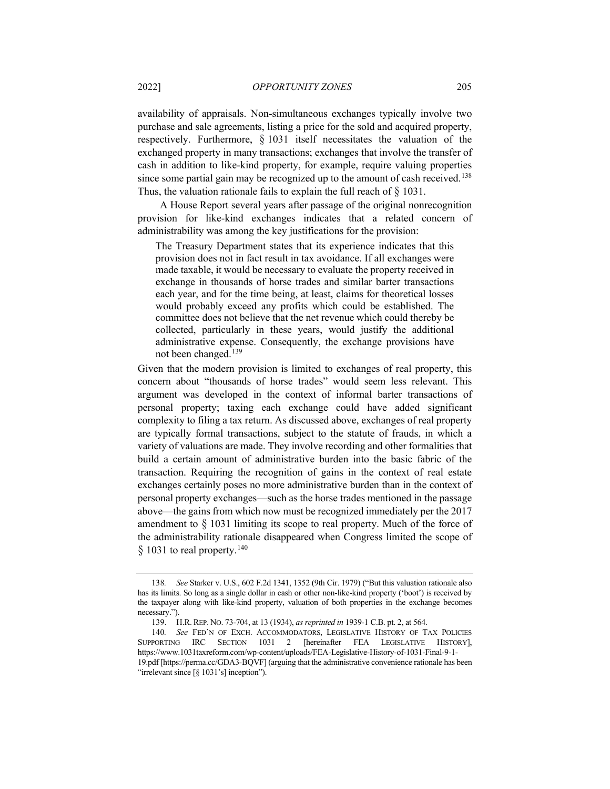availability of appraisals. Non-simultaneous exchanges typically involve two purchase and sale agreements, listing a price for the sold and acquired property, respectively. Furthermore, § 1031 itself necessitates the valuation of the exchanged property in many transactions; exchanges that involve the transfer of cash in addition to like-kind property, for example, require valuing properties since some partial gain may be recognized up to the amount of cash received.<sup>[138](#page-26-0)</sup> Thus, the valuation rationale fails to explain the full reach of  $\S$  1031.

A House Report several years after passage of the original nonrecognition provision for like-kind exchanges indicates that a related concern of administrability was among the key justifications for the provision:

The Treasury Department states that its experience indicates that this provision does not in fact result in tax avoidance. If all exchanges were made taxable, it would be necessary to evaluate the property received in exchange in thousands of horse trades and similar barter transactions each year, and for the time being, at least, claims for theoretical losses would probably exceed any profits which could be established. The committee does not believe that the net revenue which could thereby be collected, particularly in these years, would justify the additional administrative expense. Consequently, the exchange provisions have not been changed.[139](#page-26-1)

Given that the modern provision is limited to exchanges of real property, this concern about "thousands of horse trades" would seem less relevant. This argument was developed in the context of informal barter transactions of personal property; taxing each exchange could have added significant complexity to filing a tax return. As discussed above, exchanges of real property are typically formal transactions, subject to the statute of frauds, in which a variety of valuations are made. They involve recording and other formalities that build a certain amount of administrative burden into the basic fabric of the transaction. Requiring the recognition of gains in the context of real estate exchanges certainly poses no more administrative burden than in the context of personal property exchanges—such as the horse trades mentioned in the passage above—the gains from which now must be recognized immediately per the 2017 amendment to  $\S$  1031 limiting its scope to real property. Much of the force of the administrability rationale disappeared when Congress limited the scope of  $§$  1031 to real property.<sup>[140](#page-26-2)</sup>

<span id="page-26-3"></span><span id="page-26-0"></span><sup>138</sup>*. See* Starker v. U.S., 602 F.2d 1341, 1352 (9th Cir. 1979) ("But this valuation rationale also has its limits. So long as a single dollar in cash or other non-like-kind property ('boot') is received by the taxpayer along with like-kind property, valuation of both properties in the exchange becomes necessary.").

<sup>139.</sup> H.R. REP. NO. 73-704, at 13 (1934), *as reprinted in* 1939-1 C.B. pt. 2, at 564.

<span id="page-26-2"></span><span id="page-26-1"></span><sup>140</sup>*. See* FED'N OF EXCH. ACCOMMODATORS, LEGISLATIVE HISTORY OF TAX POLICIES SUPPORTING IRC SECTION 1031 2 [hereinafter FEA LEGISLATIVE HISTORY], https://www.1031taxreform.com/wp-content/uploads/FEA-Legislative-History-of-1031-Final-9-1- 19.pdf [https://perma.cc/GDA3-BQVF] (arguing that the administrative convenience rationale has been "irrelevant since [§ 1031's] inception").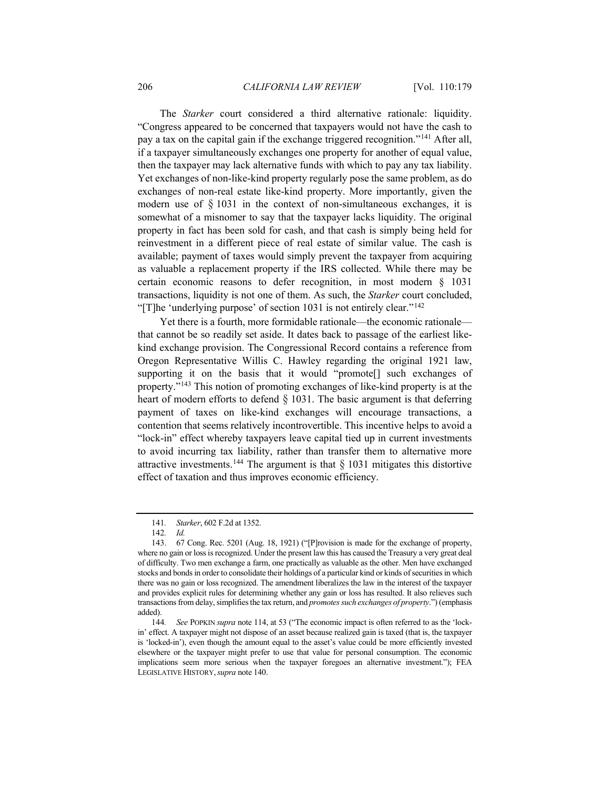The *Starker* court considered a third alternative rationale: liquidity. "Congress appeared to be concerned that taxpayers would not have the cash to pay a tax on the capital gain if the exchange triggered recognition."[141](#page-27-0) After all, if a taxpayer simultaneously exchanges one property for another of equal value, then the taxpayer may lack alternative funds with which to pay any tax liability. Yet exchanges of non-like-kind property regularly pose the same problem, as do exchanges of non-real estate like-kind property. More importantly, given the modern use of  $\S$  1031 in the context of non-simultaneous exchanges, it is somewhat of a misnomer to say that the taxpayer lacks liquidity. The original property in fact has been sold for cash, and that cash is simply being held for reinvestment in a different piece of real estate of similar value. The cash is available; payment of taxes would simply prevent the taxpayer from acquiring as valuable a replacement property if the IRS collected. While there may be certain economic reasons to defer recognition, in most modern § 1031 transactions, liquidity is not one of them. As such, the *Starker* court concluded, "[T]he 'underlying purpose' of section 1031 is not entirely clear."[142](#page-27-1)

Yet there is a fourth, more formidable rationale—the economic rationale that cannot be so readily set aside. It dates back to passage of the earliest likekind exchange provision. The Congressional Record contains a reference from Oregon Representative Willis C. Hawley regarding the original 1921 law, supporting it on the basis that it would "promote[] such exchanges of property."[143](#page-27-2) This notion of promoting exchanges of like-kind property is at the heart of modern efforts to defend  $\S$  1031. The basic argument is that deferring payment of taxes on like-kind exchanges will encourage transactions, a contention that seems relatively incontrovertible. This incentive helps to avoid a "lock-in" effect whereby taxpayers leave capital tied up in current investments to avoid incurring tax liability, rather than transfer them to alternative more attractive investments.<sup>[144](#page-27-3)</sup> The argument is that  $\S$  1031 mitigates this distortive effect of taxation and thus improves economic efficiency.

<sup>141</sup>*. Starker*, 602 F.2d at 1352.

<sup>142</sup>*. Id.*

<span id="page-27-2"></span><span id="page-27-1"></span><span id="page-27-0"></span><sup>143.</sup> 67 Cong. Rec. 5201 (Aug. 18, 1921) ("[P]rovision is made for the exchange of property, where no gain or loss is recognized. Under the present law this has caused the Treasury a very great deal of difficulty. Two men exchange a farm, one practically as valuable as the other. Men have exchanged stocks and bonds in order to consolidate their holdings of a particular kind or kinds of securities in which there was no gain or loss recognized. The amendment liberalizes the law in the interest of the taxpayer and provides explicit rules for determining whether any gain or loss has resulted. It also relieves such transactions from delay, simplifies the tax return, and *promotes such exchanges of property*.") (emphasis added).

<span id="page-27-3"></span><sup>144</sup>*. See* POPKIN *supra* note [114,](#page-20-6) at 53 ("The economic impact is often referred to as the 'lockin' effect. A taxpayer might not dispose of an asset because realized gain is taxed (that is, the taxpayer is 'locked-in'), even though the amount equal to the asset's value could be more efficiently invested elsewhere or the taxpayer might prefer to use that value for personal consumption. The economic implications seem more serious when the taxpayer foregoes an alternative investment."); FEA LEGISLATIVE HISTORY,*supra* not[e 140.](#page-26-3)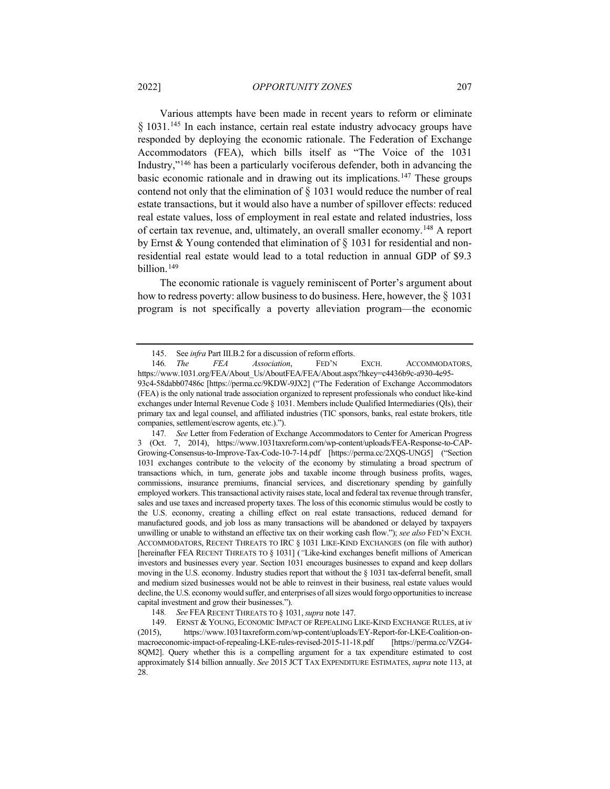<span id="page-28-1"></span><span id="page-28-0"></span>Various attempts have been made in recent years to reform or eliminate § 1031.<sup>[145](#page-28-2)</sup> In each instance, certain real estate industry advocacy groups have responded by deploying the economic rationale. The Federation of Exchange Accommodators (FEA), which bills itself as "The Voice of the 1031 Industry,"[146](#page-28-3) has been a particularly vociferous defender, both in advancing the basic economic rationale and in drawing out its implications. [147](#page-28-4) These groups contend not only that the elimination of  $\S$  1031 would reduce the number of real estate transactions, but it would also have a number of spillover effects: reduced real estate values, loss of employment in real estate and related industries, loss of certain tax revenue, and, ultimately, an overall smaller economy.[148](#page-28-5) A report by Ernst & Young contended that elimination of  $\S$  1031 for residential and nonresidential real estate would lead to a total reduction in annual GDP of \$9.3 billion.<sup>[149](#page-28-6)</sup>

The economic rationale is vaguely reminiscent of Porter's argument about how to redress poverty: allow business to do business. Here, however, the § 1031 program is not specifically a poverty alleviation program—the economic

<span id="page-28-4"></span>147*. See* Letter from Federation of Exchange Accommodators to Center for American Progress 3 (Oct. 7, 2014), https://www.1031taxreform.com/wp-content/uploads/FEA-Response-to-CAP-Growing-Consensus-to-Improve-Tax-Code-10-7-14.pdf [https://perma.cc/2XQS-UNG5] ("Section 1031 exchanges contribute to the velocity of the economy by stimulating a broad spectrum of transactions which, in turn, generate jobs and taxable income through business profits, wages, commissions, insurance premiums, financial services, and discretionary spending by gainfully employed workers. This transactional activity raises state, local and federal tax revenue through transfer, sales and use taxes and increased property taxes. The loss of this economic stimulus would be costly to the U.S. economy, creating a chilling effect on real estate transactions, reduced demand for manufactured goods, and job loss as many transactions will be abandoned or delayed by taxpayers unwilling or unable to withstand an effective tax on their working cash flow."); *see also* FED'N EXCH. ACCOMMODATORS, RECENT THREATS TO IRC § 1031 LIKE-KIND EXCHANGES (on file with author) [hereinafter FEA RECENT THREATS TO § 1031] (*"*Like-kind exchanges benefit millions of American investors and businesses every year. Section 1031 encourages businesses to expand and keep dollars moving in the U.S. economy. Industry studies report that without the § 1031 tax-deferral benefit, small and medium sized businesses would not be able to reinvest in their business, real estate values would decline, the U.S. economy would suffer, and enterprises of all sizes would forgo opportunities to increase capital investment and grow their businesses.").

<span id="page-28-6"></span><span id="page-28-5"></span>149. ERNST & YOUNG, ECONOMIC IMPACT OF REPEALING LIKE-KIND EXCHANGE RULES, at iv (2015), https://www.1031taxreform.com/wp-content/uploads/EY-Report-for-LKE-Coalition-onmacroeconomic-impact-of-repealing-LKE-rules-revised-2015-11-18.pdf [https://perma.cc/VZG4- 8QM2]. Query whether this is a compelling argument for a tax expenditure estimated to cost approximately \$14 billion annually. *See* 2015 JCT TAX EXPENDITURE ESTIMATES, *supra* not[e 113,](#page-20-7) at 28.

<sup>145.</sup> See *infra* Part III.B.2 for a discussion of reform efforts.

<span id="page-28-3"></span><span id="page-28-2"></span><sup>146</sup>*. The FEA Association*, FED'N EXCH. ACCOMMODATORS, https://www.1031.org/FEA/About\_Us/AboutFEA/FEA/About.aspx?hkey=c4436b9c-a930-4e95- 93c4-58dabb07486c [https://perma.cc/9KDW-9JX2] ("The Federation of Exchange Accommodators (FEA) is the only national trade association organized to represent professionals who conduct like-kind exchanges under Internal Revenue Code § 1031. Members include Qualified Intermediaries (QIs), their primary tax and legal counsel, and affiliated industries (TIC sponsors, banks, real estate brokers, title companies, settlement/escrow agents, etc.).").

<sup>148</sup>*. See* FEA RECENT THREATS TO § 1031,*supra* not[e 147.](#page-28-1)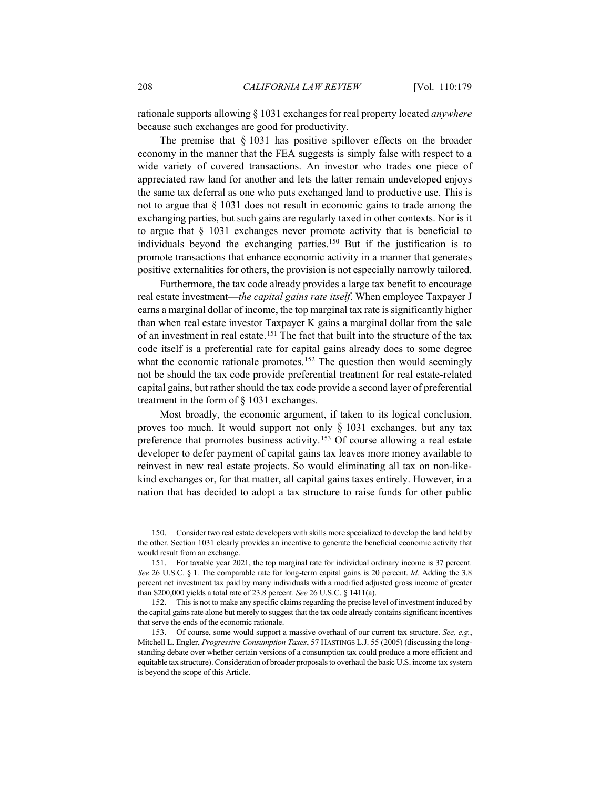rationale supports allowing § 1031 exchanges for real property located *anywhere* because such exchanges are good for productivity.

The premise that  $\S 1031$  has positive spillover effects on the broader economy in the manner that the FEA suggests is simply false with respect to a wide variety of covered transactions. An investor who trades one piece of appreciated raw land for another and lets the latter remain undeveloped enjoys the same tax deferral as one who puts exchanged land to productive use. This is not to argue that § 1031 does not result in economic gains to trade among the exchanging parties, but such gains are regularly taxed in other contexts. Nor is it to argue that § 1031 exchanges never promote activity that is beneficial to individuals beyond the exchanging parties.[150](#page-29-0) But if the justification is to promote transactions that enhance economic activity in a manner that generates positive externalities for others, the provision is not especially narrowly tailored.

Furthermore, the tax code already provides a large tax benefit to encourage real estate investment—*the capital gains rate itself*. When employee Taxpayer J earns a marginal dollar of income, the top marginal tax rate is significantly higher than when real estate investor Taxpayer K gains a marginal dollar from the sale of an investment in real estate.[151](#page-29-1) The fact that built into the structure of the tax code itself is a preferential rate for capital gains already does to some degree what the economic rationale promotes.<sup>[152](#page-29-2)</sup> The question then would seemingly not be should the tax code provide preferential treatment for real estate-related capital gains, but rather should the tax code provide a second layer of preferential treatment in the form of § 1031 exchanges.

Most broadly, the economic argument, if taken to its logical conclusion, proves too much. It would support not only § 1031 exchanges, but any tax preference that promotes business activity.[153](#page-29-3) Of course allowing a real estate developer to defer payment of capital gains tax leaves more money available to reinvest in new real estate projects. So would eliminating all tax on non-likekind exchanges or, for that matter, all capital gains taxes entirely. However, in a nation that has decided to adopt a tax structure to raise funds for other public

<span id="page-29-0"></span><sup>150.</sup> Consider two real estate developers with skills more specialized to develop the land held by the other. Section 1031 clearly provides an incentive to generate the beneficial economic activity that would result from an exchange.

<span id="page-29-1"></span><sup>151.</sup> For taxable year 2021, the top marginal rate for individual ordinary income is 37 percent. *See* 26 U.S.C. § 1. The comparable rate for long-term capital gains is 20 percent. *Id.* Adding the 3.8 percent net investment tax paid by many individuals with a modified adjusted gross income of greater than \$200,000 yields a total rate of 23.8 percent. *See* 26 U.S.C. § 1411(a).

<span id="page-29-2"></span><sup>152.</sup> This is not to make any specific claims regarding the precise level of investment induced by the capital gains rate alone but merely to suggest that the tax code already contains significant incentives that serve the ends of the economic rationale.

<span id="page-29-3"></span><sup>153.</sup> Of course, some would support a massive overhaul of our current tax structure. *See, e.g.*, Mitchell L. Engler, *Progressive Consumption Taxes*, 57 HASTINGS L.J. 55 (2005) (discussing the longstanding debate over whether certain versions of a consumption tax could produce a more efficient and equitable tax structure). Consideration of broader proposals to overhaul the basic U.S. income tax system is beyond the scope of this Article.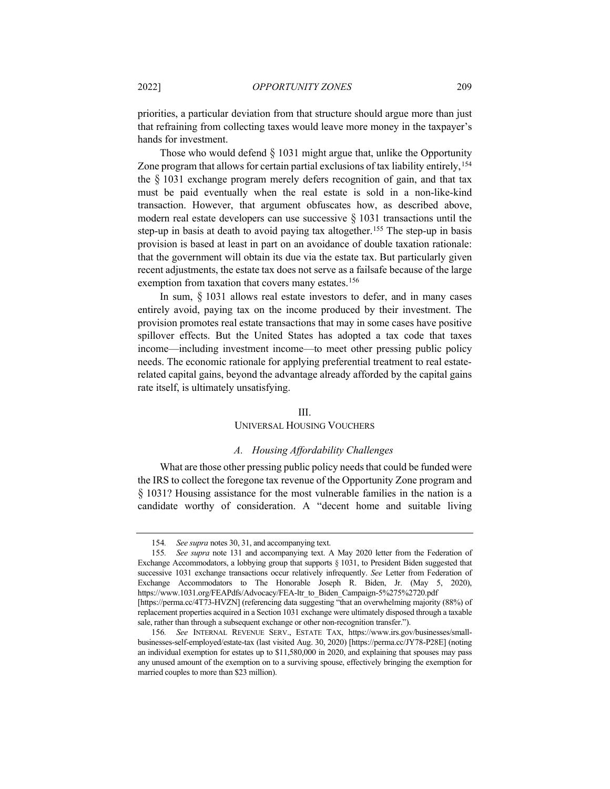priorities, a particular deviation from that structure should argue more than just that refraining from collecting taxes would leave more money in the taxpayer's hands for investment.

Those who would defend  $\S$  1031 might argue that, unlike the Opportunity Zone program that allows for certain partial exclusions of tax liability entirely, <sup>[154](#page-30-0)</sup> the § 1031 exchange program merely defers recognition of gain, and that tax must be paid eventually when the real estate is sold in a non-like-kind transaction. However, that argument obfuscates how, as described above, modern real estate developers can use successive § 1031 transactions until the step-up in basis at death to avoid paying tax altogether.<sup>[155](#page-30-1)</sup> The step-up in basis provision is based at least in part on an avoidance of double taxation rationale: that the government will obtain its due via the estate tax. But particularly given recent adjustments, the estate tax does not serve as a failsafe because of the large exemption from taxation that covers many estates.<sup>[156](#page-30-2)</sup>

In sum,  $\S$  1031 allows real estate investors to defer, and in many cases entirely avoid, paying tax on the income produced by their investment. The provision promotes real estate transactions that may in some cases have positive spillover effects. But the United States has adopted a tax code that taxes income—including investment income—to meet other pressing public policy needs. The economic rationale for applying preferential treatment to real estaterelated capital gains, beyond the advantage already afforded by the capital gains rate itself, is ultimately unsatisfying.

#### III.

## UNIVERSAL HOUSING VOUCHERS

## *A. Housing Affordability Challenges*

What are those other pressing public policy needs that could be funded were the IRS to collect the foregone tax revenue of the Opportunity Zone program and § 1031? Housing assistance for the most vulnerable families in the nation is a candidate worthy of consideration. A "decent home and suitable living

<sup>154</sup>*. See supra* note[s 30,](#page-7-7) [31,](#page-7-6) and accompanying text.

<span id="page-30-1"></span><span id="page-30-0"></span><sup>155</sup>*. See supra* note [131](#page-23-4) and accompanying text. A May 2020 letter from the Federation of Exchange Accommodators, a lobbying group that supports § 1031, to President Biden suggested that successive 1031 exchange transactions occur relatively infrequently. *See* Letter from Federation of Exchange Accommodators to The Honorable Joseph R. Biden, Jr. (May 5, 2020), [https://www.1031.org/FEAPdfs/Advocacy/FEA-ltr\\_to\\_Biden\\_Campaign-5%275%2720.pdf](https://www.1031.org/FEAPdfs/Advocacy/FEA-ltr_to_Biden_Campaign-5%275%2720.pdf) [\[https://perma.cc/4T73-HVZN\]](https://perma.cc/4T73-HVZN) (referencing data suggesting "that an overwhelming majority (88%) of replacement properties acquired in a Section 1031 exchange were ultimately disposed through a taxable

sale, rather than through a subsequent exchange or other non-recognition transfer."). 156*. See* INTERNAL REVENUE SERV., ESTATE TAX, [https://www.irs.gov/businesses/small-](https://www.irs.gov/businesses/small-businesses-self-employed/estate-tax)

<span id="page-30-2"></span>[businesses-self-employed/estate-tax](https://www.irs.gov/businesses/small-businesses-self-employed/estate-tax) (last visited Aug. 30, 2020) [\[https://perma.cc/JY78-P28E\]](https://perma.cc/JY78-P28E) (noting an individual exemption for estates up to \$11,580,000 in 2020, and explaining that spouses may pass any unused amount of the exemption on to a surviving spouse, effectively bringing the exemption for married couples to more than \$23 million).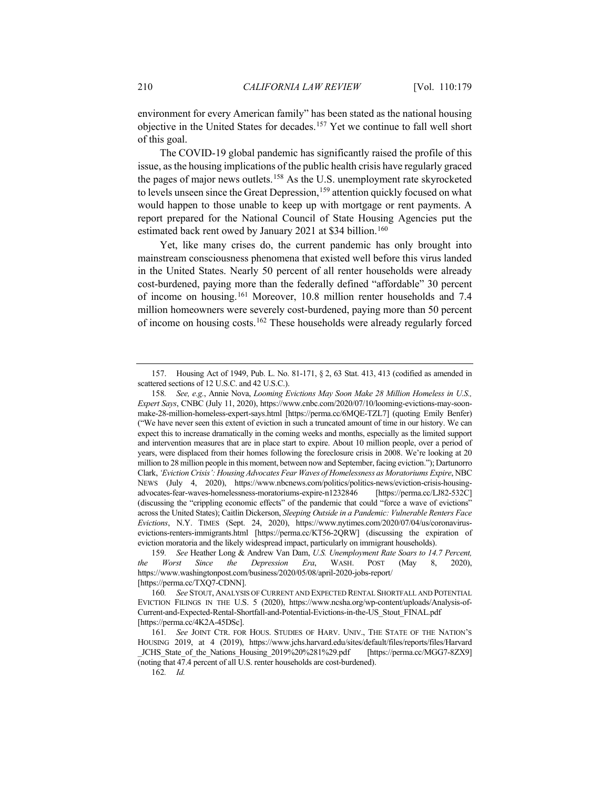environment for every American family" has been stated as the national housing objective in the United States for decades.[157](#page-31-0) Yet we continue to fall well short of this goal.

The COVID-19 global pandemic has significantly raised the profile of this issue, as the housing implications of the public health crisis have regularly graced the pages of major news outlets. [158](#page-31-1) As the U.S. unemployment rate skyrocketed to levels unseen since the Great Depression,<sup>[159](#page-31-2)</sup> attention quickly focused on what would happen to those unable to keep up with mortgage or rent payments. A report prepared for the National Council of State Housing Agencies put the estimated back rent owed by January 2021 at \$34 billion.<sup>[160](#page-31-3)</sup>

<span id="page-31-6"></span>Yet, like many crises do, the current pandemic has only brought into mainstream consciousness phenomena that existed well before this virus landed in the United States. Nearly 50 percent of all renter households were already cost-burdened, paying more than the federally defined "affordable" 30 percent of income on housing.[161](#page-31-4) Moreover, 10.8 million renter households and 7.4 million homeowners were severely cost-burdened, paying more than 50 percent of income on housing costs[.162](#page-31-5) These households were already regularly forced

<span id="page-31-0"></span><sup>157.</sup> Housing Act of 1949, Pub. L. No. 81-171, § 2, 63 Stat. 413, 413 (codified as amended in scattered sections of 12 U.S.C. and 42 U.S.C.).

<span id="page-31-1"></span><sup>158</sup>*. See, e.g.*, Annie Nova, *Looming Evictions May Soon Make 28 Million Homeless in U.S., Expert Says*, CNBC (July 11, 2020), https://www.cnbc.com/2020/07/10/looming-evictions-may-soonmake-28-million-homeless-expert-says.html [https://perma.cc/6MQE-TZL7] (quoting Emily Benfer) ("We have never seen this extent of eviction in such a truncated amount of time in our history. We can expect this to increase dramatically in the coming weeks and months, especially as the limited support and intervention measures that are in place start to expire. About 10 million people, over a period of years, were displaced from their homes following the foreclosure crisis in 2008. We're looking at 20 million to 28 million people in this moment, between now and September, facing eviction."); Dartunorro Clark, *'Eviction Crisis': Housing Advocates Fear Waves of Homelessness as Moratoriums Expire*, NBC NEWS (July 4, 2020), https://www.nbcnews.com/politics/politics-news/eviction-crisis-housingadvocates-fear-waves-homelessness-moratoriums-expire-n1232846 [https://perma.cc/LJ82-532C] (discussing the "crippling economic effects" of the pandemic that could "force a wave of evictions" across the United States); Caitlin Dickerson, *Sleeping Outside in a Pandemic: Vulnerable Renters Face Evictions*, N.Y. TIMES (Sept. 24, 2020), https://www.nytimes.com/2020/07/04/us/coronavirusevictions-renters-immigrants.html [https://perma.cc/KT56-2QRW] (discussing the expiration of eviction moratoria and the likely widespread impact, particularly on immigrant households).

<span id="page-31-2"></span><sup>159</sup>*. See* Heather Long & Andrew Van Dam, *U.S. Unemployment Rate Soars to 14.7 Percent, the Worst Since the Depression Era*, WASH. POST (May 8, 2020), https://www.washingtonpost.com/business/2020/05/08/april-2020-jobs-report/ [https://perma.cc/TXQ7-CDNN].

<span id="page-31-3"></span><sup>160</sup>*. See* STOUT, ANALYSIS OF CURRENT AND EXPECTED RENTAL SHORTFALL AND POTENTIAL EVICTION FILINGS IN THE U.S. 5 (2020), https://www.ncsha.org/wp-content/uploads/Analysis-of-Current-and-Expected-Rental-Shortfall-and-Potential-Evictions-in-the-US\_Stout\_FINAL.pdf [https://perma.cc/4K2A-45DSc].

<span id="page-31-5"></span><span id="page-31-4"></span><sup>161</sup>*. See* JOINT CTR. FOR HOUS. STUDIES OF HARV. UNIV., THE STATE OF THE NATION'S HOUSING 2019, at 4 (2019), https://www.jchs.harvard.edu/sites/default/files/reports/files/Harvard JCHS State of the Nations Housing 2019%20%281%29.pdf [https://perma.cc/MGG7-8ZX9] (noting that 47.4 percent of all U.S. renter households are cost-burdened).

<sup>162</sup>*. Id.*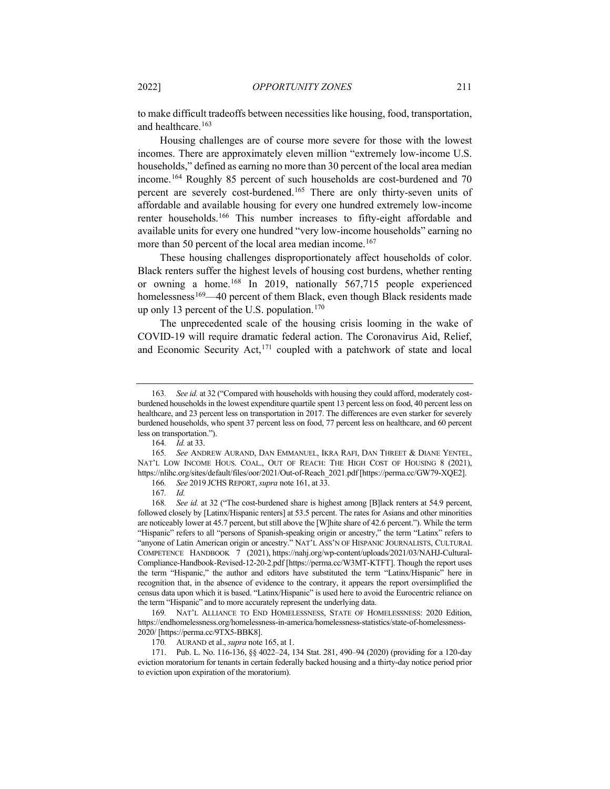to make difficult tradeoffs between necessities like housing, food, transportation, and healthcare.<sup>[163](#page-32-1)</sup>

<span id="page-32-0"></span>Housing challenges are of course more severe for those with the lowest incomes. There are approximately eleven million "extremely low-income U.S. households," defined as earning no more than 30 percent of the local area median income.[164](#page-32-2) Roughly 85 percent of such households are cost-burdened and 70 percent are severely cost-burdened.[165](#page-32-3) There are only thirty-seven units of affordable and available housing for every one hundred extremely low-income renter households.[166](#page-32-4) This number increases to fifty-eight affordable and available units for every one hundred "very low-income households" earning no more than 50 percent of the local area median income.<sup>[167](#page-32-5)</sup>

<span id="page-32-10"></span>These housing challenges disproportionately affect households of color. Black renters suffer the highest levels of housing cost burdens, whether renting or owning a home.<sup>[168](#page-32-6)</sup> In 2019, nationally 567,715 people experienced homelessness<sup>[169](#page-32-7)</sup>—40 percent of them Black, even though Black residents made up only 13 percent of the U.S. population.<sup>[170](#page-32-8)</sup>

The unprecedented scale of the housing crisis looming in the wake of COVID-19 will require dramatic federal action. The Coronavirus Aid, Relief, and Economic Security Act,<sup>[171](#page-32-9)</sup> coupled with a patchwork of state and local

<span id="page-32-1"></span><sup>163</sup>*. See id.* at 32 ("Compared with households with housing they could afford, moderately costburdened households in the lowest expenditure quartile spent 13 percent less on food, 40 percent less on healthcare, and 23 percent less on transportation in 2017. The differences are even starker for severely burdened households, who spent 37 percent less on food, 77 percent less on healthcare, and 60 percent less on transportation.").

<sup>164</sup>*. Id.* at 33.

<span id="page-32-3"></span><span id="page-32-2"></span><sup>165</sup>*. See* ANDREW AURAND, DAN EMMANUEL, IKRA RAFI, DAN THREET & DIANE YENTEL, NAT'L LOW INCOME HOUS. COAL., OUT OF REACH: THE HIGH COST OF HOUSING 8 (2021), https://nlihc.org/sites/default/files/oor/2021/Out-of-Reach\_2021.pdf [https://perma.cc/GW79-XQE2].

<sup>166</sup>*. See* 2019 JCHS REPORT, *supra* not[e 161,](#page-31-6) at 33.

<sup>167</sup>*. Id.*

<span id="page-32-6"></span><span id="page-32-5"></span><span id="page-32-4"></span><sup>168</sup>*. See id.* at 32 ("The cost-burdened share is highest among [B]lack renters at 54.9 percent, followed closely by [Latinx/Hispanic renters] at 53.5 percent. The rates for Asians and other minorities are noticeably lower at 45.7 percent, but still above the [W]hite share of 42.6 percent."). While the term "Hispanic" refers to all "persons of Spanish-speaking origin or ancestry," the term "Latinx" refers to "anyone of Latin American origin or ancestry." NAT'L ASS'N OF HISPANIC JOURNALISTS, CULTURAL COMPETENCE HANDBOOK 7 (2021), https://nahj.org/wp-content/uploads/2021/03/NAHJ-Cultural-Compliance-Handbook-Revised-12-20-2.pdf [https://perma.cc/W3MT-KTFT]. Though the report uses the term "Hispanic," the author and editors have substituted the term "Latinx/Hispanic" here in recognition that, in the absence of evidence to the contrary, it appears the report oversimplified the census data upon which it is based. "Latinx/Hispanic" is used here to avoid the Eurocentric reliance on the term "Hispanic" and to more accurately represent the underlying data.

<span id="page-32-7"></span><sup>169</sup>*.* NAT'L ALLIANCE TO END HOMELESSNESS, STATE OF HOMELESSNESS: 2020 Edition, https://endhomelessness.org/homelessness-in-america/homelessness-statistics/state-of-homelessness-2020/ [https://perma.cc/9TX5-BBK8].

<sup>170</sup>*.* AURAND et al., *supra* not[e 165,](#page-32-0) at 1.

<span id="page-32-9"></span><span id="page-32-8"></span><sup>171.</sup> Pub. L. No. 116-136, §§ 4022–24, 134 Stat. 281, 490–94 (2020) (providing for a 120-day eviction moratorium for tenants in certain federally backed housing and a thirty-day notice period prior to eviction upon expiration of the moratorium).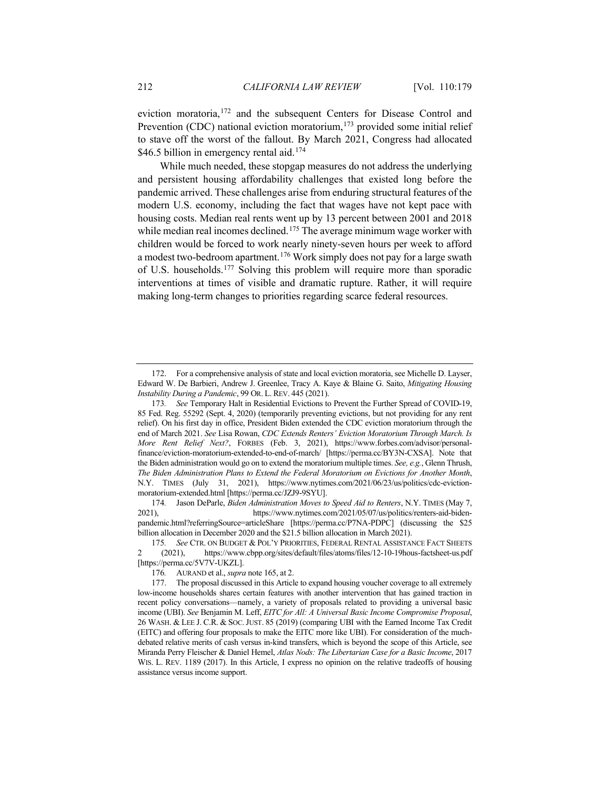eviction moratoria,<sup>[172](#page-33-0)</sup> and the subsequent Centers for Disease Control and Prevention (CDC) national eviction moratorium,<sup>[173](#page-33-1)</sup> provided some initial relief to stave off the worst of the fallout. By March 2021, Congress had allocated \$46.5 billion in emergency rental aid.<sup>[174](#page-33-2)</sup>

While much needed, these stopgap measures do not address the underlying and persistent housing affordability challenges that existed long before the pandemic arrived. These challenges arise from enduring structural features of the modern U.S. economy, including the fact that wages have not kept pace with housing costs. Median real rents went up by 13 percent between 2001 and 2018 while median real incomes declined.<sup>[175](#page-33-3)</sup> The average minimum wage worker with children would be forced to work nearly ninety-seven hours per week to afford a modest two-bedroom apartment.[176](#page-33-4) Work simply does not pay for a large swath of U.S. households.[177](#page-33-5) Solving this problem will require more than sporadic interventions at times of visible and dramatic rupture. Rather, it will require making long-term changes to priorities regarding scarce federal resources.

<span id="page-33-0"></span><sup>172.</sup> For a comprehensive analysis of state and local eviction moratoria, see Michelle D. Layser, Edward W. De Barbieri, Andrew J. Greenlee, Tracy A. Kaye & Blaine G. Saito, *Mitigating Housing Instability During a Pandemic*, 99 OR. L. REV. 445 (2021).

<span id="page-33-1"></span><sup>173</sup>*. See* Temporary Halt in Residential Evictions to Prevent the Further Spread of COVID-19, 85 Fed. Reg. 55292 (Sept. 4, 2020) (temporarily preventing evictions, but not providing for any rent relief). On his first day in office, President Biden extended the CDC eviction moratorium through the end of March 2021. *See* Lisa Rowan, *CDC Extends Renters' Eviction Moratorium Through March. Is More Rent Relief Next?*, FORBES (Feb. 3, 2021), https://www.forbes.com/advisor/personalfinance/eviction-moratorium-extended-to-end-of-march/ [https://perma.cc/BY3N-CXSA]. Note that the Biden administration would go on to extend the moratorium multiple times. *See, e.g.*, Glenn Thrush, *The Biden Administration Plans to Extend the Federal Moratorium on Evictions for Another Month*, N.Y. TIMES (July 31, 2021), https://www.nytimes.com/2021/06/23/us/politics/cdc-evictionmoratorium-extended.html [https://perma.cc/JZJ9-9SYU].

<span id="page-33-2"></span><sup>174</sup>*.* Jason DeParle, *Biden Administration Moves to Speed Aid to Renters*, N.Y. TIMES (May 7, 2021), https://www.nytimes.com/2021/05/07/us/politics/renters-aid-bidenpandemic.html?referringSource=articleShare [https://perma.cc/P7NA-PDPC] (discussing the \$25 billion allocation in December 2020 and the \$21.5 billion allocation in March 2021).

<span id="page-33-3"></span><sup>175</sup>*. See* CTR. ON BUDGET & POL'Y PRIORITIES, FEDERAL RENTAL ASSISTANCE FACT SHEETS 2 (2021), https://www.cbpp.org/sites/default/files/atoms/files/12-10-19hous-factsheet-us.pdf [https://perma.cc/5V7V-UKZL].

<sup>176</sup>*.* AURAND et al., *supra* not[e 165,](#page-32-0) at 2.

<span id="page-33-5"></span><span id="page-33-4"></span><sup>177.</sup> The proposal discussed in this Article to expand housing voucher coverage to all extremely low-income households shares certain features with another intervention that has gained traction in recent policy conversations—namely, a variety of proposals related to providing a universal basic income (UBI). *See* Benjamin M. Leff, *EITC for All: A Universal Basic Income Compromise Proposal*, 26 WASH. & LEE J. C.R. & SOC.JUST. 85 (2019) (comparing UBI with the Earned Income Tax Credit (EITC) and offering four proposals to make the EITC more like UBI). For consideration of the muchdebated relative merits of cash versus in-kind transfers, which is beyond the scope of this Article, see Miranda Perry Fleischer & Daniel Hemel, *Atlas Nods: The Libertarian Case for a Basic Income*, 2017 WIS. L. REV. 1189 (2017). In this Article, I express no opinion on the relative tradeoffs of housing assistance versus income support.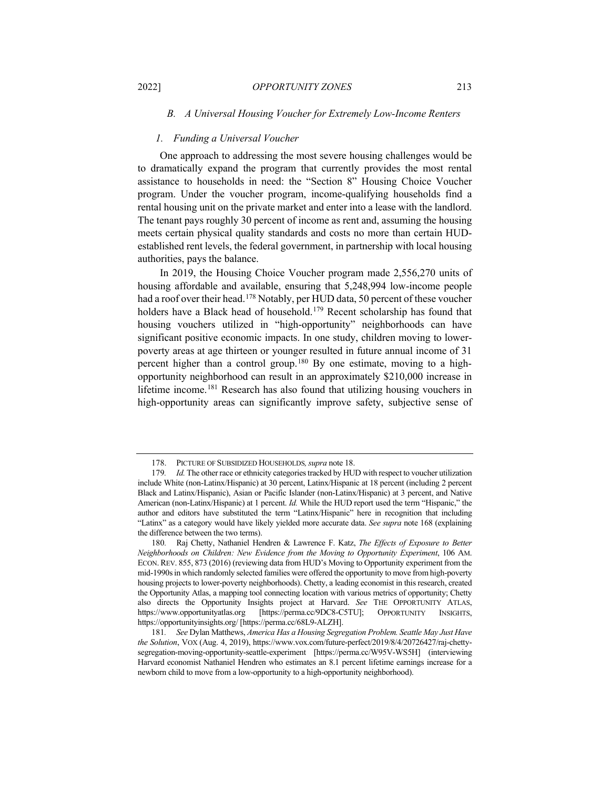# *B. A Universal Housing Voucher for Extremely Low-Income Renters*

#### *1. Funding a Universal Voucher*

One approach to addressing the most severe housing challenges would be to dramatically expand the program that currently provides the most rental assistance to households in need: the "Section 8" Housing Choice Voucher program. Under the voucher program, income-qualifying households find a rental housing unit on the private market and enter into a lease with the landlord. The tenant pays roughly 30 percent of income as rent and, assuming the housing meets certain physical quality standards and costs no more than certain HUDestablished rent levels, the federal government, in partnership with local housing authorities, pays the balance.

In 2019, the Housing Choice Voucher program made 2,556,270 units of housing affordable and available, ensuring that 5,248,994 low-income people had a roof over their head.<sup>[178](#page-34-0)</sup> Notably, per HUD data, 50 percent of these voucher holders have a Black head of household.<sup>[179](#page-34-1)</sup> Recent scholarship has found that housing vouchers utilized in "high-opportunity" neighborhoods can have significant positive economic impacts. In one study, children moving to lowerpoverty areas at age thirteen or younger resulted in future annual income of 31 percent higher than a control group.[180](#page-34-2) By one estimate, moving to a highopportunity neighborhood can result in an approximately \$210,000 increase in lifetime income.[181](#page-34-3) Research has also found that utilizing housing vouchers in high-opportunity areas can significantly improve safety, subjective sense of

<span id="page-34-4"></span><sup>178.</sup> PICTURE OF SUBSIDIZED HOUSEHOLDS*,supra* not[e 18.](#page-5-0)

<span id="page-34-1"></span><span id="page-34-0"></span><sup>179</sup>*. Id.* The other race or ethnicity categories tracked by HUD with respect to voucher utilization include White (non-Latinx/Hispanic) at 30 percent, Latinx/Hispanic at 18 percent (including 2 percent Black and Latinx/Hispanic), Asian or Pacific Islander (non-Latinx/Hispanic) at 3 percent, and Native American (non-Latinx/Hispanic) at 1 percent. *Id.* While the HUD report used the term "Hispanic," the author and editors have substituted the term "Latinx/Hispanic" here in recognition that including "Latinx" as a category would have likely yielded more accurate data. *See supra* note [168](#page-32-10) (explaining the difference between the two terms).

<span id="page-34-2"></span><sup>180</sup>*.* Raj Chetty, Nathaniel Hendren & Lawrence F. Katz, *The Effects of Exposure to Better Neighborhoods on Children: New Evidence from the Moving to Opportunity Experiment*, 106 AM. ECON. REV. 855, 873 (2016) (reviewing data from HUD's Moving to Opportunity experiment from the mid-1990s in which randomly selected families were offered the opportunity to move from high-poverty housing projects to lower-poverty neighborhoods). Chetty, a leading economist in this research, created the Opportunity Atlas, a mapping tool connecting location with various metrics of opportunity; Chetty also directs the Opportunity Insights project at Harvard. *See* THE OPPORTUNITY ATLAS, https://www.opportunityatlas.org [\[https://perma.cc/9DC8-C5TU\]](https://perma.cc/9DC8-C5TU); OPPORTUNITY INSIGHTS, <https://opportunityinsights.org/> [https://perma.cc/68L9-ALZH].

<span id="page-34-3"></span><sup>181</sup>*. See* Dylan Matthews, *America Has a Housing Segregation Problem. Seattle May Just Have the Solution*, VOX (Aug. 4, 2019), https://www.vox.com/future-perfect/2019/8/4/20726427/raj-chettysegregation-moving-opportunity-seattle-experiment [https://perma.cc/W95V-WS5H] (interviewing Harvard economist Nathaniel Hendren who estimates an 8.1 percent lifetime earnings increase for a newborn child to move from a low-opportunity to a high-opportunity neighborhood).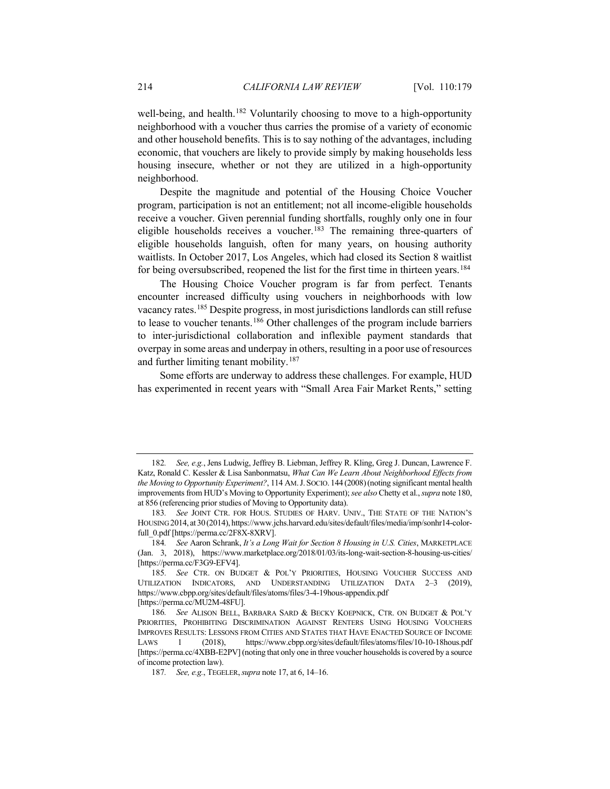well-being, and health.<sup>[182](#page-35-0)</sup> Voluntarily choosing to move to a high-opportunity neighborhood with a voucher thus carries the promise of a variety of economic and other household benefits. This is to say nothing of the advantages, including economic, that vouchers are likely to provide simply by making households less housing insecure, whether or not they are utilized in a high-opportunity neighborhood.

Despite the magnitude and potential of the Housing Choice Voucher program, participation is not an entitlement; not all income-eligible households receive a voucher. Given perennial funding shortfalls, roughly only one in four eligible households receives a voucher.<sup>[183](#page-35-1)</sup> The remaining three-quarters of eligible households languish, often for many years, on housing authority waitlists. In October 2017, Los Angeles, which had closed its Section 8 waitlist for being oversubscribed, reopened the list for the first time in thirteen years.<sup>[184](#page-35-2)</sup>

The Housing Choice Voucher program is far from perfect. Tenants encounter increased difficulty using vouchers in neighborhoods with low vacancy rates.[185](#page-35-3) Despite progress, in most jurisdictions landlords can still refuse to lease to voucher tenants.<sup>[186](#page-35-4)</sup> Other challenges of the program include barriers to inter-jurisdictional collaboration and inflexible payment standards that overpay in some areas and underpay in others, resulting in a poor use of resources and further limiting tenant mobility.<sup>[187](#page-35-5)</sup>

Some efforts are underway to address these challenges. For example, HUD has experimented in recent years with "Small Area Fair Market Rents," setting

<span id="page-35-0"></span><sup>182</sup>*. See, e.g.*, Jens Ludwig, Jeffrey B. Liebman, Jeffrey R. Kling, Greg J. Duncan, Lawrence F. Katz, Ronald C. Kessler & Lisa Sanbonmatsu, *What Can We Learn About Neighborhood Effects from the Moving to Opportunity Experiment?*, 114 AM.J. SOCIO. 144 (2008)(noting significant mental health improvements from HUD's Moving to Opportunity Experiment);*see also* Chetty et al., *supra* not[e 180,](#page-34-4)  at 856 (referencing prior studies of Moving to Opportunity data).

<span id="page-35-1"></span><sup>183</sup>*. See* JOINT CTR. FOR HOUS. STUDIES OF HARV. UNIV., THE STATE OF THE NATION'S HOUSING 2014, at 30 (2014), https://www.jchs.harvard.edu/sites/default/files/media/imp/sonhr14-colorfull\_0.pdf [https://perma.cc/2F8X-8XRV].

<span id="page-35-2"></span><sup>184</sup>*. See* Aaron Schrank, *It's a Long Wait for Section 8 Housing in U.S. Cities*, MARKETPLACE (Jan. 3, 2018), https://www.marketplace.org/2018/01/03/its-long-wait-section-8-housing-us-cities/ [https://perma.cc/F3G9-EFV4].

<span id="page-35-3"></span><sup>185</sup>*. See* CTR. ON BUDGET & POL'Y PRIORITIES, HOUSING VOUCHER SUCCESS AND UTILIZATION INDICATORS, AND UNDERSTANDING UTILIZATION DATA 2–3 (2019), https://www.cbpp.org/sites/default/files/atoms/files/3-4-19hous-appendix.pdf [https://perma.cc/MU2M-48FU].

<span id="page-35-5"></span><span id="page-35-4"></span><sup>186</sup>*. See* ALISON BELL, BARBARA SARD & BECKY KOEPNICK, CTR. ON BUDGET & POL'Y PRIORITIES, PROHIBITING DISCRIMINATION AGAINST RENTERS USING HOUSING VOUCHERS IMPROVES RESULTS: LESSONS FROM CITIES AND STATES THAT HAVE ENACTED SOURCE OF INCOME LAWS 1 (2018), https://www.cbpp.org/sites/default/files/atoms/files/10-10-18hous.pdf [https://perma.cc/4XBB-E2PV] (noting that only one in three voucher households is covered by a source of income protection law).

<sup>187</sup>*. See, e.g.*, TEGELER,*supra* not[e 17,](#page-5-11) at 6, 14–16.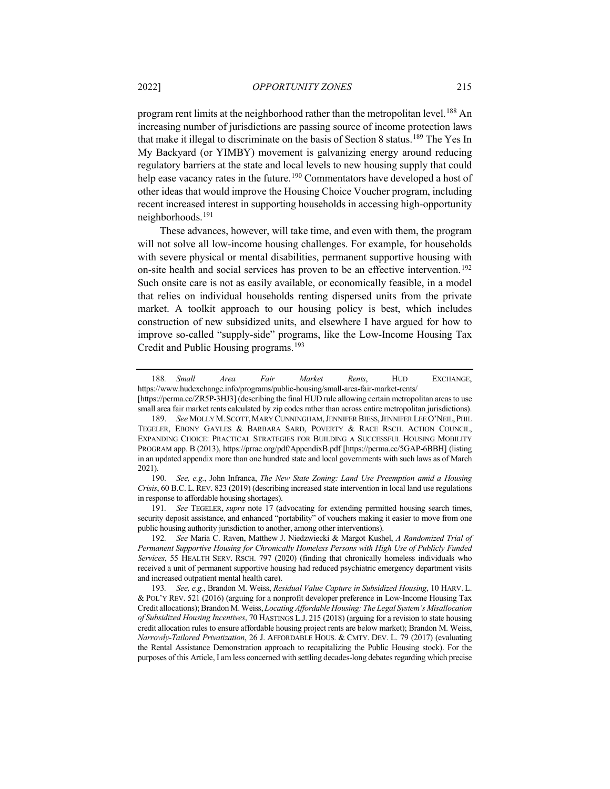program rent limits at the neighborhood rather than the metropolitan level.<sup>[188](#page-36-0)</sup> An increasing number of jurisdictions are passing source of income protection laws that make it illegal to discriminate on the basis of Section 8 status.<sup>[189](#page-36-1)</sup> The Yes In My Backyard (or YIMBY) movement is galvanizing energy around reducing regulatory barriers at the state and local levels to new housing supply that could help ease vacancy rates in the future.<sup>[190](#page-36-2)</sup> Commentators have developed a host of other ideas that would improve the Housing Choice Voucher program, including recent increased interest in supporting households in accessing high-opportunity neighborhoods.[191](#page-36-3)

These advances, however, will take time, and even with them, the program will not solve all low-income housing challenges. For example, for households with severe physical or mental disabilities, permanent supportive housing with on-site health and social services has proven to be an effective intervention.<sup>[192](#page-36-4)</sup> Such onsite care is not as easily available, or economically feasible, in a model that relies on individual households renting dispersed units from the private market. A toolkit approach to our housing policy is best, which includes construction of new subsidized units, and elsewhere I have argued for how to improve so-called "supply-side" programs, like the Low-Income Housing Tax Credit and Public Housing programs.[193](#page-36-5)

<span id="page-36-0"></span><sup>188</sup>*. Small Area Fair Market Rents*, HUD EXCHANGE, https://www.hudexchange.info/programs/public-housing/small-area-fair-market-rents/ [https://perma.cc/ZR5P-3HJ3] (describing the final HUD rule allowing certain metropolitan areas to use

<span id="page-36-1"></span>small area fair market rents calculated by zip codes rather than across entire metropolitan jurisdictions). 189. *See* MOLLY M.SCOTT,MARY CUNNINGHAM,JENNIFER BIESS,JENNIFER LEE O'NEIL,PHIL TEGELER, EBONY GAYLES & BARBARA SARD, POVERTY & RACE RSCH. ACTION COUNCIL, EXPANDING CHOICE: PRACTICAL STRATEGIES FOR BUILDING A SUCCESSFUL HOUSING MOBILITY PROGRAM app. B (2013), https://prrac.org/pdf/AppendixB.pdf [https://perma.cc/5GAP-6BBH] (listing in an updated appendix more than one hundred state and local governments with such laws as of March 2021).

<span id="page-36-2"></span><sup>190</sup>*. See, e.g.*, John Infranca, *The New State Zoning: Land Use Preemption amid a Housing Crisis*, 60 B.C. L. REV. 823 (2019) (describing increased state intervention in local land use regulations in response to affordable housing shortages).

<span id="page-36-3"></span><sup>191</sup>*. See* TEGELER, *supra* note [17](#page-5-11) (advocating for extending permitted housing search times, security deposit assistance, and enhanced "portability" of vouchers making it easier to move from one public housing authority jurisdiction to another, among other interventions).

<span id="page-36-4"></span><sup>192</sup>*. See* Maria C. Raven, Matthew J. Niedzwiecki & Margot Kushel, *A Randomized Trial of Permanent Supportive Housing for Chronically Homeless Persons with High Use of Publicly Funded Services*, 55 HEALTH SERV. RSCH. 797 (2020) (finding that chronically homeless individuals who received a unit of permanent supportive housing had reduced psychiatric emergency department visits and increased outpatient mental health care).

<span id="page-36-5"></span><sup>193</sup>*. See, e.g.*, Brandon M. Weiss, *Residual Value Capture in Subsidized Housing*, 10 HARV. L. & POL'Y REV. 521 (2016) (arguing for a nonprofit developer preference in Low-Income Housing Tax Credit allocations); Brandon M. Weiss, *Locating Affordable Housing: The Legal System's Misallocation of Subsidized Housing Incentives*, 70 HASTINGS L.J. 215 (2018) (arguing for a revision to state housing credit allocation rules to ensure affordable housing project rents are below market); Brandon M. Weiss, *Narrowly-Tailored Privatization*, 26 J. AFFORDABLE HOUS. & CMTY. DEV. L. 79 (2017) (evaluating the Rental Assistance Demonstration approach to recapitalizing the Public Housing stock). For the purposes of this Article, I am less concerned with settling decades-long debates regarding which precise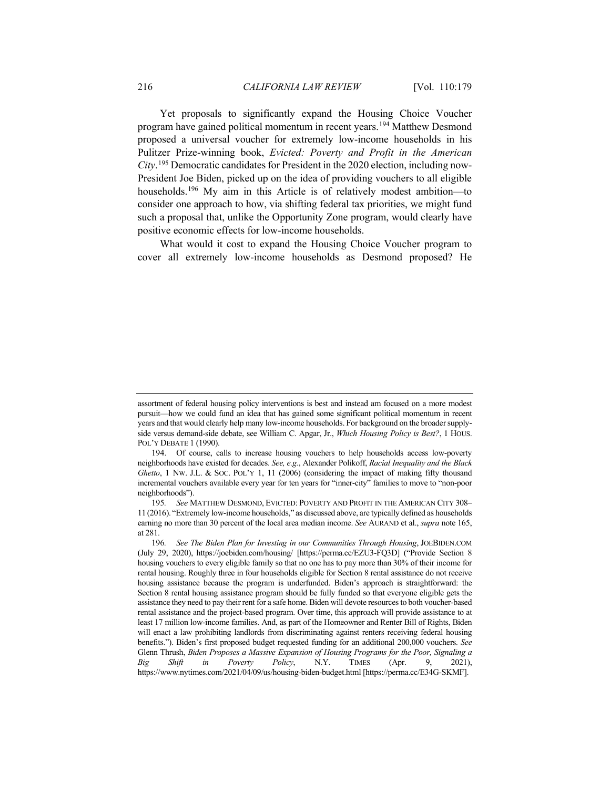<span id="page-37-3"></span>Yet proposals to significantly expand the Housing Choice Voucher program have gained political momentum in recent years.[194](#page-37-0) Matthew Desmond proposed a universal voucher for extremely low-income households in his Pulitzer Prize-winning book, *Evicted: Poverty and Profit in the American City*. [195](#page-37-1) Democratic candidates for President in the 2020 election, including now-President Joe Biden, picked up on the idea of providing vouchers to all eligible households.<sup>[196](#page-37-2)</sup> My aim in this Article is of relatively modest ambition—to consider one approach to how, via shifting federal tax priorities, we might fund such a proposal that, unlike the Opportunity Zone program, would clearly have positive economic effects for low-income households.

<span id="page-37-4"></span>What would it cost to expand the Housing Choice Voucher program to cover all extremely low-income households as Desmond proposed? He

assortment of federal housing policy interventions is best and instead am focused on a more modest pursuit—how we could fund an idea that has gained some significant political momentum in recent years and that would clearly help many low-income households. For background on the broader supplyside versus demand-side debate, see William C. Apgar, Jr., *Which Housing Policy is Best?*, 1 HOUS. POL'Y DEBATE 1 (1990).

<span id="page-37-0"></span><sup>194.</sup> Of course, calls to increase housing vouchers to help households access low-poverty neighborhoods have existed for decades. *See, e.g.*, Alexander Polikoff, *Racial Inequality and the Black Ghetto*, 1 NW. J.L. & SOC. POL'Y 1, 11 (2006) (considering the impact of making fifty thousand incremental vouchers available every year for ten years for "inner-city" families to move to "non-poor neighborhoods").

<span id="page-37-1"></span><sup>195</sup>*. See* MATTHEW DESMOND, EVICTED: POVERTY AND PROFIT IN THE AMERICAN CITY 308– 11 (2016). "Extremely low-income households," as discussed above, are typically defined as households earning no more than 30 percent of the local area median income. *See* AURAND et al., *supra* not[e 165,](#page-32-0)  at 281.

<span id="page-37-2"></span><sup>196</sup>*. See The Biden Plan for Investing in our Communities Through Housing*, JOEBIDEN.COM (July 29, 2020), https://joebiden.com/housing/ [https://perma.cc/EZU3-FQ3D] ("Provide Section 8 housing vouchers to every eligible family so that no one has to pay more than 30% of their income for rental housing. Roughly three in four households eligible for Section 8 rental assistance do not receive housing assistance because the program is underfunded. Biden's approach is straightforward: the Section 8 rental housing assistance program should be fully funded so that everyone eligible gets the assistance they need to pay their rent for a safe home. Biden will devote resources to both voucher-based rental assistance and the project-based program. Over time, this approach will provide assistance to at least 17 million low-income families. And, as part of the Homeowner and Renter Bill of Rights, Biden will enact a law prohibiting landlords from discriminating against renters receiving federal housing benefits."). Biden's first proposed budget requested funding for an additional 200,000 vouchers. *See*  Glenn Thrush, *Biden Proposes a Massive Expansion of Housing Programs for the Poor, Signaling a Big Shift in Poverty Policy*, N.Y. TIMES (Apr. 9, 2021), https://www.nytimes.com/2021/04/09/us/housing-biden-budget.html [https://perma.cc/E34G-SKMF].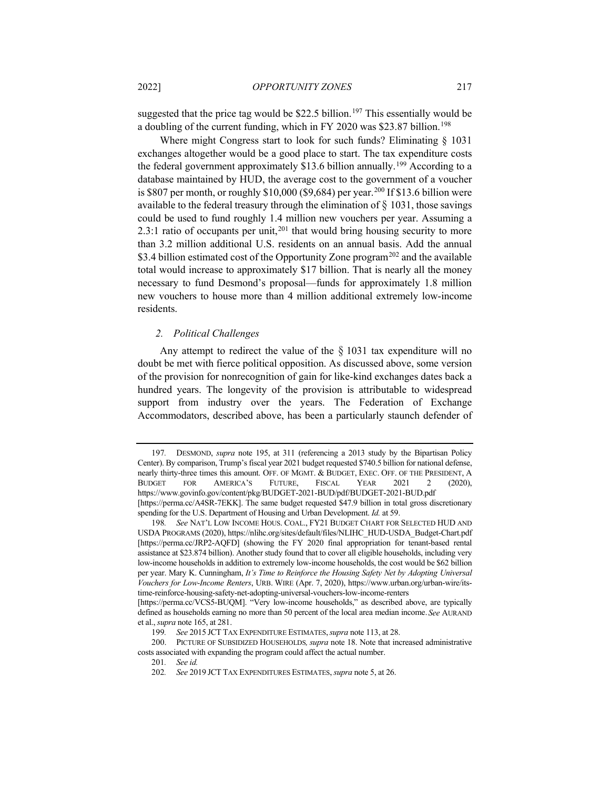suggested that the price tag would be \$22.5 billion.<sup>[197](#page-38-0)</sup> This essentially would be a doubling of the current funding, which in FY 2020 was \$23.87 billion.[198](#page-38-1)

Where might Congress start to look for such funds? Eliminating § 1031 exchanges altogether would be a good place to start. The tax expenditure costs the federal government approximately  $$13.6$  billion annually.<sup>[199](#page-38-2)</sup> According to a database maintained by HUD, the average cost to the government of a voucher is \$807 per month, or roughly \$10,000 (\$9,684) per year.<sup>[200](#page-38-3)</sup> If \$13.6 billion were available to the federal treasury through the elimination of  $\S$  1031, those savings could be used to fund roughly 1.4 million new vouchers per year. Assuming a 2.3:1 ratio of occupants per unit,  $201$  that would bring housing security to more than 3.2 million additional U.S. residents on an annual basis. Add the annual \$3.4 billion estimated cost of the Opportunity Zone program<sup>[202](#page-38-5)</sup> and the available total would increase to approximately \$17 billion. That is nearly all the money necessary to fund Desmond's proposal—funds for approximately 1.8 million new vouchers to house more than 4 million additional extremely low-income residents.

## *2. Political Challenges*

Any attempt to redirect the value of the  $\S$  1031 tax expenditure will no doubt be met with fierce political opposition. As discussed above, some version of the provision for nonrecognition of gain for like-kind exchanges dates back a hundred years. The longevity of the provision is attributable to widespread support from industry over the years. The Federation of Exchange Accommodators, described above, has been a particularly staunch defender of

<span id="page-38-0"></span><sup>197</sup>*.* DESMOND, *supra* note [195,](#page-37-3) at 311 (referencing a 2013 study by the Bipartisan Policy Center). By comparison, Trump's fiscal year 2021 budget requested \$740.5 billion for national defense, nearly thirty-three times this amount. OFF. OF MGMT. & BUDGET, EXEC. OFF. OF THE PRESIDENT, A BUDGET FOR AMERICA'S FUTURE, FISCAL YEAR 2021 2 (2020), https://www.govinfo.gov/content/pkg/BUDGET-2021-BUD/pdf/BUDGET-2021-BUD.pdf [https://perma.cc/A4SR-7EKK]. The same budget requested \$47.9 billion in total gross discretionary spending for the U.S. Department of Housing and Urban Development. *Id.* at 59.

<span id="page-38-1"></span><sup>198</sup>*. See* NAT'L LOW INCOME HOUS. COAL., FY21 BUDGET CHART FOR SELECTED HUD AND USDA PROGRAMS (2020), https://nlihc.org/sites/default/files/NLIHC\_HUD-USDA\_Budget-Chart.pdf [https://perma.cc/JRP2-AQFD] (showing the FY 2020 final appropriation for tenant-based rental assistance at \$23.874 billion). Another study found that to cover all eligible households, including very low-income households in addition to extremely low-income households, the cost would be \$62 billion per year. Mary K. Cunningham, *It's Time to Reinforce the Housing Safety Net by Adopting Universal Vouchers for Low-Income Renters*, URB. WIRE (Apr. 7, 2020), https://www.urban.org/urban-wire/itstime-reinforce-housing-safety-net-adopting-universal-vouchers-low-income-renters

<sup>[</sup>https://perma.cc/VCS5-BUQM]. "Very low-income households," as described above, are typically defined as households earning no more than 50 percent of the local area median income.*See* AURAND et al., *supra* not[e 165,](#page-32-0) at 281.

<sup>199</sup>*. See* 2015 JCT TAX EXPENDITURE ESTIMATES,*supra* not[e 113,](#page-20-7) at 28.

<span id="page-38-5"></span><span id="page-38-4"></span><span id="page-38-3"></span><span id="page-38-2"></span><sup>200.</sup> PICTURE OF SUBSIDIZED HOUSEHOLDS*, supra* not[e 18.](#page-5-0) Note that increased administrative costs associated with expanding the program could affect the actual number.

<sup>201</sup>*. See id.*

<sup>202</sup>*. See* 2019 JCT TAX EXPENDITURES ESTIMATES, *supra* not[e 5,](#page-2-7) at 26.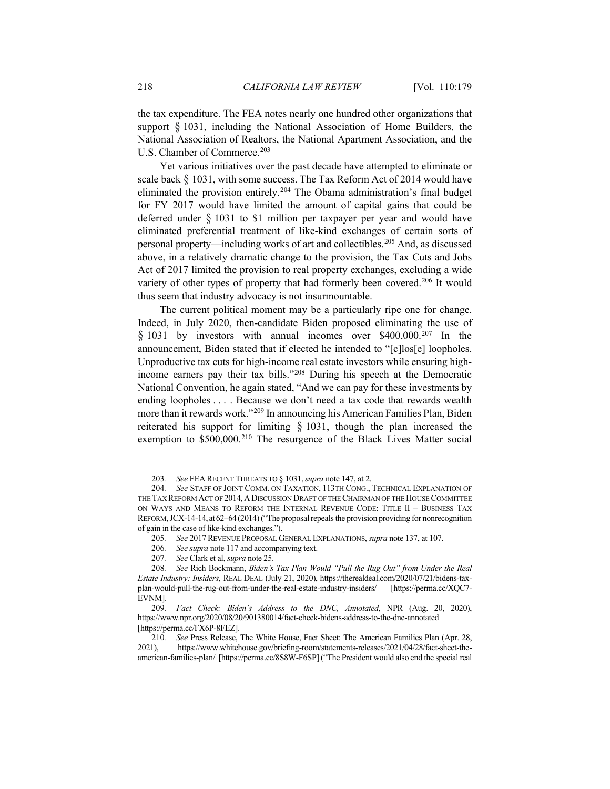the tax expenditure. The FEA notes nearly one hundred other organizations that support § 1031, including the National Association of Home Builders, the National Association of Realtors, the National Apartment Association, and the U.S. Chamber of Commerce.<sup>[203](#page-39-0)</sup>

Yet various initiatives over the past decade have attempted to eliminate or scale back  $\S$  1031, with some success. The Tax Reform Act of 2014 would have eliminated the provision entirely.[204](#page-39-1) The Obama administration's final budget for FY 2017 would have limited the amount of capital gains that could be deferred under § 1031 to \$1 million per taxpayer per year and would have eliminated preferential treatment of like-kind exchanges of certain sorts of personal property—including works of art and collectibles.[205](#page-39-2) And, as discussed above, in a relatively dramatic change to the provision, the Tax Cuts and Jobs Act of 2017 limited the provision to real property exchanges, excluding a wide variety of other types of property that had formerly been covered.<sup>206</sup> It would thus seem that industry advocacy is not insurmountable.

The current political moment may be a particularly ripe one for change. Indeed, in July 2020, then-candidate Biden proposed eliminating the use of § 1031 by investors with annual incomes over \$400,000.<sup>[207](#page-39-4)</sup> In the announcement, Biden stated that if elected he intended to "[c]los[e] loopholes. Unproductive tax cuts for high-income real estate investors while ensuring highincome earners pay their tax bills."[208](#page-39-5) During his speech at the Democratic National Convention, he again stated, "And we can pay for these investments by ending loopholes . . . . Because we don't need a tax code that rewards wealth more than it rewards work."[209](#page-39-6) In announcing his American Families Plan, Biden reiterated his support for limiting  $\S$  1031, though the plan increased the exemption to \$500,000.<sup>[210](#page-39-7)</sup> The resurgence of the Black Lives Matter social

206*. See supra* not[e 117](#page-21-8) and accompanying text.

<sup>203</sup>*. See* FEA RECENT THREATS TO § 1031,*supra* not[e 147,](#page-28-1) at 2.

<span id="page-39-1"></span><span id="page-39-0"></span><sup>204</sup>*. See* STAFF OF JOINT COMM. ON TAXATION, 113TH CONG., TECHNICAL EXPLANATION OF THE TAX REFORM ACT OF 2014,A DISCUSSION DRAFT OF THE CHAIRMAN OF THE HOUSE COMMITTEE ON WAYS AND MEANS TO REFORM THE INTERNAL REVENUE CODE: TITLE II – BUSINESS TAX REFORM,JCX-14-14, at62–64(2014) ("The proposal repeals the provision providing for nonrecognition of gain in the case of like-kind exchanges.").

<sup>205</sup>*. See* 2017 REVENUE PROPOSAL GENERAL EXPLANATIONS, *supra* not[e 137,](#page-25-3) at 107.

<sup>207</sup>*. See* Clark et al, *supra* note [25.](#page-5-12)

<span id="page-39-5"></span><span id="page-39-4"></span><span id="page-39-3"></span><span id="page-39-2"></span><sup>208</sup>*. See* Rich Bockmann, *Biden's Tax Plan Would "Pull the Rug Out" from Under the Real Estate Industry: Insiders*, REAL DEAL (July 21, 2020), https://therealdeal.com/2020/07/21/bidens-taxplan-would-pull-the-rug-out-from-under-the-real-estate-industry-insiders/ [https://perma.cc/XQC7- EVNM].

<span id="page-39-6"></span><sup>209</sup>*. Fact Check: Biden's Address to the DNC, Annotated*, NPR (Aug. 20, 2020), https://www.npr.org/2020/08/20/901380014/fact-check-bidens-address-to-the-dnc-annotated [https://perma.cc/FX6P-8FEZ].

<span id="page-39-7"></span><sup>210</sup>*. See* Press Release, The White House, Fact Sheet: The American Families Plan (Apr. 28, 2021), https://www.whitehouse.gov/briefing-room/statements-releases/2021/04/28/fact-sheet-theamerican-families-plan/ [https://perma.cc/8S8W-F6SP] ("The President would also end the special real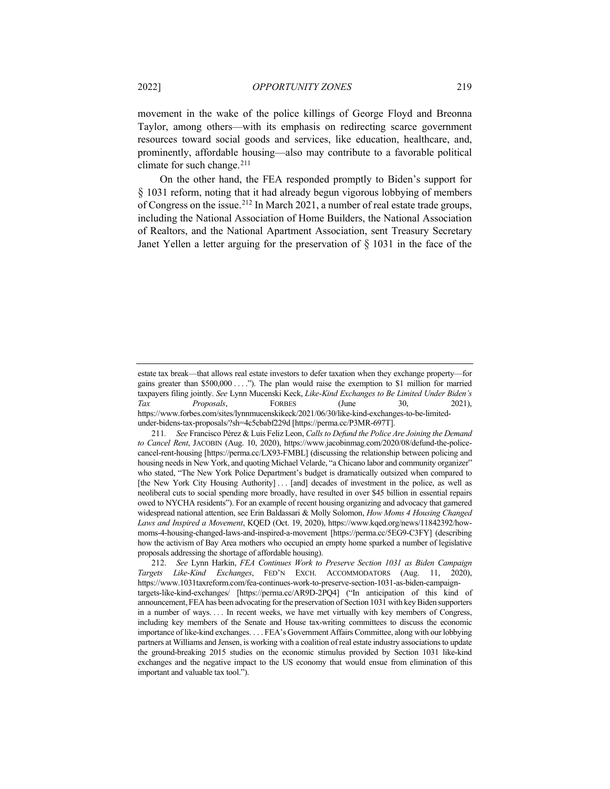movement in the wake of the police killings of George Floyd and Breonna Taylor, among others—with its emphasis on redirecting scarce government resources toward social goods and services, like education, healthcare, and, prominently, affordable housing—also may contribute to a favorable political climate for such change.<sup>[211](#page-40-0)</sup>

On the other hand, the FEA responded promptly to Biden's support for § 1031 reform, noting that it had already begun vigorous lobbying of members of Congress on the issue.[212](#page-40-1) In March 2021, a number of real estate trade groups, including the National Association of Home Builders, the National Association of Realtors, and the National Apartment Association, sent Treasury Secretary Janet Yellen a letter arguing for the preservation of  $\S$  1031 in the face of the

estate tax break—that allows real estate investors to defer taxation when they exchange property—for gains greater than \$500,000 . . . ."). The plan would raise the exemption to \$1 million for married taxpayers filing jointly. *See* Lynn Mucenski Keck, *Like-Kind Exchanges to Be Limited Under Biden's Tax Proposals*, FORBES (June 30, 2021), https://www.forbes.com/sites/lynnmucenskikeck/2021/06/30/like-kind-exchanges-to-be-limitedunder-bidens-tax-proposals/?sh=4c5cbabf229d [https://perma.cc/P3MR-697T].

<span id="page-40-0"></span><sup>211</sup>*. See* Francisco Pérez & Luis Feliz Leon, *Calls to Defund the Police Are Joining the Demand to Cancel Rent*, JACOBIN (Aug. 10, 2020), https://www.jacobinmag.com/2020/08/defund-the-policecancel-rent-housing [https://perma.cc/LX93-FMBL] (discussing the relationship between policing and housing needs in New York, and quoting Michael Velarde, "a Chicano labor and community organizer" who stated, "The New York Police Department's budget is dramatically outsized when compared to [the New York City Housing Authority] . . . [and] decades of investment in the police, as well as neoliberal cuts to social spending more broadly, have resulted in over \$45 billion in essential repairs owed to NYCHA residents"). For an example of recent housing organizing and advocacy that garnered widespread national attention, see Erin Baldassari & Molly Solomon, *How Moms 4 Housing Changed Laws and Inspired a Movement*, KQED (Oct. 19, 2020), https://www.kqed.org/news/11842392/howmoms-4-housing-changed-laws-and-inspired-a-movement [https://perma.cc/5EG9-C3FY] (describing how the activism of Bay Area mothers who occupied an empty home sparked a number of legislative proposals addressing the shortage of affordable housing).

<span id="page-40-1"></span><sup>212.</sup> *See* Lynn Harkin, *FEA Continues Work to Preserve Section 1031 as Biden Campaign Targets Like-Kind Exchanges*, FED'N EXCH. ACCOMMODATORS (Aug. 11, 2020), https://www.1031taxreform.com/fea-continues-work-to-preserve-section-1031-as-biden-campaigntargets-like-kind-exchanges/ [https://perma.cc/AR9D-2PQ4] ("In anticipation of this kind of announcement, FEA has been advocating for the preservation of Section 1031 with key Biden supporters in a number of ways. . . . In recent weeks, we have met virtually with key members of Congress, including key members of the Senate and House tax-writing committees to discuss the economic importance of like-kind exchanges. . . . FEA's Government Affairs Committee, along with our lobbying partners at Williams and Jensen, is working with a coalition of real estate industry associations to update the ground-breaking 2015 studies on the economic stimulus provided by Section 1031 like-kind exchanges and the negative impact to the US economy that would ensue from elimination of this important and valuable tax tool.").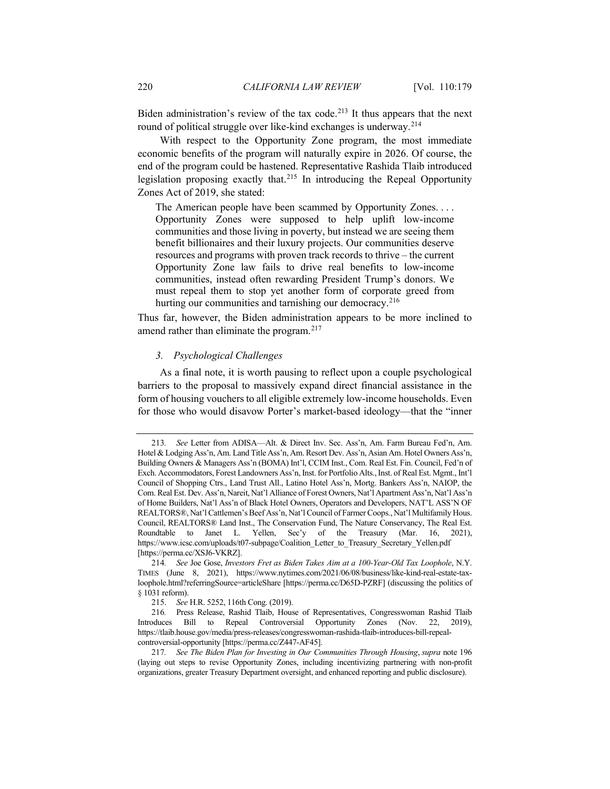Biden administration's review of the tax code.<sup>[213](#page-41-0)</sup> It thus appears that the next round of political struggle over like-kind exchanges is underway.[214](#page-41-1)

With respect to the Opportunity Zone program, the most immediate economic benefits of the program will naturally expire in 2026. Of course, the end of the program could be hastened. Representative Rashida Tlaib introduced legislation proposing exactly that.[215](#page-41-2) In introducing the Repeal Opportunity Zones Act of 2019, she stated:

The American people have been scammed by Opportunity Zones. . . . Opportunity Zones were supposed to help uplift low-income communities and those living in poverty, but instead we are seeing them benefit billionaires and their luxury projects. Our communities deserve resources and programs with proven track records to thrive – the current Opportunity Zone law fails to drive real benefits to low-income communities, instead often rewarding President Trump's donors. We must repeal them to stop yet another form of corporate greed from hurting our communities and tarnishing our democracy.<sup>[216](#page-41-3)</sup>

Thus far, however, the Biden administration appears to be more inclined to amend rather than eliminate the program.<sup>217</sup>

## *3. Psychological Challenges*

As a final note, it is worth pausing to reflect upon a couple psychological barriers to the proposal to massively expand direct financial assistance in the form of housing vouchers to all eligible extremely low-income households. Even for those who would disavow Porter's market-based ideology—that the "inner

<span id="page-41-0"></span><sup>213</sup>*. See* Letter from ADISA—Alt. & Direct Inv. Sec. Ass'n, Am. Farm Bureau Fed'n, Am. Hotel & Lodging Ass'n, Am. Land Title Ass'n, Am. Resort Dev. Ass'n, Asian Am. Hotel Owners Ass'n, Building Owners & Managers Ass'n (BOMA) Int'l, CCIM Inst., Com. Real Est. Fin. Council, Fed'n of Exch. Accommodators, Forest Landowners Ass'n, Inst. for Portfolio Alts., Inst. of Real Est. Mgmt., Int'l Council of Shopping Ctrs., Land Trust All., Latino Hotel Ass'n, Mortg. Bankers Ass'n, NAIOP, the Com. Real Est. Dev. Ass'n, Nareit, Nat'l Alliance of Forest Owners, Nat'l Apartment Ass'n, Nat'l Ass'n of Home Builders, Nat'l Ass'n of Black Hotel Owners, Operators and Developers, NAT'L ASS'N OF REALTORS®, Nat'l Cattlemen's Beef Ass'n, Nat'l Council of Farmer Coops., Nat'l Multifamily Hous. Council, REALTORS® Land Inst., The Conservation Fund, The Nature Conservancy, The Real Est. Roundtable to Janet L. Yellen, Sec'y of the Treasury (Mar. 16, 2021), https://www.icsc.com/uploads/t07-subpage/Coalition\_Letter\_to\_Treasury\_Secretary\_Yellen.pdf [https://perma.cc/XSJ6-VKRZ].

<span id="page-41-1"></span><sup>214</sup>*. See* Joe Gose, *Investors Fret as Biden Takes Aim at a 100-Year-Old Tax Loophole*, N.Y. TIMES (June 8, 2021), https://www.nytimes.com/2021/06/08/business/like-kind-real-estate-taxloophole.html?referringSource=articleShare [https://perma.cc/D65D-PZRF] (discussing the politics of § 1031 reform).

<sup>215.</sup> *See* H.R. 5252, 116th Cong. (2019).

<span id="page-41-3"></span><span id="page-41-2"></span><sup>216</sup>*.* Press Release, Rashid Tlaib, House of Representatives, Congresswoman Rashid Tlaib Introduces Bill to Repeal Controversial Opportunity Zones (Nov. 22, 2019), https://tlaib.house.gov/media/press-releases/congresswoman-rashida-tlaib-introduces-bill-repealcontroversial-opportunity [https://perma.cc/Z447-AF45].

<span id="page-41-4"></span><sup>217</sup>*. See The Biden Plan for Investing in Our Communities Through Housing*, *supra* not[e 196](#page-37-4) (laying out steps to revise Opportunity Zones, including incentivizing partnering with non-profit organizations, greater Treasury Department oversight, and enhanced reporting and public disclosure).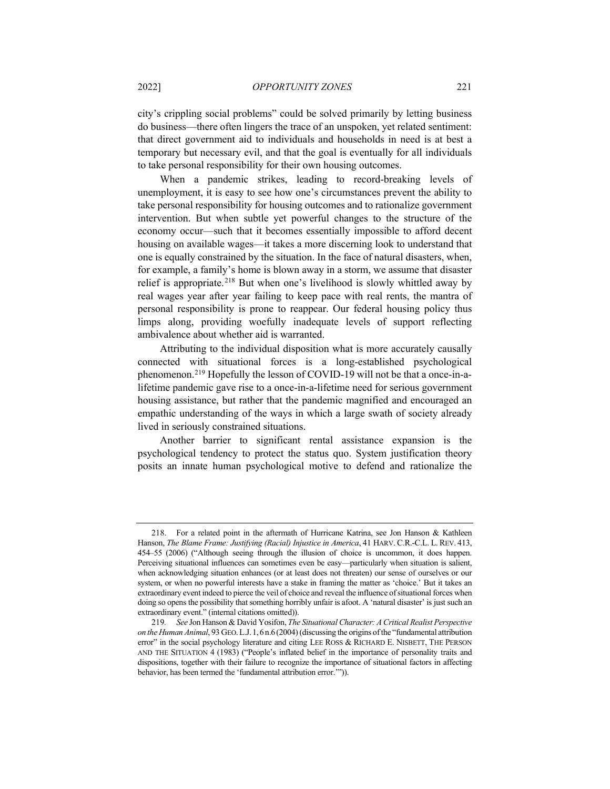city's crippling social problems" could be solved primarily by letting business do business—there often lingers the trace of an unspoken, yet related sentiment: that direct government aid to individuals and households in need is at best a temporary but necessary evil, and that the goal is eventually for all individuals to take personal responsibility for their own housing outcomes.

When a pandemic strikes, leading to record-breaking levels of unemployment, it is easy to see how one's circumstances prevent the ability to take personal responsibility for housing outcomes and to rationalize government intervention. But when subtle yet powerful changes to the structure of the economy occur—such that it becomes essentially impossible to afford decent housing on available wages—it takes a more discerning look to understand that one is equally constrained by the situation. In the face of natural disasters, when, for example, a family's home is blown away in a storm, we assume that disaster relief is appropriate.[218](#page-42-0) But when one's livelihood is slowly whittled away by real wages year after year failing to keep pace with real rents, the mantra of personal responsibility is prone to reappear. Our federal housing policy thus limps along, providing woefully inadequate levels of support reflecting ambivalence about whether aid is warranted.

Attributing to the individual disposition what is more accurately causally connected with situational forces is a long-established psychological phenomenon.[219](#page-42-1) Hopefully the lesson of COVID-19 will not be that a once-in-alifetime pandemic gave rise to a once-in-a-lifetime need for serious government housing assistance, but rather that the pandemic magnified and encouraged an empathic understanding of the ways in which a large swath of society already lived in seriously constrained situations.

Another barrier to significant rental assistance expansion is the psychological tendency to protect the status quo. System justification theory posits an innate human psychological motive to defend and rationalize the

<span id="page-42-0"></span><sup>218.</sup> For a related point in the aftermath of Hurricane Katrina, see Jon Hanson & Kathleen Hanson, *The Blame Frame: Justifying (Racial) Injustice in America*, 41 HARV. C.R.-C.L. L. REV. 413, 454–55 (2006) ("Although seeing through the illusion of choice is uncommon, it does happen. Perceiving situational influences can sometimes even be easy—particularly when situation is salient, when acknowledging situation enhances (or at least does not threaten) our sense of ourselves or our system, or when no powerful interests have a stake in framing the matter as 'choice.' But it takes an extraordinary event indeed to pierce the veil of choice and reveal the influence of situational forces when doing so opens the possibility that something horribly unfair is afoot. A 'natural disaster' is just such an extraordinary event." (internal citations omitted)).

<span id="page-42-1"></span><sup>219</sup>*. See* Jon Hanson & David Yosifon, *The Situational Character: A Critical Realist Perspective on the Human Animal*, 93 GEO.L.J.1,6n.6(2004)(discussing the origins of the "fundamental attribution error" in the social psychology literature and citing LEE ROSS & RICHARD E. NISBETT, THE PERSON AND THE SITUATION 4 (1983) ("People's inflated belief in the importance of personality traits and dispositions, together with their failure to recognize the importance of situational factors in affecting behavior, has been termed the 'fundamental attribution error.'")).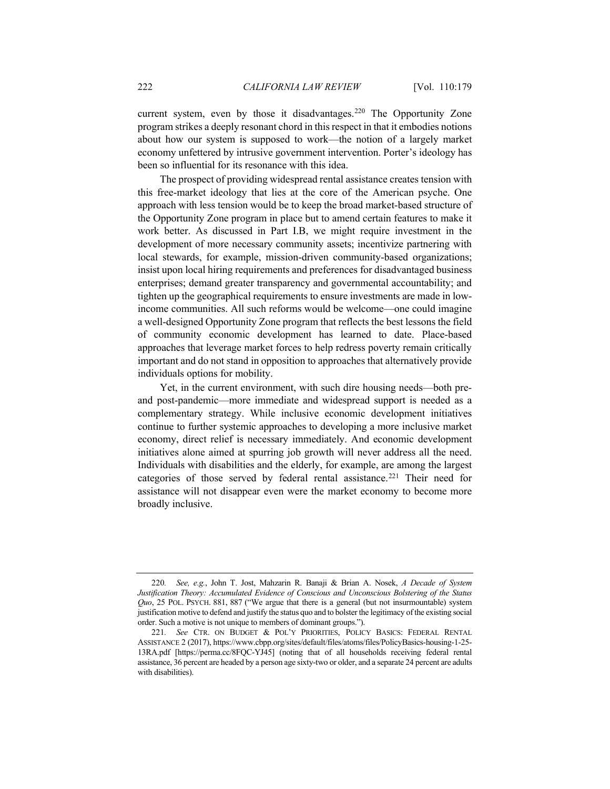current system, even by those it disadvantages.<sup>[220](#page-43-0)</sup> The Opportunity Zone program strikes a deeply resonant chord in this respect in that it embodies notions about how our system is supposed to work—the notion of a largely market economy unfettered by intrusive government intervention. Porter's ideology has been so influential for its resonance with this idea.

The prospect of providing widespread rental assistance creates tension with this free-market ideology that lies at the core of the American psyche. One approach with less tension would be to keep the broad market-based structure of the Opportunity Zone program in place but to amend certain features to make it work better. As discussed in Part I.B, we might require investment in the development of more necessary community assets; incentivize partnering with local stewards, for example, mission-driven community-based organizations; insist upon local hiring requirements and preferences for disadvantaged business enterprises; demand greater transparency and governmental accountability; and tighten up the geographical requirements to ensure investments are made in lowincome communities. All such reforms would be welcome—one could imagine a well-designed Opportunity Zone program that reflects the best lessons the field of community economic development has learned to date. Place-based approaches that leverage market forces to help redress poverty remain critically important and do not stand in opposition to approaches that alternatively provide individuals options for mobility.

Yet, in the current environment, with such dire housing needs—both preand post-pandemic—more immediate and widespread support is needed as a complementary strategy. While inclusive economic development initiatives continue to further systemic approaches to developing a more inclusive market economy, direct relief is necessary immediately. And economic development initiatives alone aimed at spurring job growth will never address all the need. Individuals with disabilities and the elderly, for example, are among the largest categories of those served by federal rental assistance.<sup>[221](#page-43-1)</sup> Their need for assistance will not disappear even were the market economy to become more broadly inclusive.

<span id="page-43-0"></span><sup>220</sup>*. See, e.g.*, John T. Jost, Mahzarin R. Banaji & Brian A. Nosek, *A Decade of System Justification Theory: Accumulated Evidence of Conscious and Unconscious Bolstering of the Status Quo*, 25 POL. PSYCH. 881, 887 ("We argue that there is a general (but not insurmountable) system justification motive to defend and justify the status quo and to bolster the legitimacy of the existing social order. Such a motive is not unique to members of dominant groups.").

<span id="page-43-1"></span><sup>221</sup>*. See* CTR. ON BUDGET & POL'Y PRIORITIES, POLICY BASICS: FEDERAL RENTAL ASSISTANCE 2 (2017), https://www.cbpp.org/sites/default/files/atoms/files/PolicyBasics-housing-1-25- 13RA.pdf [https://perma.cc/8FQC-YJ45] (noting that of all households receiving federal rental assistance, 36 percent are headed by a person age sixty-two or older, and a separate 24 percent are adults with disabilities).